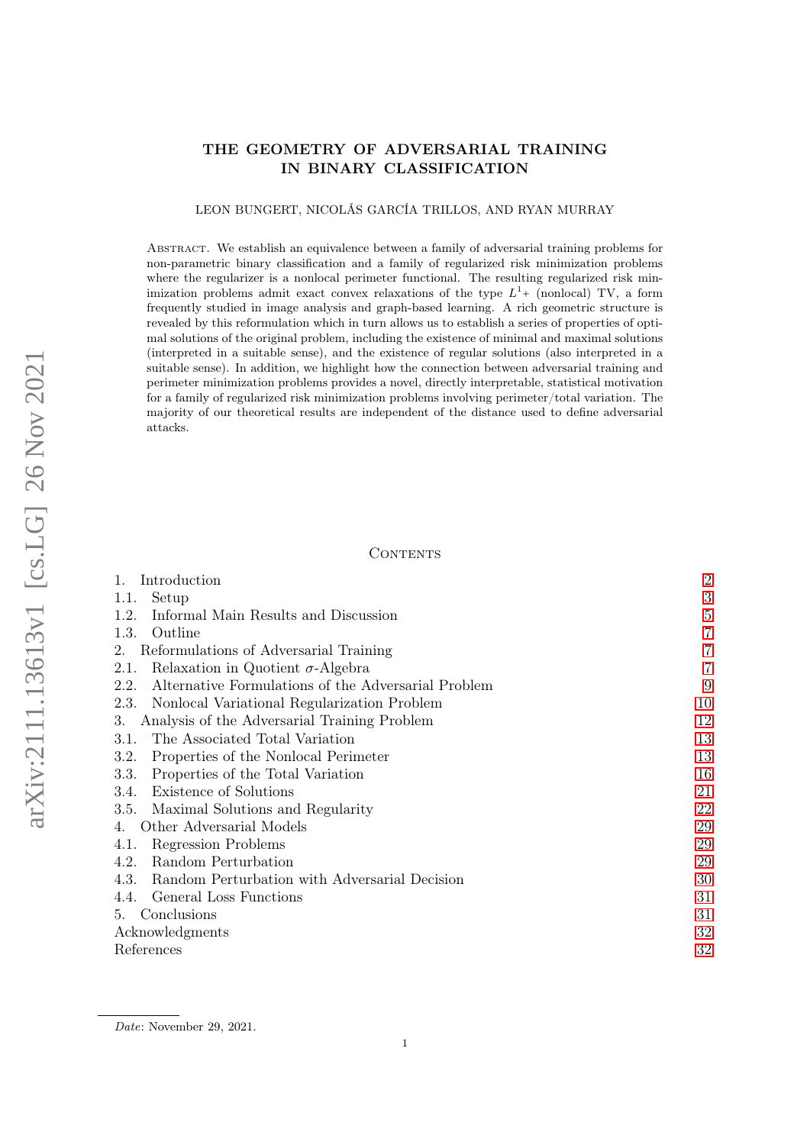# THE GEOMETRY OF ADVERSARIAL TRAINING IN BINARY CLASSIFICATION

### LEON BUNGERT, NICOLÁS GARCÍA TRILLOS, AND RYAN MURRAY

Abstract. We establish an equivalence between a family of adversarial training problems for non-parametric binary classification and a family of regularized risk minimization problems where the regularizer is a nonlocal perimeter functional. The resulting regularized risk minimization problems admit exact convex relaxations of the type  $L^{1}$ + (nonlocal) TV, a form frequently studied in image analysis and graph-based learning. A rich geometric structure is revealed by this reformulation which in turn allows us to establish a series of properties of optimal solutions of the original problem, including the existence of minimal and maximal solutions (interpreted in a suitable sense), and the existence of regular solutions (also interpreted in a suitable sense). In addition, we highlight how the connection between adversarial training and perimeter minimization problems provides a novel, directly interpretable, statistical motivation for a family of regularized risk minimization problems involving perimeter/total variation. The majority of our theoretical results are independent of the distance used to define adversarial attacks.

## **CONTENTS**

| Introduction                                                | $\overline{2}$ |
|-------------------------------------------------------------|----------------|
| Setup<br>1.1.                                               | 3              |
| 1.2.<br>Informal Main Results and Discussion                | 5              |
| Outline<br>1.3.                                             | 7              |
| Reformulations of Adversarial Training<br>2.                | 7              |
| Relaxation in Quotient $\sigma$ -Algebra<br>2.1.            | 7              |
| Alternative Formulations of the Adversarial Problem<br>2.2. | 9              |
| Nonlocal Variational Regularization Problem<br>2.3.         | 10             |
| Analysis of the Adversarial Training Problem<br>3.          | 12             |
| The Associated Total Variation<br>3.1.                      | 13             |
| Properties of the Nonlocal Perimeter<br>3.2.                | 13             |
| Properties of the Total Variation<br>3.3.                   | 16             |
| Existence of Solutions<br>3.4.                              | 21             |
| 3.5. Maximal Solutions and Regularity                       | 22             |
| Other Adversarial Models                                    | 29             |
| Regression Problems<br>4.1.                                 | 29             |
| Random Perturbation<br>4.2.                                 | 29             |
| 4.3.<br>Random Perturbation with Adversarial Decision       | 30             |
| General Loss Functions<br>4.4.                              | 31             |
| Conclusions<br>5.                                           | 31             |
| Acknowledgments                                             | 32             |
| References                                                  | 32             |
|                                                             |                |

Date: November 29, 2021.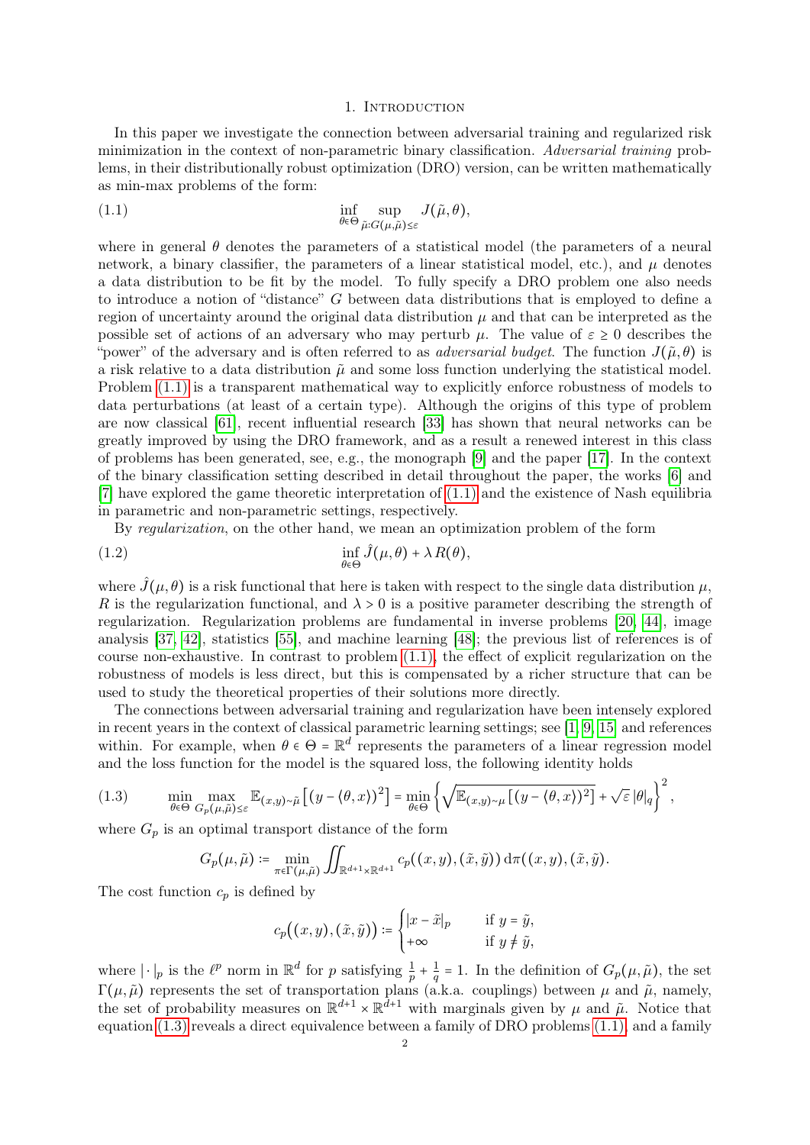### 1. INTRODUCTION

<span id="page-1-0"></span>In this paper we investigate the connection between adversarial training and regularized risk minimization in the context of non-parametric binary classification. Adversarial training problems, in their distributionally robust optimization (DRO) version, can be written mathematically as min-max problems of the form:

<span id="page-1-1"></span>(1.1) 
$$
\inf_{\theta \in \Theta} \sup_{\tilde{\mu}:G(\mu,\tilde{\mu}) \leq \varepsilon} J(\tilde{\mu},\theta),
$$

where in general  $\theta$  denotes the parameters of a statistical model (the parameters of a neural network, a binary classifier, the parameters of a linear statistical model, etc.), and  $\mu$  denotes a data distribution to be fit by the model. To fully specify a DRO problem one also needs to introduce a notion of "distance" G between data distributions that is employed to define a region of uncertainty around the original data distribution  $\mu$  and that can be interpreted as the possible set of actions of an adversary who may perturb  $\mu$ . The value of  $\varepsilon \geq 0$  describes the "power" of the adversary and is often referred to as *adversarial budget*. The function  $J(\tilde{\mu}, \theta)$  is a risk relative to a data distribution  $\tilde{\mu}$  and some loss function underlying the statistical model. Problem  $(1.1)$  is a transparent mathematical way to explicitly enforce robustness of models to data perturbations (at least of a certain type). Although the origins of this type of problem are now classical [\[61\]](#page-34-0), recent influential research [\[33\]](#page-33-0) has shown that neural networks can be greatly improved by using the DRO framework, and as a result a renewed interest in this class of problems has been generated, see, e.g., the monograph [\[9\]](#page-32-0) and the paper [\[17\]](#page-32-1). In the context of the binary classification setting described in detail throughout the paper, the works [\[6\]](#page-32-2) and [\[7\]](#page-32-3) have explored the game theoretic interpretation of [\(1.1\)](#page-1-1) and the existence of Nash equilibria in parametric and non-parametric settings, respectively.

<span id="page-1-3"></span>By regularization, on the other hand, we mean an optimization problem of the form

(1.2) 
$$
\inf_{\theta \in \Theta} \hat{J}(\mu, \theta) + \lambda R(\theta),
$$

where  $\hat{J}(\mu, \theta)$  is a risk functional that here is taken with respect to the single data distribution  $\mu$ , R is the regularization functional, and  $\lambda > 0$  is a positive parameter describing the strength of regularization. Regularization problems are fundamental in inverse problems [\[20,](#page-32-4) [44\]](#page-33-1), image analysis [\[37,](#page-33-2) [42\]](#page-33-3), statistics [\[55\]](#page-34-1), and machine learning [\[48\]](#page-34-2); the previous list of references is of course non-exhaustive. In contrast to problem [\(1.1\),](#page-1-1) the effect of explicit regularization on the robustness of models is less direct, but this is compensated by a richer structure that can be used to study the theoretical properties of their solutions more directly.

The connections between adversarial training and regularization have been intensely explored in recent years in the context of classical parametric learning settings; see [\[1,](#page-31-2) [9,](#page-32-0) [15\]](#page-32-5) and references within. For example, when  $\theta \in \Theta = \mathbb{R}^d$  represents the parameters of a linear regression model and the loss function for the model is the squared loss, the following identity holds

<span id="page-1-2"></span>(1.3) 
$$
\min_{\theta \in \Theta} \max_{G_p(\mu, \tilde{\mu}) \leq \varepsilon} \mathbb{E}_{(x,y) \sim \tilde{\mu}} \left[ (y - \langle \theta, x \rangle)^2 \right] = \min_{\theta \in \Theta} \left\{ \sqrt{\mathbb{E}_{(x,y) \sim \mu} \left[ (y - \langle \theta, x \rangle)^2 \right]} + \sqrt{\varepsilon} \, |\theta|_q \right\}^2,
$$

where  $G_p$  is an optimal transport distance of the form

$$
G_p(\mu, \tilde{\mu}) \coloneqq \min_{\pi \in \Gamma(\mu, \tilde{\mu})} \iint_{\mathbb{R}^{d+1} \times \mathbb{R}^{d+1}} c_p((x, y), (\tilde{x}, \tilde{y})) d\pi((x, y), (\tilde{x}, \tilde{y}).
$$

The cost function  $c_p$  is defined by

$$
c_p\big((x,y),(\tilde x,\tilde y)\big)\coloneqq \begin{cases} |x-\tilde x|_p \quad &\text{if } y=\tilde y,\\ +\infty \quad &\text{if } y\neq \tilde y,\end{cases}
$$

where  $|\cdot|_p$  is the  $\ell^p$  norm in  $\mathbb{R}^d$  for p satisfying  $\frac{1}{p} + \frac{1}{q}$  $\frac{1}{q}$  = 1. In the definition of  $G_p(\mu, \tilde{\mu})$ , the set  $\Gamma(\mu,\tilde{\mu})$  represents the set of transportation plans (a.k.a. couplings) between  $\mu$  and  $\tilde{\mu}$ , namely, the set of probability measures on  $\mathbb{R}^{d+1} \times \mathbb{R}^{d+1}$  with marginals given by  $\mu$  and  $\tilde{\mu}$ . Notice that equation [\(1.3\)](#page-1-2) reveals a direct equivalence between a family of DRO problems [\(1.1\),](#page-1-1) and a family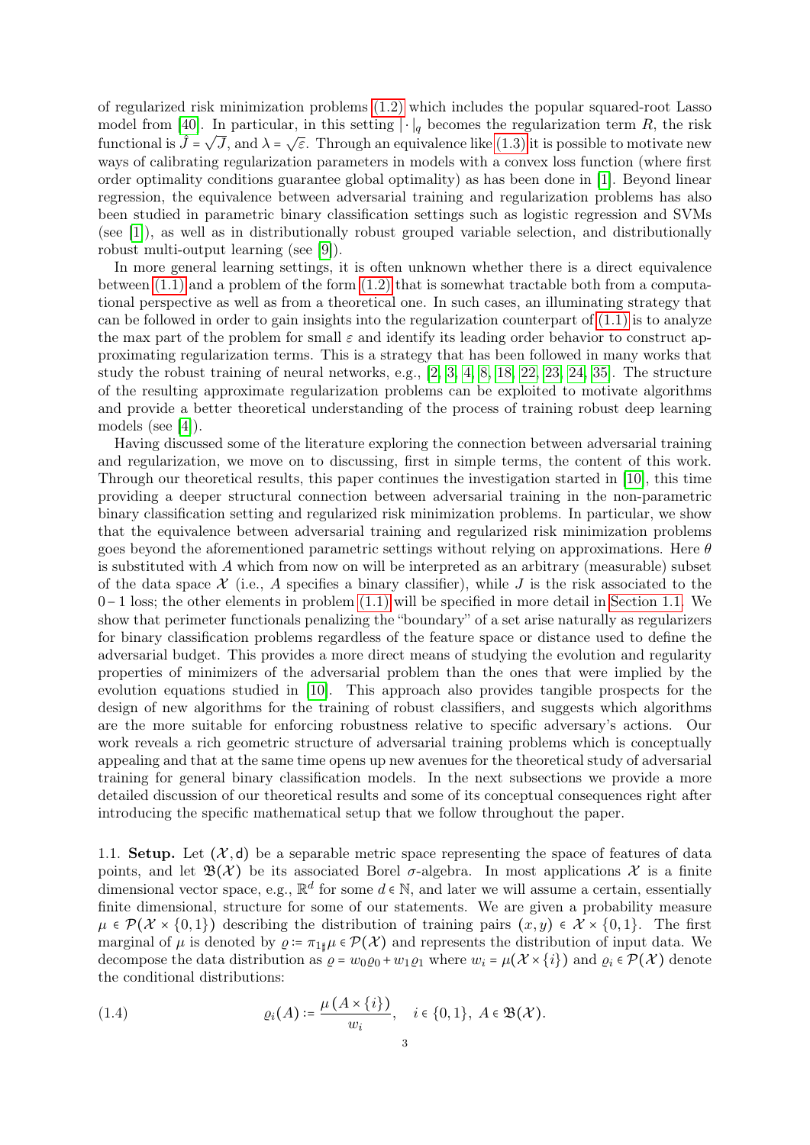of regularized risk minimization problems [\(1.2\)](#page-1-3) which includes the popular squared-root Lasso model from [\[40\]](#page-33-4). In particular, in this setting  $|\cdot|_q$  becomes the regularization term R, the risk functional is  $\hat{J} = \sqrt{J}$ , and  $\lambda = \sqrt{\varepsilon}$ . Through an equivalence like [\(1.3\)](#page-1-2) it is possible to motivate new ways of calibrating regularization parameters in models with a convex loss function (where first order optimality conditions guarantee global optimality) as has been done in [\[1\]](#page-31-2). Beyond linear regression, the equivalence between adversarial training and regularization problems has also been studied in parametric binary classification settings such as logistic regression and SVMs (see [\[1\]](#page-31-2)), as well as in distributionally robust grouped variable selection, and distributionally robust multi-output learning (see [\[9\]](#page-32-0)).

In more general learning settings, it is often unknown whether there is a direct equivalence between  $(1.1)$  and a problem of the form  $(1.2)$  that is somewhat tractable both from a computational perspective as well as from a theoretical one. In such cases, an illuminating strategy that can be followed in order to gain insights into the regularization counterpart of  $(1.1)$  is to analyze the max part of the problem for small  $\varepsilon$  and identify its leading order behavior to construct approximating regularization terms. This is a strategy that has been followed in many works that study the robust training of neural networks, e.g., [\[2,](#page-31-3) [3,](#page-31-4) [4,](#page-31-5) [8,](#page-32-6) [18,](#page-32-7) [22,](#page-32-8) [23,](#page-32-9) [24,](#page-32-10) [35\]](#page-33-5). The structure of the resulting approximate regularization problems can be exploited to motivate algorithms and provide a better theoretical understanding of the process of training robust deep learning models (see [\[4\]](#page-31-5)).

Having discussed some of the literature exploring the connection between adversarial training and regularization, we move on to discussing, first in simple terms, the content of this work. Through our theoretical results, this paper continues the investigation started in [\[10\]](#page-32-11), this time providing a deeper structural connection between adversarial training in the non-parametric binary classification setting and regularized risk minimization problems. In particular, we show that the equivalence between adversarial training and regularized risk minimization problems goes beyond the aforementioned parametric settings without relying on approximations. Here  $\theta$ is substituted with A which from now on will be interpreted as an arbitrary (measurable) subset of the data space  $\mathcal X$  (i.e., A specifies a binary classifier), while J is the risk associated to the 0−1 loss; the other elements in problem [\(1.1\)](#page-1-1) will be specified in more detail in [Section 1.1.](#page-2-0) We show that perimeter functionals penalizing the "boundary" of a set arise naturally as regularizers for binary classification problems regardless of the feature space or distance used to define the adversarial budget. This provides a more direct means of studying the evolution and regularity properties of minimizers of the adversarial problem than the ones that were implied by the evolution equations studied in [\[10\]](#page-32-11). This approach also provides tangible prospects for the design of new algorithms for the training of robust classifiers, and suggests which algorithms are the more suitable for enforcing robustness relative to specific adversary's actions. Our work reveals a rich geometric structure of adversarial training problems which is conceptually appealing and that at the same time opens up new avenues for the theoretical study of adversarial training for general binary classification models. In the next subsections we provide a more detailed discussion of our theoretical results and some of its conceptual consequences right after introducing the specific mathematical setup that we follow throughout the paper.

<span id="page-2-0"></span>1.1. Setup. Let  $(X, d)$  be a separable metric space representing the space of features of data points, and let  $\mathfrak{B}(\mathcal{X})$  be its associated Borel  $\sigma$ -algebra. In most applications X is a finite dimensional vector space, e.g.,  $\mathbb{R}^d$  for some  $d \in \mathbb{N}$ , and later we will assume a certain, essentially finite dimensional, structure for some of our statements. We are given a probability measure  $\mu \in \mathcal{P}(\mathcal{X} \times \{0,1\})$  describing the distribution of training pairs  $(x, y) \in \mathcal{X} \times \{0,1\}$ . The first marginal of  $\mu$  is denoted by  $\rho := \pi_{1\sharp}\mu \in \mathcal{P}(\mathcal{X})$  and represents the distribution of input data. We decompose the data distribution as  $\rho = w_0 \rho_0 + w_1 \rho_1$  where  $w_i = \mu(\mathcal{X} \times \{i\})$  and  $\rho_i \in \mathcal{P}(\mathcal{X})$  denote the conditional distributions:

(1.4) 
$$
\varrho_i(A) \coloneqq \frac{\mu(A \times \{i\})}{w_i}, \quad i \in \{0, 1\}, A \in \mathfrak{B}(\mathcal{X}).
$$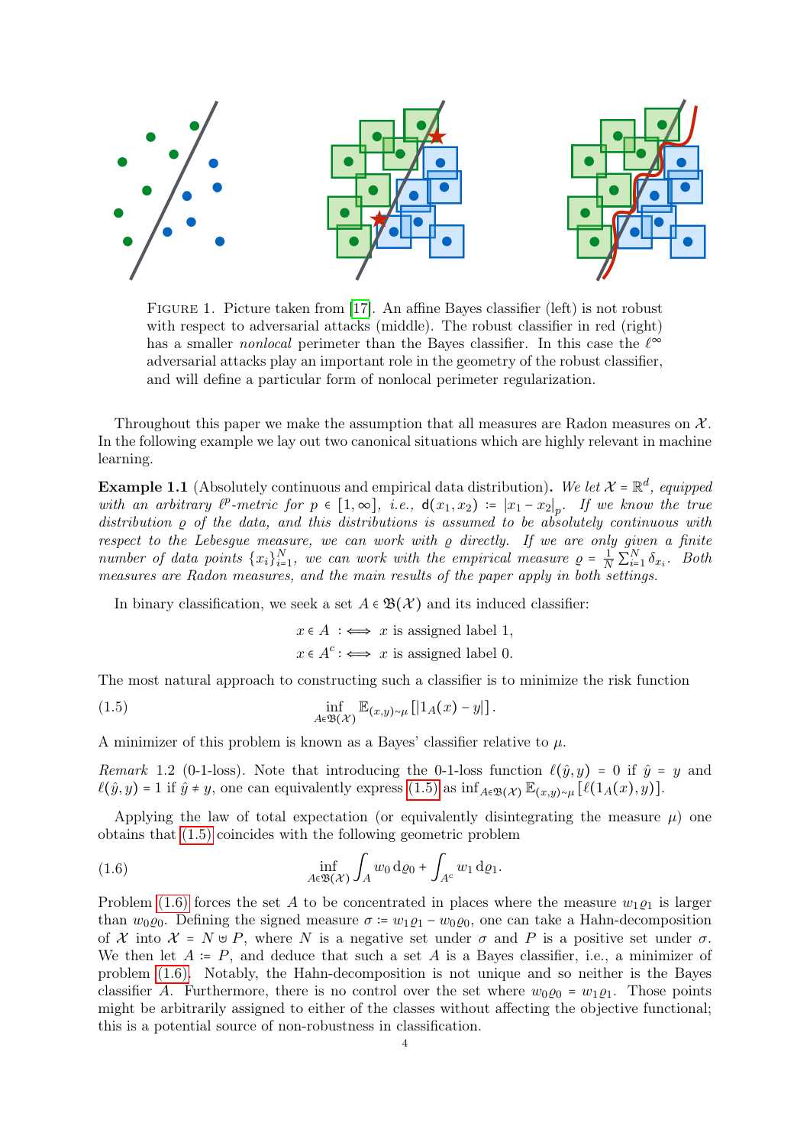

Figure 1. Picture taken from [\[17\]](#page-32-1). An affine Bayes classifier (left) is not robust with respect to adversarial attacks (middle). The robust classifier in red (right) has a smaller *nonlocal* perimeter than the Bayes classifier. In this case the  $\ell^{\infty}$ adversarial attacks play an important role in the geometry of the robust classifier, and will define a particular form of nonlocal perimeter regularization.

Throughout this paper we make the assumption that all measures are Radon measures on  $\mathcal{X}$ . In the following example we lay out two canonical situations which are highly relevant in machine learning.

**Example 1.1** (Absolutely continuous and empirical data distribution). We let  $\mathcal{X} = \mathbb{R}^d$ , equipped with an arbitrary  $\ell^p$ -metric for  $p \in [1,\infty]$ , i.e.,  $d(x_1,x_2) := |x_1 - x_2|_p$ . If we know the true distribution  $\rho$  of the data, and this distributions is assumed to be absolutely continuous with respect to the Lebesgue measure, we can work with  $\rho$  directly. If we are only given a finite number of data points  $\{x_i\}_{i=1}^N$ , we can work with the empirical measure  $\rho = \frac{1}{N} \sum_{i=1}^N \delta_{x_i}$ . Both measures are Radon measures, and the main results of the paper apply in both settings.

In binary classification, we seek a set  $A \in \mathfrak{B}(\mathcal{X})$  and its induced classifier:

 $x \in A$  :  $\iff x$  is assigned label 1,  $x \in A^c : \iff x$  is assigned label 0.

The most natural approach to constructing such a classifier is to minimize the risk function

<span id="page-3-0"></span>(1.5) 
$$
\inf_{A \in \mathfrak{B}(\mathcal{X})} \mathbb{E}_{(x,y)\sim \mu} [1_A(x) - y]].
$$

A minimizer of this problem is known as a Bayes' classifier relative to  $\mu$ .

Remark 1.2 (0-1-loss). Note that introducing the 0-1-loss function  $\ell(\hat{y}, y) = 0$  if  $\hat{y} = y$  and  $\ell(\hat{y}, y) = 1$  if  $\hat{y} \neq y$ , one can equivalently express [\(1.5\)](#page-3-0) as inf<sub>A∈B(X)</sub>  $\mathbb{E}_{(x,y) \sim \mu} [\ell(1_A(x), y)].$ 

Applying the law of total expectation (or equivalently disintegrating the measure  $\mu$ ) one obtains that [\(1.5\)](#page-3-0) coincides with the following geometric problem

<span id="page-3-1"></span>(1.6) 
$$
\inf_{A \in \mathfrak{B}(\mathcal{X})} \int_A w_0 \, \mathrm{d}\varrho_0 + \int_{A^c} w_1 \, \mathrm{d}\varrho_1.
$$

Problem [\(1.6\)](#page-3-1) forces the set A to be concentrated in places where the measure  $w_1 \rho_1$  is larger than  $w_0 \varrho_0$ . Defining the signed measure  $\sigma = w_1 \varrho_1 - w_0 \varrho_0$ , one can take a Hahn-decomposition of X into  $\mathcal{X} = N \cup P$ , where N is a negative set under  $\sigma$  and P is a positive set under  $\sigma$ . We then let  $A := P$ , and deduce that such a set A is a Bayes classifier, i.e., a minimizer of problem [\(1.6\).](#page-3-1) Notably, the Hahn-decomposition is not unique and so neither is the Bayes classifier A. Furthermore, there is no control over the set where  $w_0 \rho_0 = w_1 \rho_1$ . Those points might be arbitrarily assigned to either of the classes without affecting the objective functional; this is a potential source of non-robustness in classification.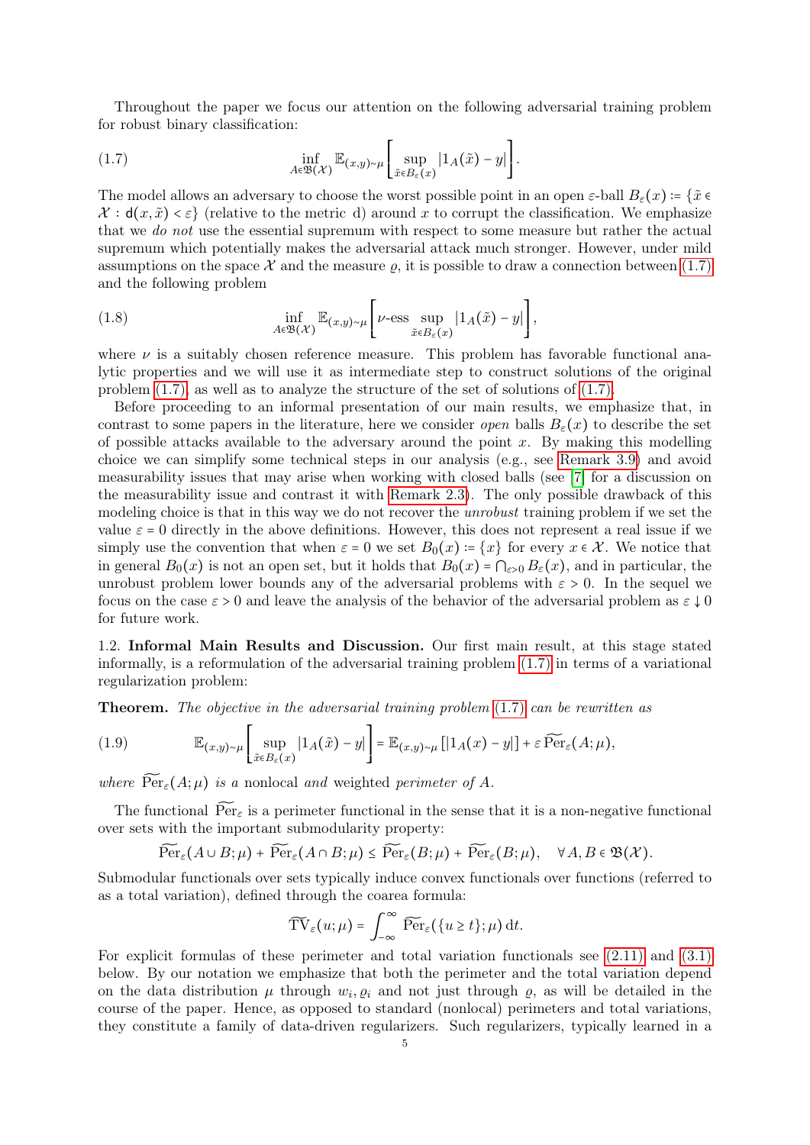Throughout the paper we focus our attention on the following adversarial training problem for robust binary classification:

<span id="page-4-1"></span>(1.7) 
$$
\inf_{A \in \mathfrak{B}(\mathcal{X})} \mathbb{E}_{(x,y)\sim \mu} \left[ \sup_{\tilde{x} \in B_{\varepsilon}(x)} |1_A(\tilde{x}) - y| \right].
$$

The model allows an adversary to choose the worst possible point in an open  $\varepsilon$ -ball  $B_{\varepsilon}(x) = {\tilde{x} \in \mathbb{R}^n}$  $\mathcal{X}: d(x, \tilde{x}) < \varepsilon$  (relative to the metric d) around x to corrupt the classification. We emphasize that we do not use the essential supremum with respect to some measure but rather the actual supremum which potentially makes the adversarial attack much stronger. However, under mild assumptions on the space X and the measure  $\rho$ , it is possible to draw a connection between [\(1.7\)](#page-4-1) and the following problem

<span id="page-4-2"></span>(1.8) 
$$
\inf_{A \in \mathfrak{B}(\mathcal{X})} \mathbb{E}_{(x,y) \sim \mu} \left[ \nu \text{-ess} \sup_{\tilde{x} \in B_{\varepsilon}(x)} |1_A(\tilde{x}) - y| \right],
$$

where  $\nu$  is a suitably chosen reference measure. This problem has favorable functional analytic properties and we will use it as intermediate step to construct solutions of the original problem [\(1.7\),](#page-4-1) as well as to analyze the structure of the set of solutions of [\(1.7\).](#page-4-1)

Before proceeding to an informal presentation of our main results, we emphasize that, in contrast to some papers in the literature, here we consider *open* balls  $B_{\varepsilon}(x)$  to describe the set of possible attacks available to the adversary around the point  $x$ . By making this modelling choice we can simplify some technical steps in our analysis (e.g., see [Remark 3.9\)](#page-15-1) and avoid measurability issues that may arise when working with closed balls (see [\[7\]](#page-32-3) for a discussion on the measurability issue and contrast it with [Remark 2.3\)](#page-7-0). The only possible drawback of this modeling choice is that in this way we do not recover the *unrobust* training problem if we set the value  $\varepsilon = 0$  directly in the above definitions. However, this does not represent a real issue if we simply use the convention that when  $\varepsilon = 0$  we set  $B_0(x) = \{x\}$  for every  $x \in \mathcal{X}$ . We notice that in general  $B_0(x)$  is not an open set, but it holds that  $B_0(x) = \bigcap_{\varepsilon>0} B_{\varepsilon}(x)$ , and in particular, the unrobust problem lower bounds any of the adversarial problems with  $\varepsilon > 0$ . In the sequel we focus on the case  $\varepsilon > 0$  and leave the analysis of the behavior of the adversarial problem as  $\varepsilon \downarrow 0$ for future work.

<span id="page-4-0"></span>1.2. Informal Main Results and Discussion. Our first main result, at this stage stated informally, is a reformulation of the adversarial training problem [\(1.7\)](#page-4-1) in terms of a variational regularization problem:

**Theorem.** The objective in the adversarial training problem  $(1.7)$  can be rewritten as

<span id="page-4-3"></span>(1.9) 
$$
\mathbb{E}_{(x,y)\sim\mu}\left[\sup_{\tilde{x}\in B_{\varepsilon}(x)}|1_A(\tilde{x})-y|\right]=\mathbb{E}_{(x,y)\sim\mu}[\left|1_A(x)-y|\right]+\varepsilon\,\widetilde{\text{Per}}_{\varepsilon}(A;\mu),
$$

where  $\widetilde{\operatorname{Per}}_{\varepsilon}(A;\mu)$  is a nonlocal and weighted perimeter of A.

The functional  $\widetilde{\text{Per}}_{\varepsilon}$  is a perimeter functional in the sense that it is a non-negative functional over sets with the important submodularity property:

$$
\widetilde{\operatorname{Per}}_\varepsilon(A\cup B;\mu)+\widetilde{\operatorname{Per}}_\varepsilon(A\cap B;\mu)\leq \widetilde{\operatorname{Per}}_\varepsilon(B;\mu)+\widetilde{\operatorname{Per}}_\varepsilon(B;\mu),\quad\forall\,A,B\in\mathfrak{B}(\mathcal{X}).
$$

Submodular functionals over sets typically induce convex functionals over functions (referred to as a total variation), defined through the coarea formula:

$$
\widetilde{\mathrm{TV}}_{\varepsilon}(u;\mu) = \int_{-\infty}^{\infty} \widetilde{\mathrm{Per}}_{\varepsilon}(\{u \ge t\};\mu) \,\mathrm{d}t.
$$

For explicit formulas of these perimeter and total variation functionals see [\(2.11\)](#page-9-1) and [\(3.1\)](#page-12-2) below. By our notation we emphasize that both the perimeter and the total variation depend on the data distribution  $\mu$  through  $w_i, \varrho_i$  and not just through  $\varrho$ , as will be detailed in the course of the paper. Hence, as opposed to standard (nonlocal) perimeters and total variations, they constitute a family of data-driven regularizers. Such regularizers, typically learned in a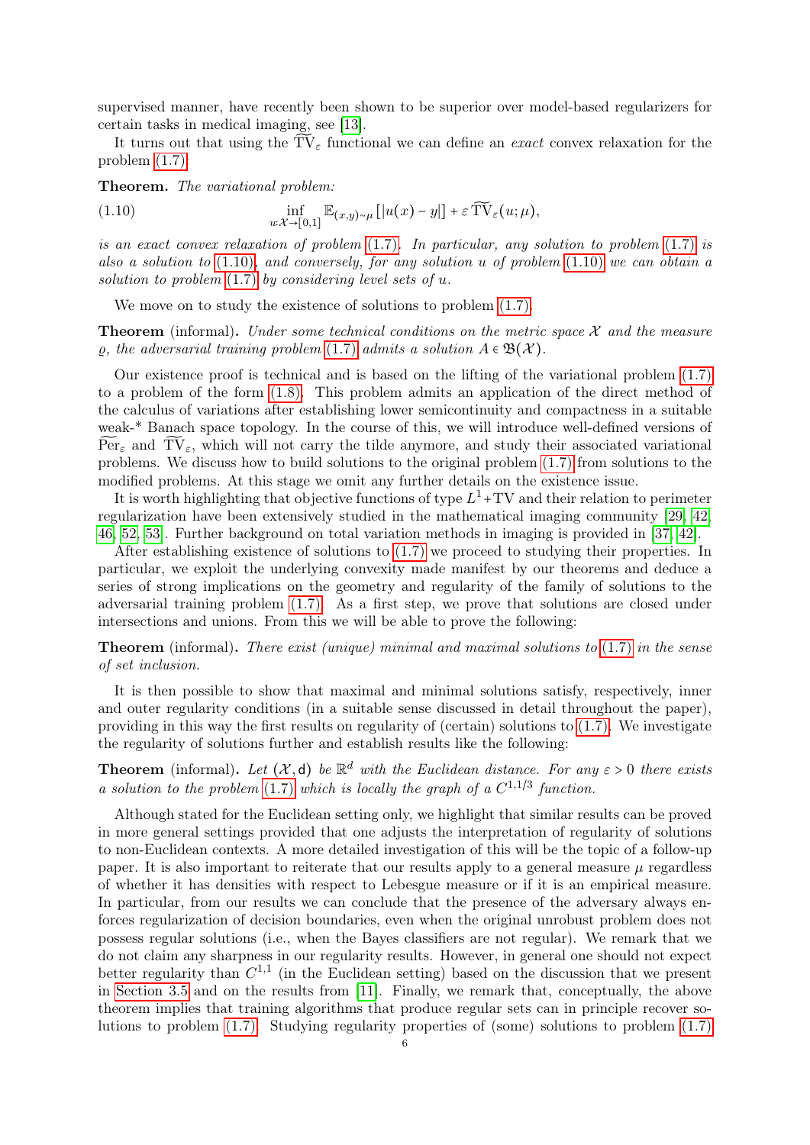supervised manner, have recently been shown to be superior over model-based regularizers for certain tasks in medical imaging, see [\[13\]](#page-32-12).

It turns out that using the  $\widetilde{TV}_{\varepsilon}$  functional we can define an *exact* convex relaxation for the problem [\(1.7\):](#page-4-1)

Theorem. The variational problem:

<span id="page-5-0"></span>(1.10) 
$$
\inf_{u:\mathcal{X}\to[0,1]}\mathbb{E}_{(x,y)\sim\mu}[[u(x)-y]]+\varepsilon \widetilde{\mathrm{TV}}_{\varepsilon}(u;\mu),
$$

is an exact convex relaxation of problem  $(1.7)$ . In particular, any solution to problem  $(1.7)$  is also a solution to  $(1.10)$ , and conversely, for any solution u of problem  $(1.10)$  we can obtain a solution to problem  $(1.7)$  by considering level sets of u.

We move on to study the existence of solutions to problem  $(1.7)$ .

**Theorem** (informal). Under some technical conditions on the metric space  $\mathcal{X}$  and the measure  $\varrho$ , the adversarial training problem [\(1.7\)](#page-4-1) admits a solution  $A \in \mathfrak{B}(\mathcal{X})$ .

Our existence proof is technical and is based on the lifting of the variational problem [\(1.7\)](#page-4-1) to a problem of the form [\(1.8\).](#page-4-2) This problem admits an application of the direct method of the calculus of variations after establishing lower semicontinuity and compactness in a suitable weak-\* Banach space topology. In the course of this, we will introduce well-defined versions of  $\widetilde{\text{Per}}_{\varepsilon}$  and  $\widetilde{\text{TV}}_{\varepsilon}$ , which will not carry the tilde anymore, and study their associated variational problems. We discuss how to build solutions to the original problem [\(1.7\)](#page-4-1) from solutions to the modified problems. At this stage we omit any further details on the existence issue.

It is worth highlighting that objective functions of type  $L^1$ +TV and their relation to perimeter regularization have been extensively studied in the mathematical imaging community [\[29,](#page-33-6) [42,](#page-33-3) [46,](#page-34-3) [52,](#page-34-4) [53\]](#page-34-5). Further background on total variation methods in imaging is provided in [\[37,](#page-33-2) [42\]](#page-33-3).

After establishing existence of solutions to [\(1.7\)](#page-4-1) we proceed to studying their properties. In particular, we exploit the underlying convexity made manifest by our theorems and deduce a series of strong implications on the geometry and regularity of the family of solutions to the adversarial training problem [\(1.7\).](#page-4-1) As a first step, we prove that solutions are closed under intersections and unions. From this we will be able to prove the following:

**Theorem** (informal). There exist (unique) minimal and maximal solutions to  $(1.7)$  in the sense of set inclusion.

It is then possible to show that maximal and minimal solutions satisfy, respectively, inner and outer regularity conditions (in a suitable sense discussed in detail throughout the paper), providing in this way the first results on regularity of (certain) solutions to [\(1.7\).](#page-4-1) We investigate the regularity of solutions further and establish results like the following:

**Theorem** (informal). Let  $(X, d)$  be  $\mathbb{R}^d$  with the Euclidean distance. For any  $\varepsilon > 0$  there exists a solution to the problem [\(1.7\)](#page-4-1) which is locally the graph of a  $C^{1,1/3}$  function.

Although stated for the Euclidean setting only, we highlight that similar results can be proved in more general settings provided that one adjusts the interpretation of regularity of solutions to non-Euclidean contexts. A more detailed investigation of this will be the topic of a follow-up paper. It is also important to reiterate that our results apply to a general measure  $\mu$  regardless of whether it has densities with respect to Lebesgue measure or if it is an empirical measure. In particular, from our results we can conclude that the presence of the adversary always enforces regularization of decision boundaries, even when the original unrobust problem does not possess regular solutions (i.e., when the Bayes classifiers are not regular). We remark that we do not claim any sharpness in our regularity results. However, in general one should not expect better regularity than  $C^{1,1}$  (in the Euclidean setting) based on the discussion that we present in [Section 3.5](#page-21-0) and on the results from [\[11\]](#page-32-13). Finally, we remark that, conceptually, the above theorem implies that training algorithms that produce regular sets can in principle recover solutions to problem [\(1.7\).](#page-4-1) Studying regularity properties of (some) solutions to problem [\(1.7\)](#page-4-1)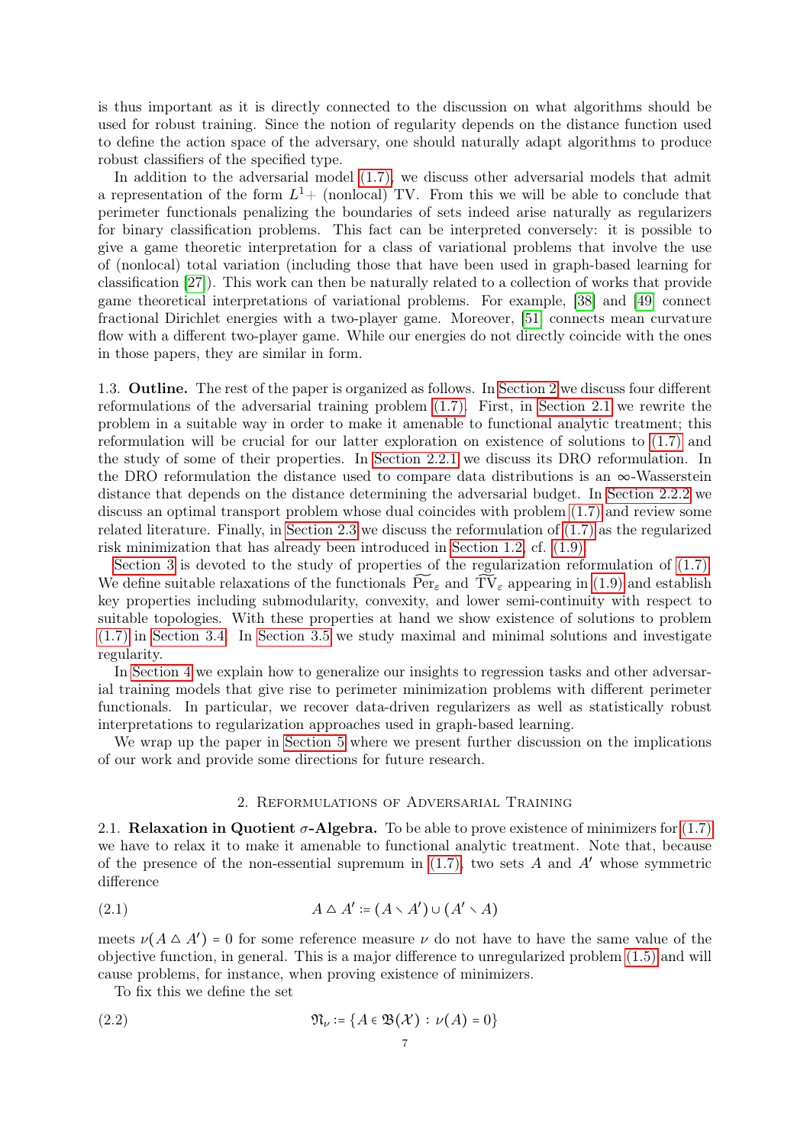is thus important as it is directly connected to the discussion on what algorithms should be used for robust training. Since the notion of regularity depends on the distance function used to define the action space of the adversary, one should naturally adapt algorithms to produce robust classifiers of the specified type.

In addition to the adversarial model [\(1.7\),](#page-4-1) we discuss other adversarial models that admit a representation of the form  $L^1$ + (nonlocal) TV. From this we will be able to conclude that perimeter functionals penalizing the boundaries of sets indeed arise naturally as regularizers for binary classification problems. This fact can be interpreted conversely: it is possible to give a game theoretic interpretation for a class of variational problems that involve the use of (nonlocal) total variation (including those that have been used in graph-based learning for classification [\[27\]](#page-33-7)). This work can then be naturally related to a collection of works that provide game theoretical interpretations of variational problems. For example, [\[38\]](#page-33-8) and [\[49\]](#page-34-6) connect fractional Dirichlet energies with a two-player game. Moreover, [\[51\]](#page-34-7) connects mean curvature flow with a different two-player game. While our energies do not directly coincide with the ones in those papers, they are similar in form.

<span id="page-6-0"></span>1.3. Outline. The rest of the paper is organized as follows. In [Section 2](#page-6-1) we discuss four different reformulations of the adversarial training problem [\(1.7\).](#page-4-1) First, in [Section 2.1](#page-6-2) we rewrite the problem in a suitable way in order to make it amenable to functional analytic treatment; this reformulation will be crucial for our latter exploration on existence of solutions to [\(1.7\)](#page-4-1) and the study of some of their properties. In [Section 2.2.1](#page-8-1) we discuss its DRO reformulation. In the DRO reformulation the distance used to compare data distributions is an  $\infty$ -Wasserstein distance that depends on the distance determining the adversarial budget. In [Section 2.2.2](#page-8-2) we discuss an optimal transport problem whose dual coincides with problem [\(1.7\)](#page-4-1) and review some related literature. Finally, in [Section 2.3](#page-9-0) we discuss the reformulation of [\(1.7\)](#page-4-1) as the regularized risk minimization that has already been introduced in [Section 1.2,](#page-4-0) cf. [\(1.9\).](#page-4-3)

[Section 3](#page-11-0) is devoted to the study of properties of the regularization reformulation of  $(1.7)$ . We define suitable relaxations of the functionals  $\widetilde{\text{Per}}_{\varepsilon}$  and  $\widetilde{\text{TV}}_{\varepsilon}$  appearing in [\(1.9\)](#page-4-3) and establish key properties including submodularity, convexity, and lower semi-continuity with respect to suitable topologies. With these properties at hand we show existence of solutions to problem [\(1.7\)](#page-4-1) in [Section 3.4.](#page-20-0) In [Section 3.5](#page-21-0) we study maximal and minimal solutions and investigate regularity.

In [Section 4](#page-28-0) we explain how to generalize our insights to regression tasks and other adversarial training models that give rise to perimeter minimization problems with different perimeter functionals. In particular, we recover data-driven regularizers as well as statistically robust interpretations to regularization approaches used in graph-based learning.

We wrap up the paper in [Section 5](#page-30-1) where we present further discussion on the implications of our work and provide some directions for future research.

# 2. Reformulations of Adversarial Training

<span id="page-6-2"></span><span id="page-6-1"></span>2.1. Relaxation in Quotient  $\sigma$ -Algebra. To be able to prove existence of minimizers for [\(1.7\)](#page-4-1) we have to relax it to make it amenable to functional analytic treatment. Note that, because of the presence of the non-essential supremum in  $(1.7)$ , two sets A and A' whose symmetric difference

$$
(2.1) \qquad \qquad A \triangle A' \coloneqq (A \setminus A') \cup (A' \setminus A)
$$

meets  $\nu(A \triangle A') = 0$  for some reference measure  $\nu$  do not have to have the same value of the objective function, in general. This is a major difference to unregularized problem [\(1.5\)](#page-3-0) and will cause problems, for instance, when proving existence of minimizers.

To fix this we define the set

(2.2) 
$$
\mathfrak{N}_{\nu} \coloneqq \{A \in \mathfrak{B}(\mathcal{X}) : \nu(A) = 0\}
$$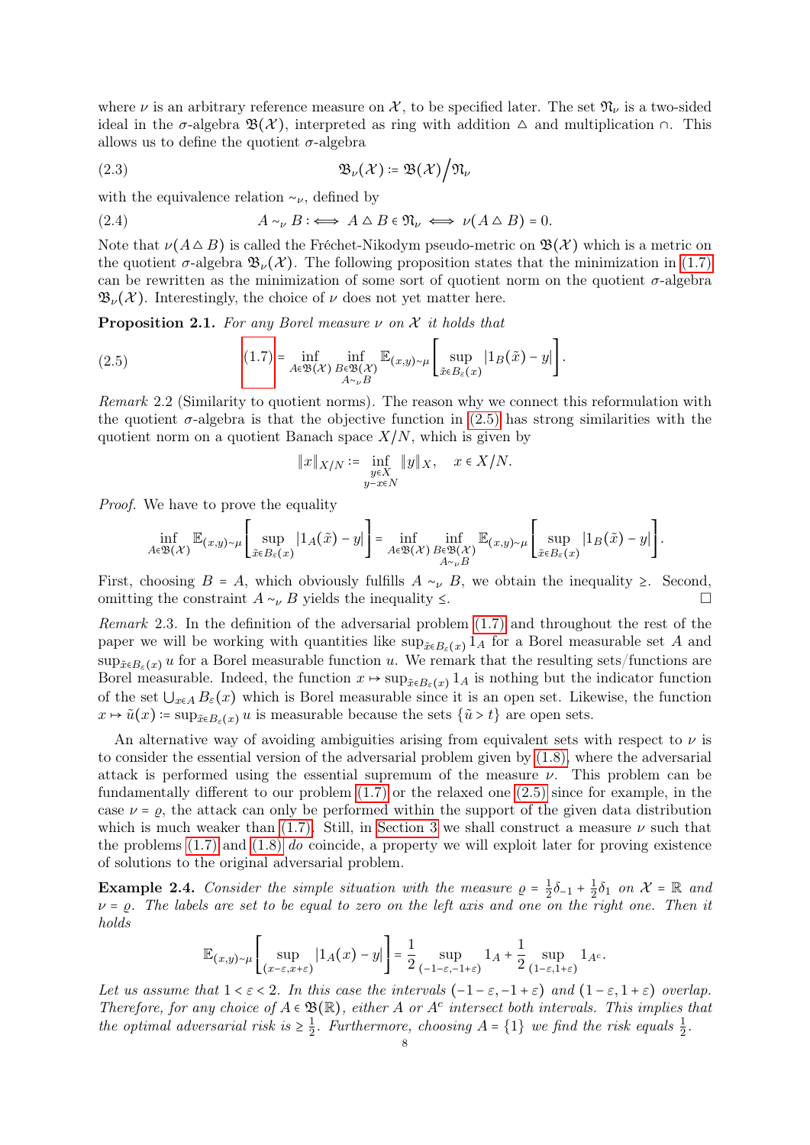where  $\nu$  is an arbitrary reference measure on X, to be specified later. The set  $\mathfrak{N}_{\nu}$  is a two-sided ideal in the  $\sigma$ -algebra  $\mathfrak{B}(\mathcal{X})$ , interpreted as ring with addition  $\Delta$  and multiplication  $\cap$ . This allows us to define the quotient  $\sigma$ -algebra

$$
\mathfrak{B}_{\nu}(\mathcal{X}) = \mathfrak{B}(\mathcal{X})/\mathfrak{N}_{\nu}
$$

with the equivalence relation  $\sim_{\nu}$ , defined by

<span id="page-7-3"></span>(2.4) 
$$
A \sim_{\nu} B : \iff A \triangle B \in \mathfrak{N}_{\nu} \iff \nu(A \triangle B) = 0.
$$

Note that  $\nu(A \triangle B)$  is called the Fréchet-Nikodym pseudo-metric on  $\mathfrak{B}(\mathcal{X})$  which is a metric on the quotient  $\sigma$ -algebra  $\mathfrak{B}_{\nu}(\mathcal{X})$ . The following proposition states that the minimization in [\(1.7\)](#page-4-1) can be rewritten as the minimization of some sort of quotient norm on the quotient  $\sigma$ -algebra  $\mathfrak{B}_{\nu}(\mathcal{X})$ . Interestingly, the choice of  $\nu$  does not yet matter here.

<span id="page-7-2"></span>**Proposition 2.1.** For any Borel measure  $\nu$  on  $\chi$  it holds that

<span id="page-7-1"></span>(2.5) 
$$
(1.7) = \inf_{A \in \mathfrak{B}(\mathcal{X})} \inf_{\substack{B \in \mathfrak{B}(\mathcal{X}) \\ A \sim_{\nu} B}} \mathbb{E}_{(x,y) \sim \mu} \left[ \sup_{\tilde{x} \in B_{\varepsilon}(x)} |1_B(\tilde{x}) - y| \right].
$$

Remark 2.2 (Similarity to quotient norms). The reason why we connect this reformulation with the quotient  $\sigma$ -algebra is that the objective function in [\(2.5\)](#page-7-1) has strong similarities with the quotient norm on a quotient Banach space  $X/N$ , which is given by

$$
\|x\|_{X/N} \coloneqq \inf_{\substack{y \in X \\ y - x \in N}} \|y\|_X, \quad x \in X/N.
$$

Proof. We have to prove the equality

$$
\inf_{A\in\mathfrak{B}(\mathcal{X})} \mathbb{E}_{(x,y)\sim\mu} \left[ \sup_{\tilde{x}\in B_\varepsilon(x)} \left| 1_A(\tilde{x}) - y \right| \right] = \inf_{\substack{A\in\mathfrak{B}(\mathcal{X}) \\ A\sim_\nu B}} \inf_{\substack{B\in\mathfrak{B}(\mathcal{X}) \\ A\sim_\nu B}} \mathbb{E}_{(x,y)\sim\mu} \left[ \sup_{\tilde{x}\in B_\varepsilon(x)} \left| 1_B(\tilde{x}) - y \right| \right].
$$

First, choosing  $B = A$ , which obviously fulfills  $A \sim_{\nu} B$ , we obtain the inequality ≥. Second, omitting the constraint  $A \sim_{\nu} B$  yields the inequality  $\leq$ .

<span id="page-7-0"></span>Remark 2.3. In the definition of the adversarial problem [\(1.7\)](#page-4-1) and throughout the rest of the paper we will be working with quantities like sup $_{\tilde{x} \in B_{\varepsilon}(x)} 1_A$  for a Borel measurable set A and  $\sup_{\tilde{x}\in B_{\varepsilon}(x)} u$  for a Borel measurable function u. We remark that the resulting sets/functions are Borel measurable. Indeed, the function  $x \mapsto \sup_{\tilde{x} \in B_{\varepsilon}(x)} 1_A$  is nothing but the indicator function of the set  $\bigcup_{x\in A} B_{\varepsilon}(x)$  which is Borel measurable since it is an open set. Likewise, the function  $x \mapsto \tilde{u}(x) = \sup_{\tilde{x} \in B_{\varepsilon}(x)} u$  is measurable because the sets  $\{\tilde{u} > t\}$  are open sets.

An alternative way of avoiding ambiguities arising from equivalent sets with respect to  $\nu$  is to consider the essential version of the adversarial problem given by [\(1.8\),](#page-4-2) where the adversarial attack is performed using the essential supremum of the measure  $\nu$ . This problem can be fundamentally different to our problem [\(1.7\)](#page-4-1) or the relaxed one [\(2.5\)](#page-7-1) since for example, in the case  $\nu = \rho$ , the attack can only be performed within the support of the given data distribution which is much weaker than [\(1.7\).](#page-4-1) Still, in [Section 3](#page-11-0) we shall construct a measure  $\nu$  such that the problems [\(1.7\)](#page-4-1) and [\(1.8\)](#page-4-2) do coincide, a property we will exploit later for proving existence of solutions to the original adversarial problem.

**Example 2.4.** Consider the simple situation with the measure  $\rho = \frac{1}{2}$  $rac{1}{2}\delta_{-1} + \frac{1}{2}$  $\frac{1}{2}\delta_1$  on  $\mathcal{X} = \mathbb{R}$  and  $\nu = \rho$ . The labels are set to be equal to zero on the left axis and one on the right one. Then it holds

$$
\mathbb{E}_{(x,y)\sim \mu}\left[\sup_{(x-\varepsilon, x+\varepsilon)}|1_A(x)-y|\right] = \frac{1}{2}\sup_{(-1-\varepsilon, -1+\varepsilon)}1_A + \frac{1}{2}\sup_{(1-\varepsilon, 1+\varepsilon)}1_A.
$$

Let us assume that  $1 < \varepsilon < 2$ . In this case the intervals  $(-1 - \varepsilon, -1 + \varepsilon)$  and  $(1 - \varepsilon, 1 + \varepsilon)$  overlap. Therefore, for any choice of  $A \in \mathfrak{B}(\mathbb{R})$ , either A or A<sup>c</sup> intersect both intervals. This implies that the optimal adversarial risk is  $\geq \frac{1}{2}$  $\frac{1}{2}$ . Furthermore, choosing  $A = \{1\}$  we find the risk equals  $\frac{1}{2}$ .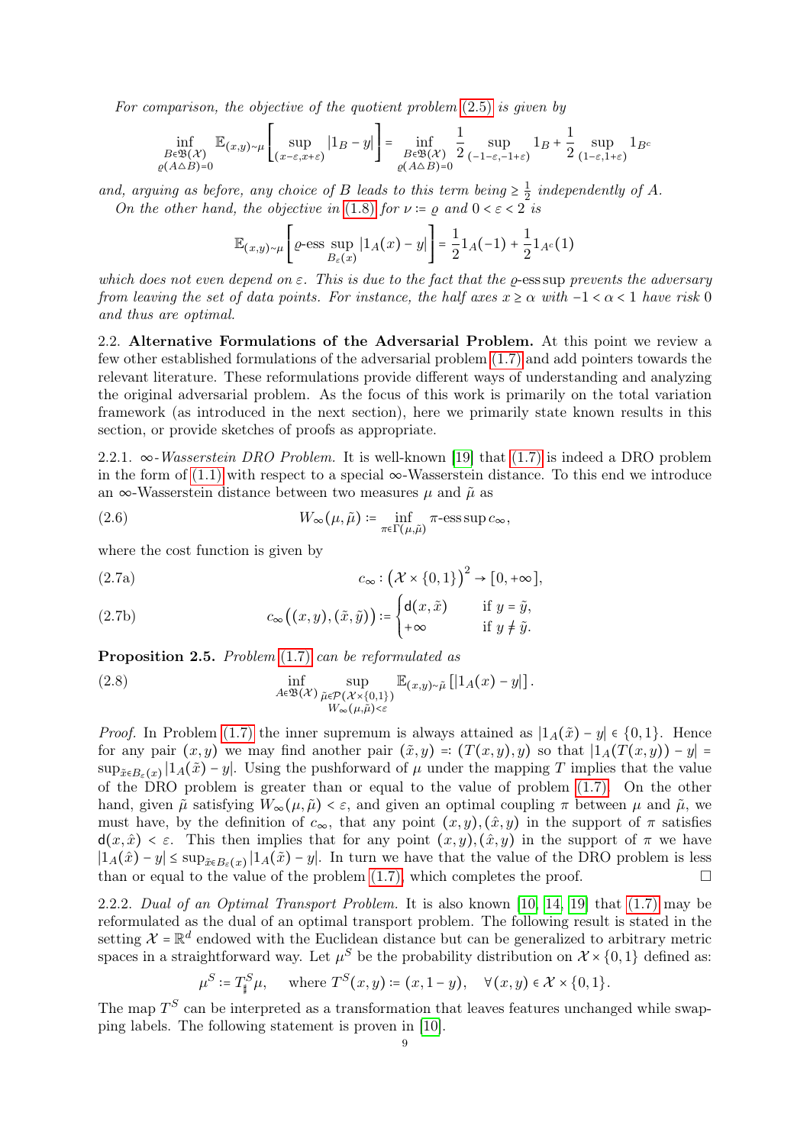For comparison, the objective of the quotient problem [\(2.5\)](#page-7-1) is given by

$$
\inf_{\substack{B \in \mathfrak{B}(\mathcal{X}) \\ \varrho(A \triangle B)=0}} \mathbb{E}_{(x,y) \sim \mu} \left[ \sup_{(x-\varepsilon, x+\varepsilon)} |1_B - y| \right] = \inf_{\substack{B \in \mathfrak{B}(\mathcal{X}) \\ \varrho(A \triangle B)=0}} \frac{1}{2} \sup_{(-1-\varepsilon, -1+\varepsilon)} 1_B + \frac{1}{2} \sup_{(1-\varepsilon, 1+\varepsilon)} 1_{B^c}
$$

and, arguing as before, any choice of B leads to this term being  $\geq \frac{1}{2}$  $rac{1}{2}$  independently of A. On the other hand, the objective in [\(1.8\)](#page-4-2) for  $\nu = \rho$  and  $0 < \varepsilon < 2$  is

$$
\mathbb{E}_{(x,y)\sim\mu}\left[\varrho\text{-}\mathrm{ess}\sup_{B_\varepsilon(x)}\left|1_A(x)-y\right|\right]=\frac{1}{2}1_A(-1)+\frac{1}{2}1_{A^c}(1)
$$

which does not even depend on  $\varepsilon$ . This is due to the fact that the  $\rho$ -ess sup prevents the adversary from leaving the set of data points. For instance, the half axes  $x \ge \alpha$  with  $-1 < \alpha < 1$  have risk 0 and thus are optimal.

<span id="page-8-0"></span>2.2. Alternative Formulations of the Adversarial Problem. At this point we review a few other established formulations of the adversarial problem [\(1.7\)](#page-4-1) and add pointers towards the relevant literature. These reformulations provide different ways of understanding and analyzing the original adversarial problem. As the focus of this work is primarily on the total variation framework (as introduced in the next section), here we primarily state known results in this section, or provide sketches of proofs as appropriate.

<span id="page-8-1"></span>2.2.1.  $\infty$ -Wasserstein DRO Problem. It is well-known [\[19\]](#page-32-14) that [\(1.7\)](#page-4-1) is indeed a DRO problem in the form of  $(1.1)$  with respect to a special  $\infty$ -Wasserstein distance. To this end we introduce an ∞-Wasserstein distance between two measures  $\mu$  and  $\tilde{\mu}$  as

(2.6) 
$$
W_{\infty}(\mu, \tilde{\mu}) \coloneqq \inf_{\pi \in \Gamma(\mu, \tilde{\mu})} \pi\text{-ess} \sup c_{\infty},
$$

where the cost function is given by

(2.7a) 
$$
c_{\infty}: (\mathcal{X} \times \{0,1\})^2 \to [0,+\infty],
$$

(2.7b) 
$$
c_{\infty}((x,y),(\tilde{x},\tilde{y})) \coloneqq \begin{cases} d(x,\tilde{x}) & \text{if } y = \tilde{y}, \\ +\infty & \text{if } y \neq \tilde{y}. \end{cases}
$$

Proposition 2.5. Problem  $(1.7)$  can be reformulated as

(2.8) 
$$
\inf_{\substack{A \in \mathfrak{B}(\mathcal{X}) \\ W_{\infty}(\mu, \tilde{\mu}) < \varepsilon}} \mathbb{E}_{(x,y) \sim \tilde{\mu}} \left[ |1_A(x) - y| \right].
$$

*Proof.* In Problem [\(1.7\)](#page-4-1) the inner supremum is always attained as  $|1_A(\tilde{x}) - y| \in \{0, 1\}$ . Hence for any pair  $(x, y)$  we may find another pair  $(\tilde{x}, y) = (T(x, y), y)$  so that  $|1_A(T(x, y)) - y| =$  $\sup_{\tilde{x}\in B_{\varepsilon}(x)}|1_A(\tilde{x})-y|$ . Using the pushforward of  $\mu$  under the mapping T implies that the value of the DRO problem is greater than or equal to the value of problem [\(1.7\).](#page-4-1) On the other hand, given  $\tilde{\mu}$  satisfying  $W_{\infty}(\mu, \tilde{\mu}) < \varepsilon$ , and given an optimal coupling  $\pi$  between  $\mu$  and  $\tilde{\mu}$ , we must have, by the definition of  $c_{\infty}$ , that any point  $(x, y), (\hat{x}, y)$  in the support of  $\pi$  satisfies  $d(x, \hat{x}) < \varepsilon$ . This then implies that for any point  $(x, y), (\hat{x}, y)$  in the support of  $\pi$  we have  $|1_A(\hat{x}) - y| \leq \sup_{\tilde{x} \in B_{\varepsilon}(x)} |1_A(\tilde{x}) - y|$ . In turn we have that the value of the DRO problem is less than or equal to the value of the problem  $(1.7)$ , which completes the proof.

<span id="page-8-2"></span>2.2.2. Dual of an Optimal Transport Problem. It is also known [\[10,](#page-32-11) [14,](#page-32-15) [19\]](#page-32-14) that [\(1.7\)](#page-4-1) may be reformulated as the dual of an optimal transport problem. The following result is stated in the setting  $\mathcal{X} = \mathbb{R}^d$  endowed with the Euclidean distance but can be generalized to arbitrary metric spaces in a straightforward way. Let  $\mu^S$  be the probability distribution on  $\mathcal{X} \times \{0,1\}$  defined as:

$$
\mu^S \coloneqq T^S_{\sharp} \mu, \quad \text{where } T^S(x, y) \coloneqq (x, 1 - y), \quad \forall (x, y) \in \mathcal{X} \times \{0, 1\}.
$$

The map  $T<sup>S</sup>$  can be interpreted as a transformation that leaves features unchanged while swapping labels. The following statement is proven in [\[10\]](#page-32-11).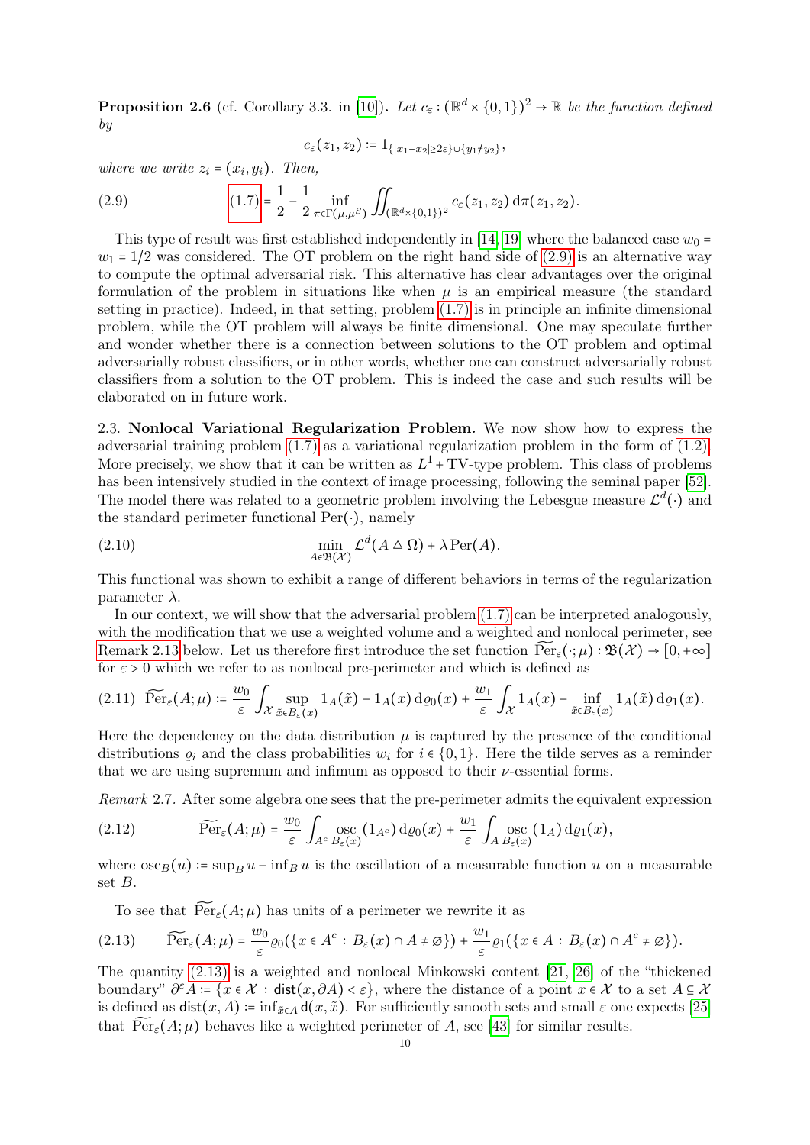**Proposition 2.6** (cf. Corollary 3.3. in [\[10\]](#page-32-11)). Let  $c_{\varepsilon} : (\mathbb{R}^d \times \{0,1\})^2 \to \mathbb{R}$  be the function defined by

<span id="page-9-2"></span>
$$
c_{\varepsilon}(z_1, z_2) \coloneqq 1_{\{|x_1-x_2|\geq 2\varepsilon\}\cup \{y_1\neq y_2\}},
$$

where we write  $z_i = (x_i, y_i)$ . Then,

(2.9) 
$$
(1.7) = \frac{1}{2} - \frac{1}{2} \inf_{\pi \in \Gamma(\mu, \mu^S)} \iint_{(\mathbb{R}^d \times \{0, 1\})^2} c_{\varepsilon}(z_1, z_2) d\pi(z_1, z_2).
$$

This type of result was first established independently in [\[14,](#page-32-15) [19\]](#page-32-14) where the balanced case  $w_0$  =  $w_1 = 1/2$  was considered. The OT problem on the right hand side of  $(2.9)$  is an alternative way to compute the optimal adversarial risk. This alternative has clear advantages over the original formulation of the problem in situations like when  $\mu$  is an empirical measure (the standard setting in practice). Indeed, in that setting, problem [\(1.7\)](#page-4-1) is in principle an infinite dimensional problem, while the OT problem will always be finite dimensional. One may speculate further and wonder whether there is a connection between solutions to the OT problem and optimal adversarially robust classifiers, or in other words, whether one can construct adversarially robust classifiers from a solution to the OT problem. This is indeed the case and such results will be elaborated on in future work.

<span id="page-9-0"></span>2.3. Nonlocal Variational Regularization Problem. We now show how to express the adversarial training problem [\(1.7\)](#page-4-1) as a variational regularization problem in the form of [\(1.2\).](#page-1-3) More precisely, we show that it can be written as  $L^1$  + TV-type problem. This class of problems has been intensively studied in the context of image processing, following the seminal paper [\[52\]](#page-34-4). The model there was related to a geometric problem involving the Lebesgue measure  $\mathcal{L}^d(\cdot)$  and the standard perimeter functional  $Per(\cdot)$ , namely

<span id="page-9-4"></span>(2.10) 
$$
\min_{A \in \mathfrak{B}(\mathcal{X})} \mathcal{L}^d(A \triangle \Omega) + \lambda \operatorname{Per}(A).
$$

This functional was shown to exhibit a range of different behaviors in terms of the regularization parameter  $\lambda$ .

In our context, we will show that the adversarial problem  $(1.7)$  can be interpreted analogously, with the modification that we use a weighted volume and a weighted and nonlocal perimeter, see [Remark 2.13](#page-11-1) below. Let us therefore first introduce the set function  $\widetilde{\operatorname{Per}}_{\varepsilon}(\cdot;\mu): \mathfrak{B}(\mathcal{X}) \to [0,+\infty]$ for  $\varepsilon > 0$  which we refer to as nonlocal pre-perimeter and which is defined as

<span id="page-9-1"></span>
$$
(2.11) \quad \widetilde{\text{Per}}_{\varepsilon}(A;\mu) \coloneqq \frac{w_0}{\varepsilon} \int_{\mathcal{X}} \sup_{\tilde{x} \in B_{\varepsilon}(x)} 1_A(\tilde{x}) - 1_A(x) \, d\varrho_0(x) + \frac{w_1}{\varepsilon} \int_{\mathcal{X}} 1_A(x) - \inf_{\tilde{x} \in B_{\varepsilon}(x)} 1_A(\tilde{x}) \, d\varrho_1(x).
$$

Here the dependency on the data distribution  $\mu$  is captured by the presence of the conditional distributions  $\rho_i$  and the class probabilities  $w_i$  for  $i \in \{0,1\}$ . Here the tilde serves as a reminder that we are using supremum and infimum as opposed to their  $\nu$ -essential forms.

Remark 2.7. After some algebra one sees that the pre-perimeter admits the equivalent expression

(2.12) 
$$
\widetilde{\text{Per}}_{\varepsilon}(A;\mu) = \frac{w_0}{\varepsilon} \int_{A^c} \operatorname*{osc}_{\varepsilon}(1_{A^c}) \,d\varrho_0(x) + \frac{w_1}{\varepsilon} \int_{A} \operatorname*{osc}_{\varepsilon}(1_A) \,d\varrho_1(x),
$$

where  $\csc_B(u)$  :=  $\sup_B u$  –  $\inf_B u$  is the oscillation of a measurable function u on a measurable set B.

To see that  $\widetilde{\text{Per}}_{\varepsilon}(A;\mu)$  has units of a perimeter we rewrite it as

<span id="page-9-3"></span>
$$
(2.13) \qquad \widetilde{\text{Per}}_{\varepsilon}(A;\mu) = \frac{w_0}{\varepsilon} \varrho_0(\{x \in A^c : B_{\varepsilon}(x) \cap A \neq \varnothing\}) + \frac{w_1}{\varepsilon} \varrho_1(\{x \in A : B_{\varepsilon}(x) \cap A^c \neq \varnothing\}).
$$

The quantity [\(2.13\)](#page-9-3) is a weighted and nonlocal Minkowski content [\[21,](#page-32-16) [26\]](#page-33-9) of the "thickened boundary"  $\partial^{\varepsilon} A = \{x \in \mathcal{X} : \text{dist}(x, \partial A) \leq \varepsilon\}$ , where the distance of a point  $x \in \mathcal{X}$  to a set  $A \subseteq \mathcal{X}$ is defined as  $dist(x, A) = inf_{\tilde{x} \in A} d(x, \tilde{x})$ . For sufficiently smooth sets and small  $\varepsilon$  one expects [\[25\]](#page-33-10) that  $\widetilde{\text{Per}}_{\varepsilon}(A;\mu)$  behaves like a weighted perimeter of A, see [\[43\]](#page-33-11) for similar results.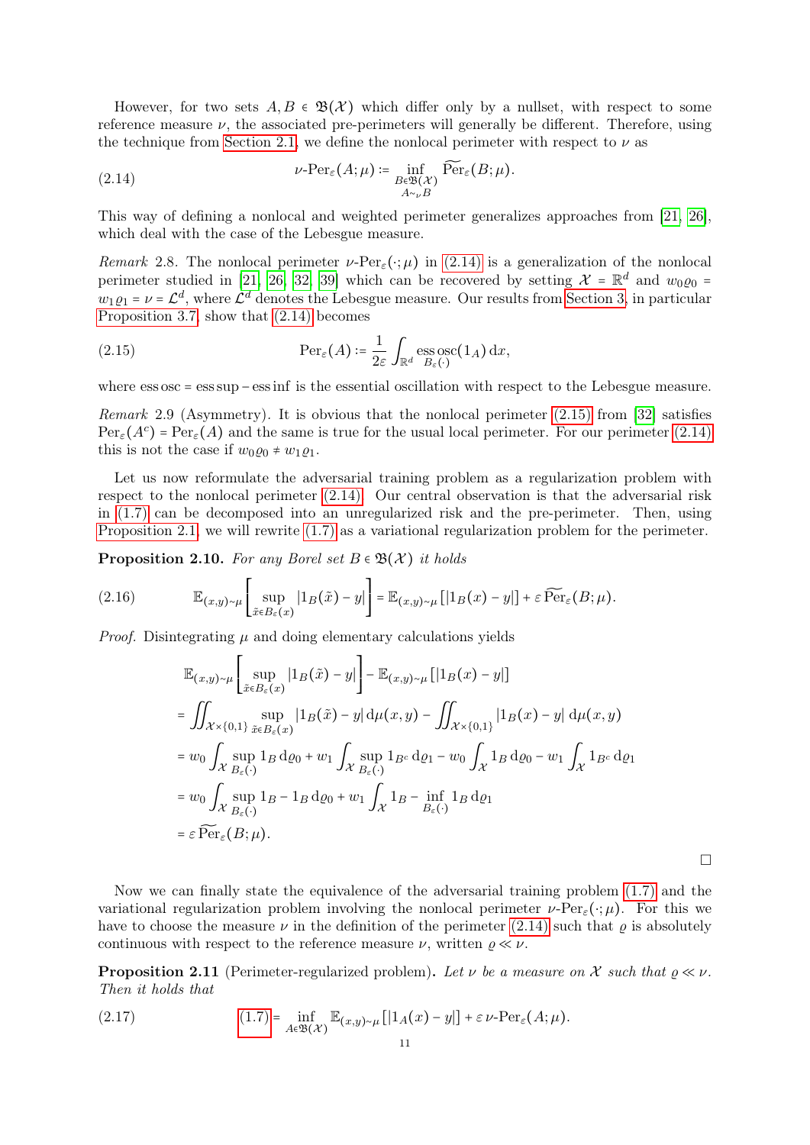However, for two sets  $A, B \in \mathfrak{B}(\mathcal{X})$  which differ only by a nullset, with respect to some reference measure  $\nu$ , the associated pre-perimeters will generally be different. Therefore, using the technique from [Section 2.1,](#page-6-2) we define the nonlocal perimeter with respect to  $\nu$  as

<span id="page-10-0"></span>(2.14) 
$$
\nu\text{-Per}_{\varepsilon}(A;\mu) \coloneqq \inf_{\substack{B\in\mathfrak{B}(\mathcal{X})\\ A\sim_{\nu}B}} \widetilde{\text{Per}}_{\varepsilon}(B;\mu).
$$

This way of defining a nonlocal and weighted perimeter generalizes approaches from [\[21,](#page-32-16) [26\]](#page-33-9), which deal with the case of the Lebesgue measure.

Remark 2.8. The nonlocal perimeter  $\nu$ -Per<sub> $\varepsilon(\cdot;\mu)$ </sub> in [\(2.14\)](#page-10-0) is a generalization of the nonlocal perimeter studied in [\[21,](#page-32-16) [26,](#page-33-9) [32,](#page-33-12) [39\]](#page-33-13) which can be recovered by setting  $\mathcal{X} = \mathbb{R}^d$  and  $w_0 \varrho_0 =$  $w_1 \varrho_1 = \nu = \mathcal{L}^d$ , where  $\mathcal{L}^d$  denotes the Lebesgue measure. Our results from [Section 3,](#page-11-0) in particular [Proposition 3.7,](#page-14-0) show that [\(2.14\)](#page-10-0) becomes

<span id="page-10-1"></span>(2.15) 
$$
\operatorname{Per}_{\varepsilon}(A) \coloneqq \frac{1}{2\varepsilon} \int_{\mathbb{R}^d} \operatorname{ess} \operatorname{osc}(1_A) \, dx,
$$

where  $\text{ess} \, \text{osc} = \text{ess} \, \text{sup} - \text{ess} \, \text{inf}$  is the essential oscillation with respect to the Lebesgue measure.

*Remark* 2.9 (Asymmetry). It is obvious that the nonlocal perimeter  $(2.15)$  from [\[32\]](#page-33-12) satisfies  $\text{Per}_{\varepsilon}(A^c) = \text{Per}_{\varepsilon}(A)$  and the same is true for the usual local perimeter. For our perimeter [\(2.14\)](#page-10-0) this is not the case if  $w_0 \varrho_0 \neq w_1 \varrho_1$ .

Let us now reformulate the adversarial training problem as a regularization problem with respect to the nonlocal perimeter [\(2.14\).](#page-10-0) Our central observation is that the adversarial risk in [\(1.7\)](#page-4-1) can be decomposed into an unregularized risk and the pre-perimeter. Then, using [Proposition 2.1,](#page-7-2) we will rewrite [\(1.7\)](#page-4-1) as a variational regularization problem for the perimeter.

<span id="page-10-3"></span>**Proposition 2.10.** For any Borel set  $B \in \mathfrak{B}(\mathcal{X})$  it holds

(2.16) 
$$
\mathbb{E}_{(x,y)\sim\mu}\left[\sup_{\tilde{x}\in B_{\varepsilon}(x)}|1_{B}(\tilde{x})-y|\right]=\mathbb{E}_{(x,y)\sim\mu}[\left|1_{B}(x)-y|\right]+\varepsilon\widetilde{\text{Per}}_{\varepsilon}(B;\mu).
$$

*Proof.* Disintegrating  $\mu$  and doing elementary calculations yields

$$
\mathbb{E}_{(x,y)\sim\mu} \left[ \sup_{\tilde{x}\in B_{\varepsilon}(x)} |1_{B}(\tilde{x}) - y| \right] - \mathbb{E}_{(x,y)\sim\mu} [ |1_{B}(x) - y| ]
$$
\n
$$
= \iint_{\mathcal{X}\times\{0,1\}} \sup_{\tilde{x}\in B_{\varepsilon}(x)} |1_{B}(\tilde{x}) - y| d\mu(x,y) - \iint_{\mathcal{X}\times\{0,1\}} |1_{B}(x) - y| d\mu(x,y)
$$
\n
$$
= w_{0} \int_{\mathcal{X}} \sup_{B_{\varepsilon}(\cdot)} 1_{B} d\varrho_{0} + w_{1} \int_{\mathcal{X}} \sup_{B_{\varepsilon}(\cdot)} 1_{B} \cdot d\varrho_{1} - w_{0} \int_{\mathcal{X}} 1_{B} d\varrho_{0} - w_{1} \int_{\mathcal{X}} 1_{B} \cdot d\varrho_{1}
$$
\n
$$
= w_{0} \int_{\mathcal{X}} \sup_{B_{\varepsilon}(\cdot)} 1_{B} - 1_{B} d\varrho_{0} + w_{1} \int_{\mathcal{X}} 1_{B} - \inf_{B_{\varepsilon}(\cdot)} 1_{B} d\varrho_{1}
$$
\n
$$
= \varepsilon \widehat{\text{Per}}_{\varepsilon}(B; \mu).
$$

Now we can finally state the equivalence of the adversarial training problem [\(1.7\)](#page-4-1) and the variational regularization problem involving the nonlocal perimeter  $\nu$ -Per<sub> $\varepsilon$ </sub>(⋅; $\mu$ ). For this we have to choose the measure  $\nu$  in the definition of the perimeter [\(2.14\)](#page-10-0) such that  $\rho$  is absolutely continuous with respect to the reference measure  $\nu$ , written  $\rho \ll \nu$ .

<span id="page-10-4"></span>**Proposition 2.11** (Perimeter-regularized problem). Let  $\nu$  be a measure on X such that  $\rho \ll \nu$ . Then it holds that

<span id="page-10-2"></span>(2.17) 
$$
\inf_{A \in \mathfrak{B}(\mathcal{X})} \mathbb{E}_{(x,y)\sim \mu} [1_A(x) - y] + \varepsilon \nu \text{-Per}_{\varepsilon}(A; \mu).
$$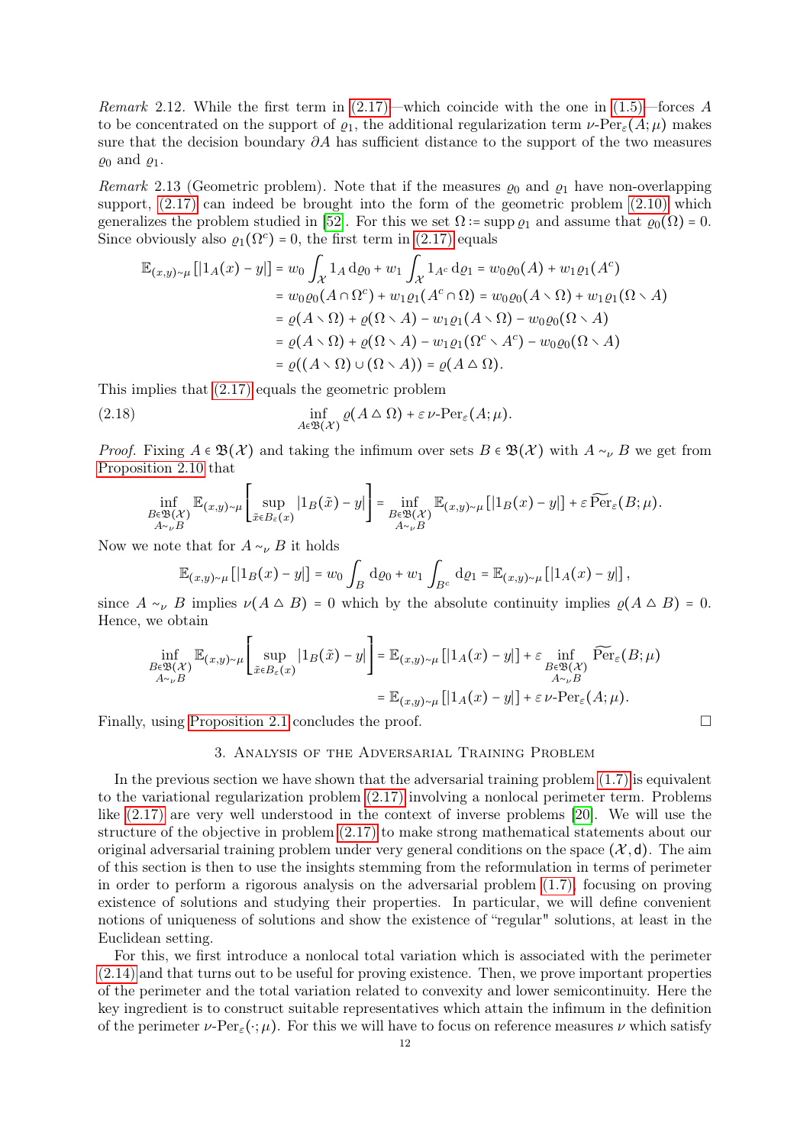*Remark* 2.12. While the first term in  $(2.17)$ —which coincide with the one in  $(1.5)$ —forces A to be concentrated on the support of  $\varrho_1$ , the additional regularization term  $\nu$ -Per<sub> $\varepsilon(A;\mu)$ </sub> makes sure that the decision boundary  $\partial A$  has sufficient distance to the support of the two measures  $\rho_0$  and  $\rho_1$ .

<span id="page-11-1"></span>Remark 2.13 (Geometric problem). Note that if the measures  $\varrho_0$  and  $\varrho_1$  have non-overlapping support,  $(2.17)$  can indeed be brought into the form of the geometric problem  $(2.10)$  which generalizes the problem studied in [\[52\]](#page-34-4). For this we set  $\Omega$  := supp  $\rho_1$  and assume that  $\rho_0(\Omega) = 0$ . Since obviously also  $\varrho_1(\Omega^c) = 0$ , the first term in [\(2.17\)](#page-10-2) equals

$$
\mathbb{E}_{(x,y)\sim\mu}[[1_A(x)-y]] = w_0 \int_{\mathcal{X}} 1_A d\varrho_0 + w_1 \int_{\mathcal{X}} 1_{A^c} d\varrho_1 = w_0 \varrho_0(A) + w_1 \varrho_1(A^c)
$$
  
\n
$$
= w_0 \varrho_0(A \cap \Omega^c) + w_1 \varrho_1(A^c \cap \Omega) = w_0 \varrho_0(A \setminus \Omega) + w_1 \varrho_1(\Omega \setminus A)
$$
  
\n
$$
= \varrho(A \setminus \Omega) + \varrho(\Omega \setminus A) - w_1 \varrho_1(A \setminus \Omega) - w_0 \varrho_0(\Omega \setminus A)
$$
  
\n
$$
= \varrho(A \setminus \Omega) + \varrho(\Omega \setminus A) - w_1 \varrho_1(\Omega^c \setminus A^c) - w_0 \varrho_0(\Omega \setminus A)
$$
  
\n
$$
= \varrho((A \setminus \Omega) \cup (\Omega \setminus A)) = \varrho(A \triangle \Omega).
$$

This implies that [\(2.17\)](#page-10-2) equals the geometric problem

(2.18) 
$$
\inf_{A \in \mathfrak{B}(\mathcal{X})} \varrho(A \triangle \Omega) + \varepsilon \nu \text{-Per}_{\varepsilon}(A; \mu).
$$

*Proof.* Fixing  $A \in \mathfrak{B}(\mathcal{X})$  and taking the infimum over sets  $B \in \mathfrak{B}(\mathcal{X})$  with  $A \sim_{\nu} B$  we get from [Proposition 2.10](#page-10-3) that

$$
\inf_{\substack{B\in\mathfrak{B}(\mathcal{X})\\ A\sim_{\nu}B}}\mathbb{E}_{(x,y)\sim\mu}\left[\sup_{\tilde{x}\in B_{\varepsilon}(x)}|1_{B}(\tilde{x})-y|\right]=\inf_{\substack{B\in\mathfrak{B}(\mathcal{X})\\ A\sim_{\nu}B}}\mathbb{E}_{(x,y)\sim\mu}\left[|1_{B}(x)-y|\right]+\varepsilon\,\widetilde{\text{Per}}_{\varepsilon}(B;\mu).
$$

Now we note that for  $A \sim_{\nu} B$  it holds

$$
\mathbb{E}_{(x,y)\sim\mu} [1_B(x) - y|] = w_0 \int_B \mathrm{d}\varrho_0 + w_1 \int_{B^c} \mathrm{d}\varrho_1 = \mathbb{E}_{(x,y)\sim\mu} [1_A(x) - y|],
$$

since  $A \sim_{\nu} B$  implies  $\nu(A \triangle B) = 0$  which by the absolute continuity implies  $\rho(A \triangle B) = 0$ . Hence, we obtain

$$
\inf_{\substack{B\in\mathfrak{B}(\mathcal{X})\\ A\sim_{\nu}B}}\mathbb{E}_{(x,y)\sim\mu}\left[\sup_{\tilde{x}\in B_{\varepsilon}(x)}|1_{B}(\tilde{x})-y|\right]=\mathbb{E}_{(x,y)\sim\mu}\left[|1_{A}(x)-y|\right]+\varepsilon\inf_{\substack{B\in\mathfrak{B}(\mathcal{X})\\ A\sim_{\nu}B}}\widetilde{\operatorname{Per}}_{\varepsilon}(B;\mu)
$$
\n
$$
=\mathbb{E}_{(x,y)\sim\mu}\left[|1_{A}(x)-y|\right]+\varepsilon\,\nu\cdot\operatorname{Per}_{\varepsilon}(A;\mu).
$$

<span id="page-11-0"></span>Finally, using [Proposition 2.1](#page-7-2) concludes the proof.

### 3. Analysis of the Adversarial Training Problem

In the previous section we have shown that the adversarial training problem  $(1.7)$  is equivalent to the variational regularization problem [\(2.17\)](#page-10-2) involving a nonlocal perimeter term. Problems like [\(2.17\)](#page-10-2) are very well understood in the context of inverse problems [\[20\]](#page-32-4). We will use the structure of the objective in problem [\(2.17\)](#page-10-2) to make strong mathematical statements about our original adversarial training problem under very general conditions on the space  $(\mathcal{X}, d)$ . The aim of this section is then to use the insights stemming from the reformulation in terms of perimeter in order to perform a rigorous analysis on the adversarial problem [\(1.7\),](#page-4-1) focusing on proving existence of solutions and studying their properties. In particular, we will define convenient notions of uniqueness of solutions and show the existence of "regular" solutions, at least in the Euclidean setting.

For this, we first introduce a nonlocal total variation which is associated with the perimeter [\(2.14\)](#page-10-0) and that turns out to be useful for proving existence. Then, we prove important properties of the perimeter and the total variation related to convexity and lower semicontinuity. Here the key ingredient is to construct suitable representatives which attain the infimum in the definition of the perimeter  $\nu\text{-Per}_{\epsilon}(\cdot;\mu)$ . For this we will have to focus on reference measures  $\nu$  which satisfy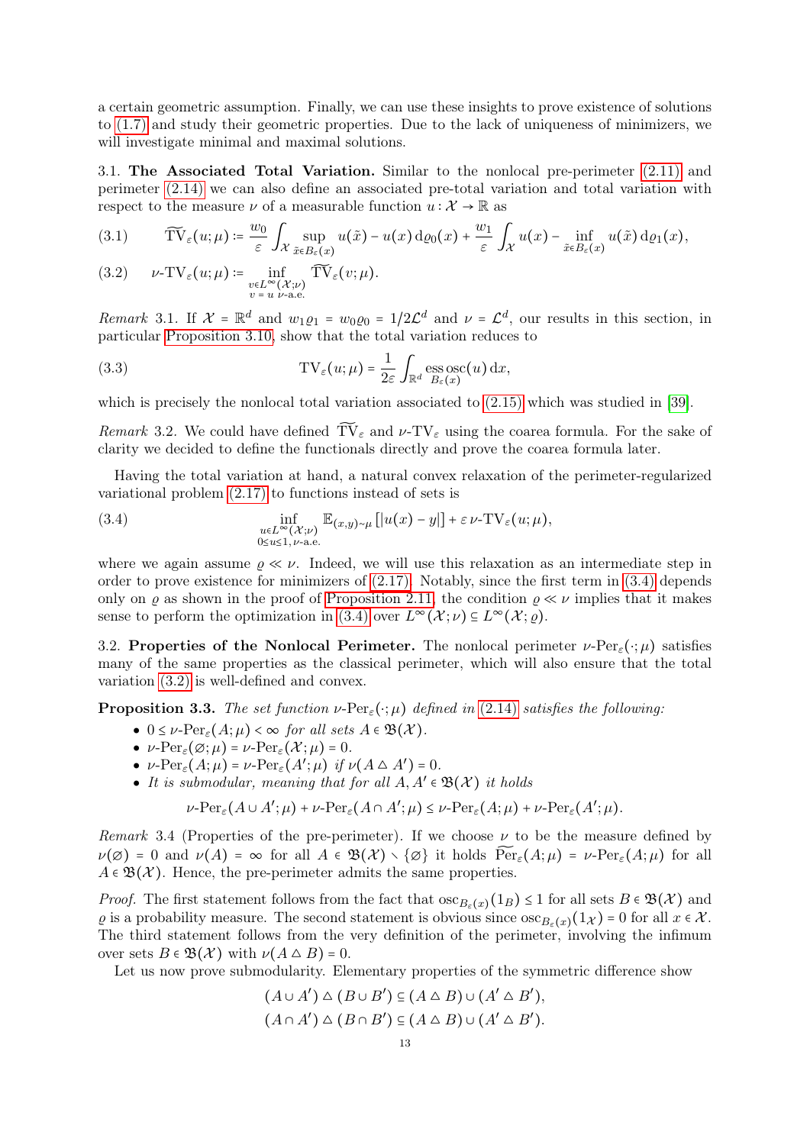a certain geometric assumption. Finally, we can use these insights to prove existence of solutions to [\(1.7\)](#page-4-1) and study their geometric properties. Due to the lack of uniqueness of minimizers, we will investigate minimal and maximal solutions.

<span id="page-12-0"></span>3.1. The Associated Total Variation. Similar to the nonlocal pre-perimeter [\(2.11\)](#page-9-1) and perimeter [\(2.14\)](#page-10-0) we can also define an associated pre-total variation and total variation with respect to the measure  $\nu$  of a measurable function  $u : \mathcal{X} \to \mathbb{R}$  as

<span id="page-12-2"></span>
$$
(3.1) \qquad \widetilde{\mathrm{TV}}_{\varepsilon}(u;\mu) \coloneqq \frac{w_0}{\varepsilon} \int_{\mathcal{X}} \sup_{\tilde{x} \in B_{\varepsilon}(x)} u(\tilde{x}) - u(x) \,\mathrm{d}\varrho_0(x) + \frac{w_1}{\varepsilon} \int_{\mathcal{X}} u(x) - \inf_{\tilde{x} \in B_{\varepsilon}(x)} u(\tilde{x}) \,\mathrm{d}\varrho_1(x),
$$

<span id="page-12-4"></span>(3.2) 
$$
\nu\text{-TV}_{\varepsilon}(u;\mu) \coloneqq \inf_{\substack{v \in L^{\infty}(\mathcal{X};\nu) \\ v = u \nu \text{-a.e.}}} \widetilde{\text{TV}}_{\varepsilon}(v;\mu).
$$

Remark 3.1. If  $\mathcal{X} = \mathbb{R}^d$  and  $w_1 \varrho_1 = w_0 \varrho_0 = 1/2\mathcal{L}^d$  and  $\nu = \mathcal{L}^d$ , our results in this section, in particular [Proposition 3.10,](#page-15-2) show that the total variation reduces to

(3.3) 
$$
TV_{\varepsilon}(u;\mu) = \frac{1}{2\varepsilon} \int_{\mathbb{R}^d} \operatorname*{ess} \operatorname*{osc}_{B_{\varepsilon}(x)}(u) dx,
$$

which is precisely the nonlocal total variation associated to [\(2.15\)](#page-10-1) which was studied in [\[39\]](#page-33-13).

Remark 3.2. We could have defined  $\widetilde{TV}_{\varepsilon}$  and  $\nu$ -TV<sub> $\varepsilon$ </sub> using the coarea formula. For the sake of clarity we decided to define the functionals directly and prove the coarea formula later.

Having the total variation at hand, a natural convex relaxation of the perimeter-regularized variational problem [\(2.17\)](#page-10-2) to functions instead of sets is

<span id="page-12-3"></span>(3.4) 
$$
\inf_{\substack{u \in L^{\infty}(\mathcal{X};\nu) \\ 0 \le u \le 1, \nu-\text{a.e.}}} \mathbb{E}_{(x,y)\sim\mu} [|u(x)-y|] + \varepsilon \nu-\text{TV}_{\varepsilon}(u;\mu),
$$

where we again assume  $\rho \ll \nu$ . Indeed, we will use this relaxation as an intermediate step in order to prove existence for minimizers of  $(2.17)$ . Notably, since the first term in  $(3.4)$  depends only on  $\rho$  as shown in the proof of [Proposition 2.11,](#page-10-4) the condition  $\rho \ll \nu$  implies that it makes sense to perform the optimization in [\(3.4\)](#page-12-3) over  $L^{\infty}(\mathcal{X}; \nu) \subseteq L^{\infty}(\mathcal{X}; \varrho)$ .

<span id="page-12-1"></span>3.2. Properties of the Nonlocal Perimeter. The nonlocal perimeter  $\nu$ -Per<sub> $\varepsilon$ </sub>( $\cdot$ ; $\mu$ ) satisfies many of the same properties as the classical perimeter, which will also ensure that the total variation [\(3.2\)](#page-12-4) is well-defined and convex.

**Proposition 3.3.** The set function  $\nu$ -Per<sub> $\varepsilon$ </sub> $(\cdot;\mu)$  defined in [\(2.14\)](#page-10-0) satisfies the following:

- $\bullet$   $0 \leq \nu$ -Per<sub> $\varepsilon$ </sub> $(A;\mu) < \infty$  for all sets  $A \in \mathfrak{B}(\mathcal{X})$ .
- $\nu$ - $\text{Per}_{\varepsilon}(\varnothing;\mu) = \nu$ - $\text{Per}_{\varepsilon}(\mathcal{X};\mu) = 0$ .
- $\nu$ - $\text{Per}_{\varepsilon}(A; \mu) = \nu$ - $\text{Per}_{\varepsilon}(A'; \mu)$  if  $\nu(A \triangle A') = 0$ .
- It is submodular, meaning that for all  $A, A' \in \mathfrak{B}(\mathcal{X})$  it holds

 $\nu$ -Per<sub>ε</sub> $(A \cup A';\mu) + \nu$ -Per<sub>ε</sub> $(A \cap A';\mu) \leq \nu$ -Per<sub>ε</sub> $(A;\mu) + \nu$ -Per<sub>ε</sub> $(A';\mu)$ .

<span id="page-12-5"></span>Remark 3.4 (Properties of the pre-perimeter). If we choose  $\nu$  to be the measure defined by  $\nu(\emptyset) = 0$  and  $\nu(A) = \infty$  for all  $A \in \mathfrak{B}(\mathcal{X}) \setminus {\emptyset}$  it holds  $\widetilde{\text{Per}}_{\varepsilon}(A;\mu) = \nu\text{-Per}_{\varepsilon}(A;\mu)$  for all  $A \in \mathfrak{B}(\mathcal{X})$ . Hence, the pre-perimeter admits the same properties.

*Proof.* The first statement follows from the fact that  $\operatorname{osc}_{B_{\varepsilon}(x)}(1_B) \leq 1$  for all sets  $B \in \mathfrak{B}(\mathcal{X})$  and  $\varrho$  is a probability measure. The second statement is obvious since  $\cos_{B_{\varepsilon}(x)}(1_{\mathcal{X}}) = 0$  for all  $x \in \mathcal{X}$ . The third statement follows from the very definition of the perimeter, involving the infimum over sets  $B \in \mathfrak{B}(\mathcal{X})$  with  $\nu(A \triangle B) = 0$ .

Let us now prove submodularity. Elementary properties of the symmetric difference show

$$
(A \cup A') \triangle (B \cup B') \subseteq (A \triangle B) \cup (A' \triangle B'),
$$
  

$$
(A \cap A') \triangle (B \cap B') \subseteq (A \triangle B) \cup (A' \triangle B').
$$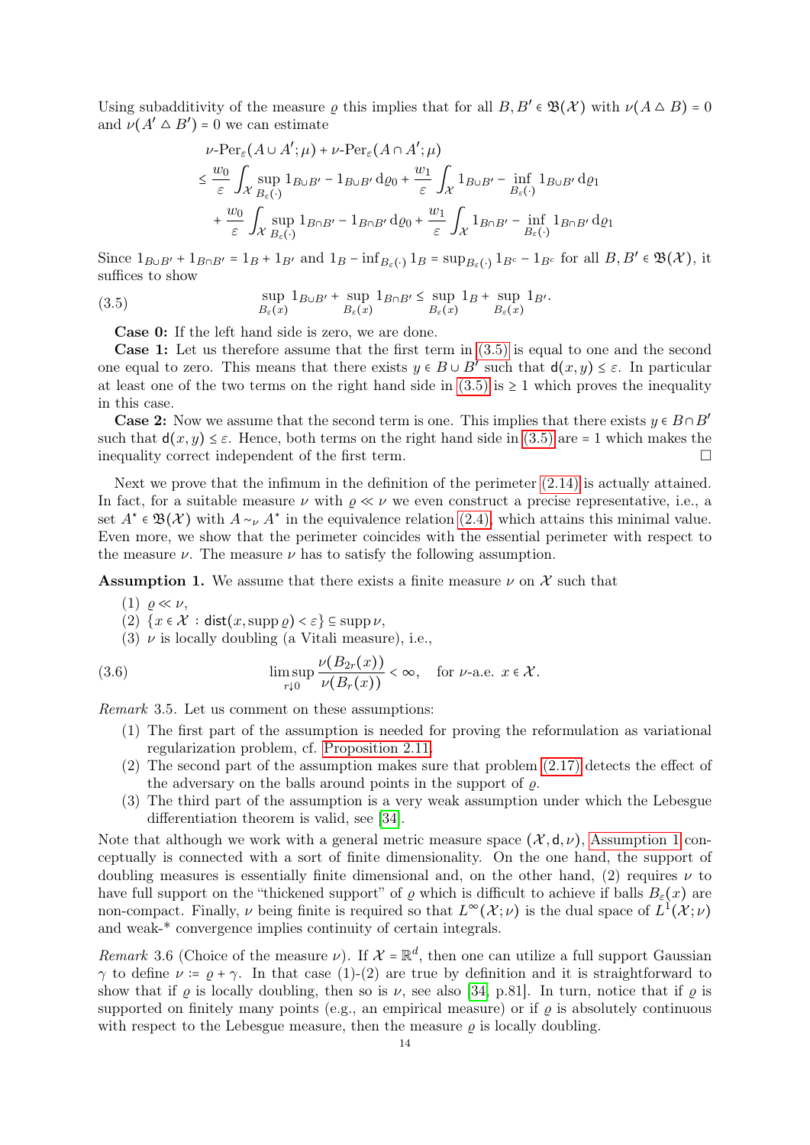Using subadditivity of the measure  $\varrho$  this implies that for all  $B, B' \in \mathfrak{B}(\mathcal{X})$  with  $\nu(A \triangle B) = 0$ and  $\nu(A' \triangle B') = 0$  we can estimate

$$
\nu\text{-Per}_{\varepsilon}(A\cup A';\mu) + \nu\text{-Per}_{\varepsilon}(A\cap A';\mu)
$$
\n
$$
\leq \frac{w_0}{\varepsilon} \int_{\mathcal{X}} \sup_{B_{\varepsilon}(\cdot)} 1_{B\cup B'} - 1_{B\cup B'} d\varrho_0 + \frac{w_1}{\varepsilon} \int_{\mathcal{X}} 1_{B\cup B'} - \inf_{B_{\varepsilon}(\cdot)} 1_{B\cup B'} d\varrho_1
$$
\n
$$
+ \frac{w_0}{\varepsilon} \int_{\mathcal{X}} \sup_{B_{\varepsilon}(\cdot)} 1_{B\cap B'} - 1_{B\cap B'} d\varrho_0 + \frac{w_1}{\varepsilon} \int_{\mathcal{X}} 1_{B\cap B'} - \inf_{B_{\varepsilon}(\cdot)} 1_{B\cap B'} d\varrho_1
$$

Since  $1_{B\cup B'}$  +  $1_{B\cap B'}$  =  $1_B$  +  $1_{B'}$  and  $1_B$  –  $\inf_{B_{\varepsilon}(\cdot)} 1_B$  =  $\sup_{B_{\varepsilon}(\cdot)} 1_{B'_{\varepsilon}} - 1_{B'_{\varepsilon}}$  for all  $B, B' \in \mathfrak{B}(\mathcal{X})$ , it suffices to show

<span id="page-13-0"></span>(3.5) 
$$
\sup_{B_{\varepsilon}(x)} 1_{B\cup B'} + \sup_{B_{\varepsilon}(x)} 1_{B\cap B'} \leq \sup_{B_{\varepsilon}(x)} 1_B + \sup_{B_{\varepsilon}(x)} 1_{B'}.
$$

Case 0: If the left hand side is zero, we are done.

Case 1: Let us therefore assume that the first term in [\(3.5\)](#page-13-0) is equal to one and the second one equal to zero. This means that there exists  $y \in B \cup B'$  such that  $d(x, y) \leq \varepsilon$ . In particular at least one of the two terms on the right hand side in  $(3.5)$  is  $\geq 1$  which proves the inequality in this case.

**Case 2:** Now we assume that the second term is one. This implies that there exists  $y \in B \cap B'$ such that  $d(x, y) \leq \varepsilon$ . Hence, both terms on the right hand side in [\(3.5\)](#page-13-0) are = 1 which makes the inequality correct independent of the first term.

Next we prove that the infimum in the definition of the perimeter [\(2.14\)](#page-10-0) is actually attained. In fact, for a suitable measure  $\nu$  with  $\rho \ll \nu$  we even construct a precise representative, i.e., a set  $A^* \in \mathfrak{B}(\mathcal{X})$  with  $A \sim_{\nu} A^*$  in the equivalence relation [\(2.4\),](#page-7-3) which attains this minimal value. Even more, we show that the perimeter coincides with the essential perimeter with respect to the measure  $\nu$ . The measure  $\nu$  has to satisfy the following assumption.

<span id="page-13-1"></span>**Assumption 1.** We assume that there exists a finite measure  $\nu$  on X such that

- $(1)$   $\rho \ll \nu$ ,
- (2)  $\{x \in \mathcal{X} : \text{dist}(x, \text{supp }\rho) < \varepsilon\} \subseteq \text{supp }\nu,$
- (3)  $\nu$  is locally doubling (a Vitali measure), i.e.,

<span id="page-13-2"></span>(3.6) 
$$
\limsup_{r \downarrow 0} \frac{\nu(B_{2r}(x))}{\nu(B_r(x))} < \infty, \text{ for } \nu\text{-a.e. } x \in \mathcal{X}.
$$

Remark 3.5. Let us comment on these assumptions:

- (1) The first part of the assumption is needed for proving the reformulation as variational regularization problem, cf. [Proposition 2.11.](#page-10-4)
- (2) The second part of the assumption makes sure that problem [\(2.17\)](#page-10-2) detects the effect of the adversary on the balls around points in the support of  $\rho$ .
- (3) The third part of the assumption is a very weak assumption under which the Lebesgue differentiation theorem is valid, see [\[34\]](#page-33-14).

Note that although we work with a general metric measure space  $(\mathcal{X}, d, \nu)$ , [Assumption 1](#page-13-1) conceptually is connected with a sort of finite dimensionality. On the one hand, the support of doubling measures is essentially finite dimensional and, on the other hand, (2) requires  $\nu$  to have full support on the "thickened support" of  $\varrho$  which is difficult to achieve if balls  $B_{\varepsilon}(x)$  are non-compact. Finally,  $\nu$  being finite is required so that  $L^{\infty}(\mathcal{X};\nu)$  is the dual space of  $L^{1}(\mathcal{X};\nu)$ and weak-\* convergence implies continuity of certain integrals.

Remark 3.6 (Choice of the measure  $\nu$ ). If  $\mathcal{X} = \mathbb{R}^d$ , then one can utilize a full support Gaussian  $\gamma$  to define  $\nu = \rho + \gamma$ . In that case (1)-(2) are true by definition and it is straightforward to show that if  $\rho$  is locally doubling, then so is  $\nu$ , see also [\[34,](#page-33-14) p.81]. In turn, notice that if  $\rho$  is supported on finitely many points (e.g., an empirical measure) or if  $\rho$  is absolutely continuous with respect to the Lebesgue measure, then the measure  $\rho$  is locally doubling.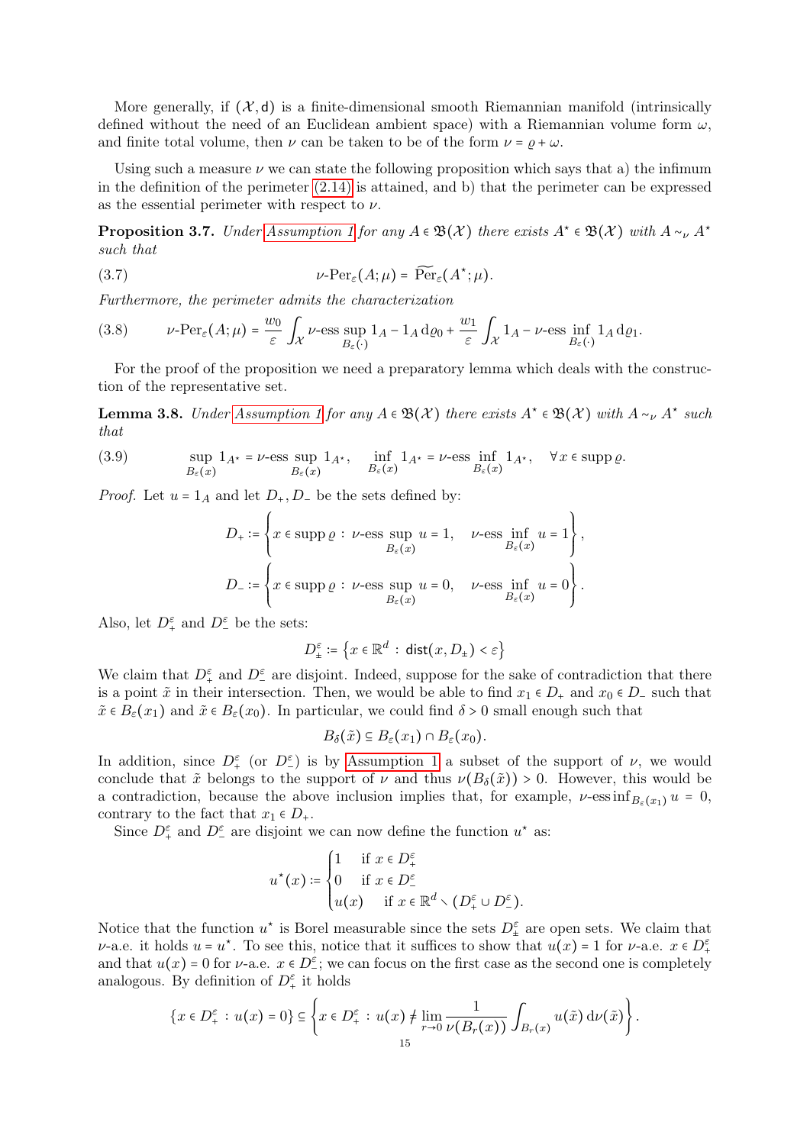More generally, if  $(\mathcal{X}, d)$  is a finite-dimensional smooth Riemannian manifold (intrinsically defined without the need of an Euclidean ambient space) with a Riemannian volume form  $\omega$ , and finite total volume, then  $\nu$  can be taken to be of the form  $\nu = \rho + \omega$ .

Using such a measure  $\nu$  we can state the following proposition which says that a) the infimum in the definition of the perimeter  $(2.14)$  is attained, and b) that the perimeter can be expressed as the essential perimeter with respect to  $\nu$ .

<span id="page-14-0"></span>**Proposition 3.7.** Under [Assumption 1](#page-13-1) for any  $A \in \mathfrak{B}(\mathcal{X})$  there exists  $A^* \in \mathfrak{B}(\mathcal{X})$  with  $A \sim_{\nu} A^*$ such that

(3.7) 
$$
\nu\text{-Per}_{\varepsilon}(A;\mu) = \widetilde{\text{Per}}_{\varepsilon}(A^*;\mu).
$$

Furthermore, the perimeter admits the characterization

(3.8) 
$$
\nu\text{-Per}_{\varepsilon}(A;\mu) = \frac{w_0}{\varepsilon} \int_{\mathcal{X}} \nu\text{-ess} \sup_{B_{\varepsilon}(\cdot)} 1_A - 1_A \, \mathrm{d} \varrho_0 + \frac{w_1}{\varepsilon} \int_{\mathcal{X}} 1_A - \nu\text{-ess} \inf_{B_{\varepsilon}(\cdot)} 1_A \, \mathrm{d} \varrho_1.
$$

For the proof of the proposition we need a preparatory lemma which deals with the construction of the representative set.

<span id="page-14-1"></span>**Lemma 3.8.** Under [Assumption 1](#page-13-1) for any  $A \in \mathfrak{B}(\mathcal{X})$  there exists  $A^* \in \mathfrak{B}(\mathcal{X})$  with  $A \sim_{\nu} A^*$  such that

(3.9) 
$$
\sup_{B_{\varepsilon}(x)} 1_{A^*} = \nu\text{-ess} \sup_{B_{\varepsilon}(x)} 1_{A^*}, \quad \inf_{B_{\varepsilon}(x)} 1_{A^*} = \nu\text{-ess} \inf_{B_{\varepsilon}(x)} 1_{A^*}, \quad \forall x \in \text{supp }\varrho.
$$

*Proof.* Let  $u = 1_A$  and let  $D_+, D_-$  be the sets defined by:

<span id="page-14-2"></span>
$$
\begin{split} D_+&:=\left\{x\in\mathrm{supp}\,\varrho\,:\,\nu\textrm{-}\mathrm{ess}\sup_{B_\varepsilon(x)}u=1,\quad \nu\textrm{-}\mathrm{ess}\inf_{B_\varepsilon(x)}u=1\right\},\\ D_-&:=\left\{x\in\mathrm{supp}\,\varrho\,:\,\nu\textrm{-}\mathrm{ess}\sup_{B_\varepsilon(x)}u=0,\quad \nu\textrm{-}\mathrm{ess}\inf_{B_\varepsilon(x)}u=0\right\}. \end{split}
$$

Also, let  $D_+^{\varepsilon}$  and  $D_-^{\varepsilon}$  be the sets:

$$
D_\pm^\varepsilon \coloneqq \left\{ x \in \mathbb{R}^d \, : \, \mathrm{dist}(x, D_\pm) < \varepsilon \right\}
$$

We claim that  $D_{+}^{\varepsilon}$  and  $D_{-}^{\varepsilon}$  are disjoint. Indeed, suppose for the sake of contradiction that there is a point  $\tilde{x}$  in their intersection. Then, we would be able to find  $x_1 \in D_+$  and  $x_0 \in D_-$  such that  $\tilde{x} \in B_{\varepsilon}(x_1)$  and  $\tilde{x} \in B_{\varepsilon}(x_0)$ . In particular, we could find  $\delta > 0$  small enough such that

$$
B_{\delta}(\tilde{x}) \subseteq B_{\varepsilon}(x_1) \cap B_{\varepsilon}(x_0).
$$

In addition, since  $D_{+}^{\varepsilon}$  (or  $D_{-}^{\varepsilon}$ ) is by [Assumption 1](#page-13-1) a subset of the support of  $\nu$ , we would conclude that  $\tilde{x}$  belongs to the support of  $\nu$  and thus  $\nu(B_\delta(\tilde{x})) > 0$ . However, this would be a contradiction, because the above inclusion implies that, for example,  $\nu$ -ess inf $B_{\varepsilon}(x_1)$   $u = 0$ , contrary to the fact that  $x_1 \in D_+$ .

Since  $D_{+}^{\varepsilon}$  and  $D_{-}^{\varepsilon}$  are disjoint we can now define the function  $u^*$  as:

$$
u^\star(x)\coloneqq \begin{cases} 1 & \text{ if } x\in D^\varepsilon_+ \\ 0 & \text{ if } x\in D^\varepsilon_- \\ u(x) & \text{ if } x\in \mathbb{R}^d\smallsetminus (D^\varepsilon_+\cup D^\varepsilon_-). \end{cases}
$$

Notice that the function  $u^*$  is Borel measurable since the sets  $D_{\pm}^{\varepsilon}$  are open sets. We claim that  $\nu$ -a.e. it holds  $u = u^*$ . To see this, notice that it suffices to show that  $u(x) = 1$  for  $\nu$ -a.e.  $x \in D^{\varepsilon}_+$ and that  $u(x) = 0$  for  $\nu$ -a.e.  $x \in D^{\epsilon}$ ; we can focus on the first case as the second one is completely analogous. By definition of  $D_+^{\varepsilon}$  it holds

$$
\{x \in D_+^{\varepsilon} : u(x) = 0\} \subseteq \left\{x \in D_+^{\varepsilon} : u(x) \neq \lim_{r \to 0} \frac{1}{\nu(B_r(x))} \int_{B_r(x)} u(\tilde{x}) d\nu(\tilde{x})\right\}.
$$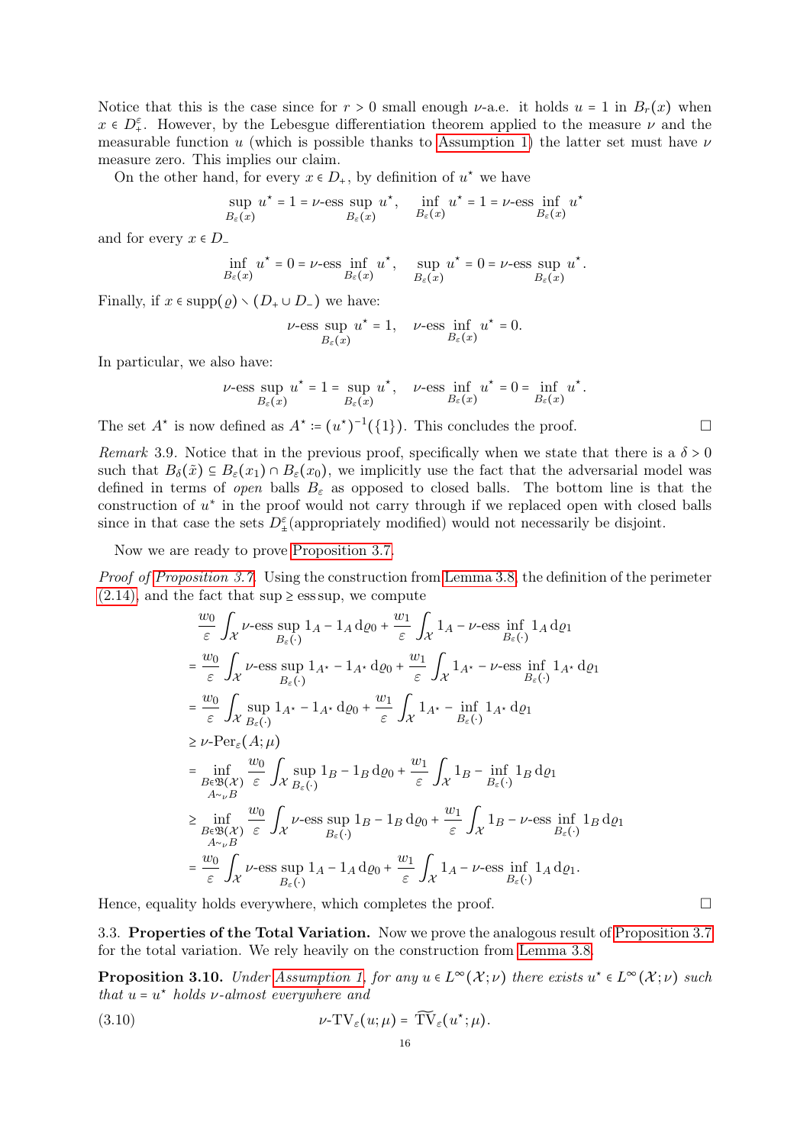Notice that this is the case since for  $r > 0$  small enough v-a.e. it holds  $u = 1$  in  $B_r(x)$  when  $x \in D^{\varepsilon}_+$ . However, by the Lebesgue differentiation theorem applied to the measure  $\nu$  and the measurable function u (which is possible thanks to [Assumption 1\)](#page-13-1) the latter set must have  $\nu$ measure zero. This implies our claim.

On the other hand, for every  $x \in D_+$ , by definition of  $u^*$  we have

$$
\sup_{B_\varepsilon(x)} u^\star = 1 = \nu\textrm{-}\mathrm{ess}\sup_{B_\varepsilon(x)} u^\star, \quad \inf_{B_\varepsilon(x)} u^\star = 1 = \nu\textrm{-}\mathrm{ess}\inf_{B_\varepsilon(x)} u^\star
$$

and for every  $x \in D$ <sub>-</sub>

$$
\inf_{B_\varepsilon(x)} u^\star = 0 = \nu\text{-ess}\inf_{B_\varepsilon(x)} u^\star, \quad \sup_{B_\varepsilon(x)} u^\star = 0 = \nu\text{-ess}\sup_{B_\varepsilon(x)} u^\star.
$$

Finally, if  $x \in \text{supp}(\varrho) \setminus (D_+ \cup D_-)$  we have:

$$
\nu\textrm{-}\mathrm{ess}\sup_{B_\varepsilon(x)}u^\star=1,\quad\nu\textrm{-}\mathrm{ess}\inf_{B_\varepsilon(x)}u^\star=0.
$$

In particular, we also have:

$$
\nu\text{-ess}\sup_{B_\varepsilon(x)}u^\star=1=\sup_{B_\varepsilon(x)}u^\star,\quad \nu\text{-ess}\inf_{B_\varepsilon(x)}u^\star=0=\inf_{B_\varepsilon(x)}u^\star.
$$

The set  $A^*$  is now defined as  $A^* := (u^*)^{-1}(\{1\})$ . This concludes the proof.

<span id="page-15-1"></span>Remark 3.9. Notice that in the previous proof, specifically when we state that there is a  $\delta > 0$ such that  $B_\delta(\tilde{x}) \subseteq B_\varepsilon(x_1) \cap B_\varepsilon(x_0)$ , we implicitly use the fact that the adversarial model was defined in terms of open balls  $B_{\varepsilon}$  as opposed to closed balls. The bottom line is that the construction of  $u^*$  in the proof would not carry through if we replaced open with closed balls since in that case the sets  $D_{\pm}^{\varepsilon}$  (appropriately modified) would not necessarily be disjoint.

Now we are ready to prove [Proposition 3.7.](#page-14-0)

Proof of [Proposition 3.7.](#page-14-0) Using the construction from [Lemma 3.8,](#page-14-1) the definition of the perimeter  $(2.14)$ , and the fact that sup  $\ge$  ess sup, we compute w100 minutes and the state of the state of the state of the state of the state of the state of the state of th

$$
\frac{w_0}{\varepsilon} \int_{\mathcal{X}} \nu\text{-ess} \sup_{B_{\varepsilon}(\cdot)} 1_A - 1_A \, d\varrho_0 + \frac{w_1}{\varepsilon} \int_{\mathcal{X}} 1_A - \nu\text{-ess} \inf_{B_{\varepsilon}(\cdot)} 1_A \, d\varrho_1
$$
\n
$$
= \frac{w_0}{\varepsilon} \int_{\mathcal{X}} \nu\text{-ess} \sup_{B_{\varepsilon}(\cdot)} 1_A \cdot 1_A \cdot d\varrho_0 + \frac{w_1}{\varepsilon} \int_{\mathcal{X}} 1_A \cdot 1_A \cdot 1_A \cdot d\varrho_1
$$
\n
$$
= \frac{w_0}{\varepsilon} \int_{\mathcal{X}} \sup_{B_{\varepsilon}(\cdot)} 1_A \cdot 1_A \cdot d\varrho_0 + \frac{w_1}{\varepsilon} \int_{\mathcal{X}} 1_A \cdot 1_A \cdot 1_A \cdot d\varrho_1
$$
\n
$$
\geq \nu\text{-Per}_{\varepsilon}(A; \mu)
$$
\n
$$
= \inf_{B \in \mathfrak{B}(\mathcal{X})} \frac{w_0}{\varepsilon} \int_{\mathcal{X}} \sup_{B_{\varepsilon}(\cdot)} 1_B - 1_B \, d\varrho_0 + \frac{w_1}{\varepsilon} \int_{\mathcal{X}} 1_B - \inf_{B_{\varepsilon}(\cdot)} 1_B \, d\varrho_1
$$
\n
$$
\geq \inf_{\substack{A \sim_{\nu} B \\ B \in \mathfrak{B}(\mathcal{X})}} \frac{w_0}{\varepsilon} \int_{\mathcal{X}} \nu\text{-ess} \sup_{B_{\varepsilon}(\cdot)} 1_B - 1_B \, d\varrho_0 + \frac{w_1}{\varepsilon} \int_{\mathcal{X}} 1_B - \nu\text{-ess} \inf_{B_{\varepsilon}(\cdot)} 1_B \, d\varrho_1
$$
\n
$$
= \frac{w_0}{\varepsilon} \int_{\mathcal{X}} \nu\text{-ess} \sup_{B_{\varepsilon}(\cdot)} 1_A - 1_A \, d\varrho_0 + \frac{w_1}{\varepsilon} \int_{\mathcal{X}} 1_A - \nu\text{-ess} \inf_{B_{\varepsilon}(\cdot)} 1_A
$$

Hence, equality holds everywhere, which completes the proof.  $\Box$ 

<span id="page-15-0"></span>3.3. Properties of the Total Variation. Now we prove the analogous result of [Proposition 3.7](#page-14-0) for the total variation. We rely heavily on the construction from [Lemma 3.8.](#page-14-1)

<span id="page-15-2"></span>**Proposition 3.10.** Under [Assumption 1,](#page-13-1) for any  $u \in L^{\infty}(\mathcal{X};\nu)$  there exists  $u^* \in L^{\infty}(\mathcal{X};\nu)$  such that  $u = u^*$  holds  $\nu$ -almost everywhere and

(3.10) 
$$
\nu-\mathrm{TV}_{\varepsilon}(u;\mu)=\widetilde{\mathrm{TV}}_{\varepsilon}(u^*;\mu).
$$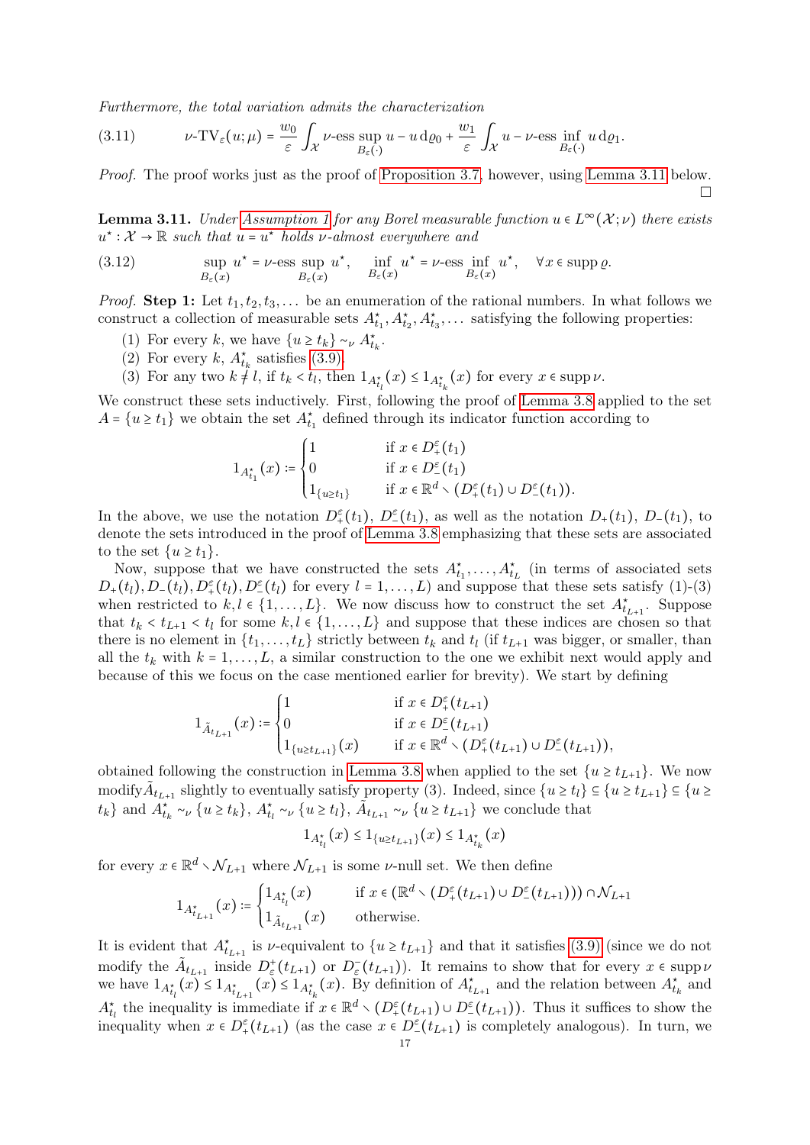Furthermore, the total variation admits the characterization

(3.11) 
$$
\nu\text{-TV}_{\varepsilon}(u;\mu) = \frac{w_0}{\varepsilon} \int_{\mathcal{X}} \nu\text{-ess} \sup_{B_{\varepsilon}(\cdot)} u - u \,d\varrho_0 + \frac{w_1}{\varepsilon} \int_{\mathcal{X}} u - \nu\text{-ess} \inf_{B_{\varepsilon}(\cdot)} u \,d\varrho_1.
$$

Proof. The proof works just as the proof of [Proposition 3.7,](#page-14-0) however, using [Lemma 3.11](#page-16-0) below.  $\Box$ 

<span id="page-16-0"></span>**Lemma 3.11.** Under [Assumption 1](#page-13-1) for any Borel measurable function  $u \in L^{\infty}(\mathcal{X}; \nu)$  there exists  $u^*: \mathcal{X} \to \mathbb{R}$  such that  $u = u^*$  holds v-almost everywhere and

<span id="page-16-1"></span>(3.12) 
$$
\sup_{B_{\varepsilon}(x)} u^* = \nu \text{-ess} \sup_{B_{\varepsilon}(x)} u^*, \quad \inf_{B_{\varepsilon}(x)} u^* = \nu \text{-ess} \inf_{B_{\varepsilon}(x)} u^*, \quad \forall x \in \operatorname{supp} \varrho.
$$

*Proof.* Step 1: Let  $t_1, t_2, t_3, \ldots$  be an enumeration of the rational numbers. In what follows we construct a collection of measurable sets  $A_{t_1}^*, A_{t_2}^*, A_{t_3}^*, \dots$  satisfying the following properties:

- (1) For every k, we have  $\{u \ge t_k\} \sim_{\nu} A_{t_k}^*$ .
- (2) For every k,  $A_{t_k}^*$  satisfies [\(3.9\).](#page-14-2)
- (3) For any two  $k \neq l$ , if  $t_k < t_l$ , then  $1_{A_{t_l}^{\star}}(x) \leq 1_{A_{t_k}^{\star}}(x)$  for every  $x \in \text{supp }\nu$ .

We construct these sets inductively. First, following the proof of [Lemma 3.8](#page-14-1) applied to the set  $A = \{u \ge t_1\}$  we obtain the set  $A_{t_1}^*$  defined through its indicator function according to

$$
1_{A_{t_1}^*}(x) \coloneqq \begin{cases} 1 & \text{if } x \in D_+^{\varepsilon}(t_1) \\ 0 & \text{if } x \in D_-^{\varepsilon}(t_1) \\ 1_{\{u \ge t_1\}} & \text{if } x \in \mathbb{R}^d \setminus (D_+^{\varepsilon}(t_1) \cup D_-^{\varepsilon}(t_1)). \end{cases}
$$

In the above, we use the notation  $D_{+}^{\varepsilon}(t_1)$ ,  $D_{-}^{\varepsilon}(t_1)$ , as well as the notation  $D_{+}(t_1)$ ,  $D_{-}(t_1)$ , to denote the sets introduced in the proof of [Lemma 3.8](#page-14-1) emphasizing that these sets are associated to the set  $\{u \geq t_1\}.$ 

Now, suppose that we have constructed the sets  $A_{t_1}^*, \ldots, A_{t_L}^*$  (in terms of associated sets  $D_+(t_l)$ ,  $D_-(t_l)$ ,  $D_+^{\varepsilon}(t_l)$ ,  $D_-^{\varepsilon}(t_l)$  for every  $l = 1, \ldots, L$ ) and suppose that these sets satisfy (1)-(3) when restricted to  $k, l \in \{1, ..., L\}$ . We now discuss how to construct the set  $A_{t_{L+1}}^*$ . Suppose that  $t_k < t_{L+1} < t_l$  for some  $k, l \in \{1, ..., L\}$  and suppose that these indices are chosen so that there is no element in  $\{t_1, \ldots, t_L\}$  strictly between  $t_k$  and  $t_l$  (if  $t_{L+1}$  was bigger, or smaller, than all the  $t_k$  with  $k = 1, \ldots, L$ , a similar construction to the one we exhibit next would apply and because of this we focus on the case mentioned earlier for brevity). We start by defining

$$
1_{\tilde{A}_{t_{L+1}}}(x) \coloneqq \begin{cases} 1 & \text{ if } x \in D_+^{\varepsilon}(t_{L+1}) \\ 0 & \text{ if } x \in D_-^{\varepsilon}(t_{L+1}) \\ 1_{\{u \ge t_{L+1}\}}(x) & \text{ if } x \in \mathbb{R}^d \smallsetminus \big(D_+^{\varepsilon}(t_{L+1}) \cup D_-^{\varepsilon}(t_{L+1}) \big), \end{cases}
$$

obtained following the construction in [Lemma 3.8](#page-14-1) when applied to the set  $\{u \ge t_{L+1}\}\$ . We now modify  $\tilde{A}_{t_{L+1}}$  slightly to eventually satisfy property (3). Indeed, since  $\{u \ge t_l\} \subseteq \{u \ge t_{L+1}\} \subseteq \{u \ge t_l\}$  $\{t_k\}$  and  $\overrightarrow{A}^{\star}_{t_k} \sim_{\nu} \{u \geq t_k\}, \overrightarrow{A}^{\star}_{t_l} \sim_{\nu} \{u \geq t_l\}, \overrightarrow{A}_{t_{L+1}} \sim_{\nu} \{u \geq t_{L+1}\}$  we conclude that

$$
1_{A^\star_{t_l}}(x) \leq 1_{\{u \geq t_{L+1}\}}(x) \leq 1_{A^\star_{t_k}}(x)
$$

for every  $x \in \mathbb{R}^d \setminus \mathcal{N}_{L+1}$  where  $\mathcal{N}_{L+1}$  is some  $\nu$ -null set. We then define

$$
1_{A_{t_{L+1}}^*}(x) \coloneqq \begin{cases} 1_{A_{t_l}^*}(x) & \text{if } x \in (\mathbb{R}^d \setminus (D_+^\varepsilon(t_{L+1}) \cup D_-^\varepsilon(t_{L+1}))) \cap \mathcal{N}_{L+1} \\ 1_{\tilde{A}_{t_{L+1}}}(x) & \text{otherwise.} \end{cases}
$$

It is evident that  $A_{t_{L+1}}^*$  is *v*-equivalent to  $\{u \ge t_{L+1}\}\$  and that it satisfies [\(3.9\)](#page-14-2) (since we do not modify the  $\tilde{A}_{t_{L+1}}$  inside  $D^+_{\varepsilon}(t_{L+1})$  or  $D^-_{\varepsilon}(t_{L+1})$ . It remains to show that for every  $x \in \text{supp } \nu$ we have  $1_{A_{t_l}^{\star}}(x) \leq 1_{A_{t_{k+1}}^{\star}}(x) \leq 1_{A_{t_k}^{\star}}(x)$ . By definition of  $A_{t_{k+1}}^{\star}$  and the relation between  $A_{t_k}^{\star}$  and  $A_{t_l}^*$  the inequality is immediate if  $x \in \mathbb{R}^d \setminus (D_+^{\varepsilon}(t_{L+1}) \cup D_-^{\varepsilon}(t_{L+1}))$ . Thus it suffices to show the inequality when  $x \in D^{\varepsilon}(t_{L+1})$  (as the case  $x \in D^{\varepsilon}(t_{L+1})$  is completely analogous). In turn, we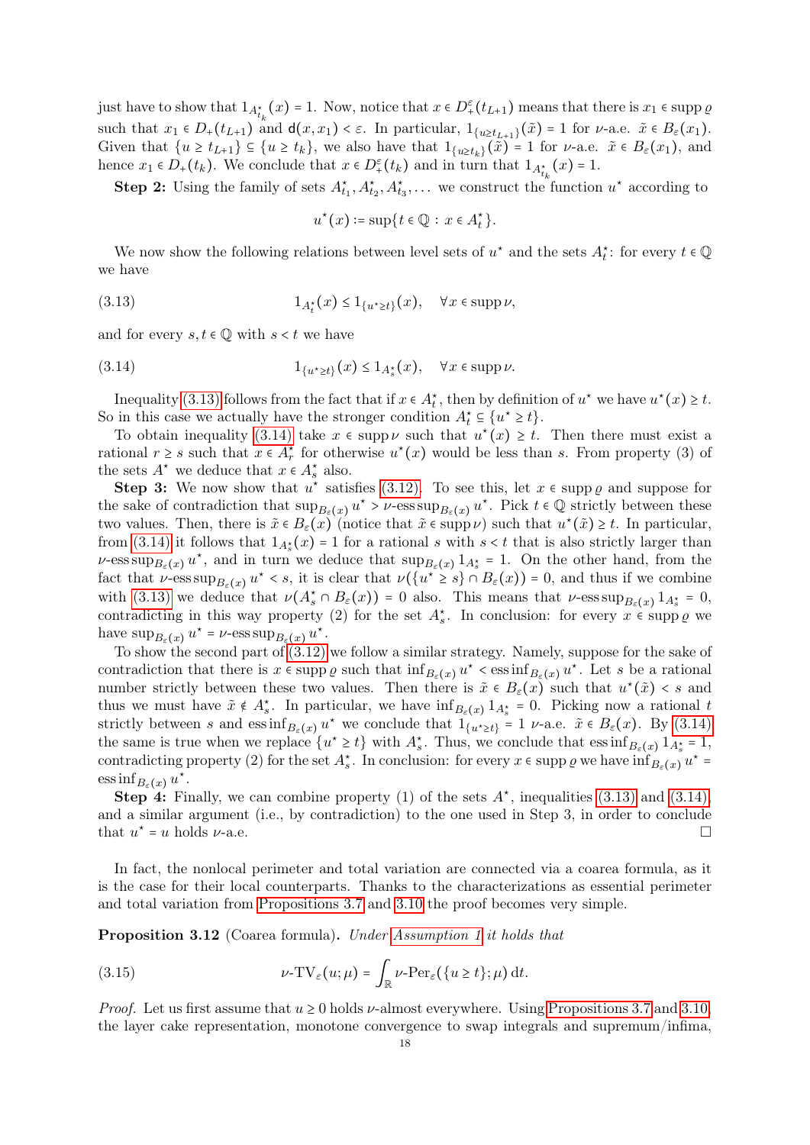just have to show that  $1_{A_{t_k}^*}(x) = 1$ . Now, notice that  $x \in D^{\varepsilon}(t_{L+1})$  means that there is  $x_1 \in \text{supp } \varrho$ such that  $x_1 \in D_+(t_{L+1})$  and  $d(x, x_1) < \varepsilon$ . In particular,  $1_{\{u \ge t_{L+1}\}}(\tilde{x}) = 1$  for  $\nu$ -a.e.  $\tilde{x} \in B_{\varepsilon}(x_1)$ . Given that  $\{u \ge t_{L+1}\}\subseteq \{u \ge t_k\}$ , we also have that  $1_{\{u \ge t_k\}}(\tilde{x}) = 1$  for  $\nu$ -a.e.  $\tilde{x} \in B_{\varepsilon}(x_1)$ , and hence  $x_1 \in D_+(t_k)$ . We conclude that  $x \in D_+^{\varepsilon}(t_k)$  and in turn that  $1_{A_{t_k}^*}(x) = 1$ .

**Step 2:** Using the family of sets  $A_{t_1}^{\star}, A_{t_2}^{\star}, A_{t_3}^{\star}, \ldots$  we construct the function  $u^{\star}$  according to

<span id="page-17-1"></span><span id="page-17-0"></span>
$$
u^*(x) \coloneqq \sup\{t \in \mathbb{Q} \,:\, x \in A_t^*\}.
$$

We now show the following relations between level sets of  $u^*$  and the sets  $A_t^*$ : for every  $t \in \mathbb{Q}$ we have

$$
(3.13) \t\t\t 1_{A_t^*}(x) \le 1_{\{u^* \ge t\}}(x), \quad \forall x \in \text{supp }\nu,
$$

and for every  $s, t \in \mathbb{Q}$  with  $s < t$  we have

(3.14) 
$$
1_{\{u^* \ge t\}}(x) \le 1_{A_s^*}(x), \quad \forall x \in \text{supp }\nu.
$$

Inequality [\(3.13\)](#page-17-0) follows from the fact that if  $x \in A_t^*$ , then by definition of  $u^*$  we have  $u^*(x) \ge t$ . So in this case we actually have the stronger condition  $A_t^* \subseteq \{u^* \geq t\}.$ 

To obtain inequality [\(3.14\)](#page-17-1) take  $x \in \text{supp } \nu$  such that  $u^*(x) \geq t$ . Then there must exist a rational  $r \geq s$  such that  $x \in A_r^*$  for otherwise  $u^*(x)$  would be less than s. From property (3) of the sets  $A^*$  we deduce that  $x \in A_s^*$  also.

Step 3: We now show that  $u^*$  satisfies [\(3.12\).](#page-16-1) To see this, let  $x \in \text{supp } \varrho$  and suppose for the sake of contradiction that  $\sup_{B_{\varepsilon}(x)} u^* > \nu$ -ess  $\sup_{B_{\varepsilon}(x)} u^*$ . Pick  $t \in \mathbb{Q}$  strictly between these two values. Then, there is  $\tilde{x} \in B_{\varepsilon}(x)$  (notice that  $\tilde{x} \in \text{supp }\nu$ ) such that  $u^*(\tilde{x}) \geq t$ . In particular, from [\(3.14\)](#page-17-1) it follows that  $1_{A_s^*}(x) = 1$  for a rational s with  $s < t$  that is also strictly larger than v-ess sup<sub> $B_{\varepsilon}(x)$ </sub>  $u^*$ , and in turn we deduce that  $\sup_{B_{\varepsilon}(x)} 1_{A_{s}^{*}} = 1$ . On the other hand, from the fact that  $\nu$ -ess  $\sup_{B_{\varepsilon}(x)} u^* < s$ , it is clear that  $\nu(\{u^* \geq s\} \cap B_{\varepsilon}(x)) = 0$ , and thus if we combine with [\(3.13\)](#page-17-0) we deduce that  $\nu(A_s^* \cap B_\varepsilon(x)) = 0$  also. This means that  $\nu$ -ess sup $_{B_\varepsilon(x)} 1_{A_s^*} = 0$ , contradicting in this way property (2) for the set  $A_s^*$ . In conclusion: for every  $x \in \text{supp } \varrho$  we have  $\sup_{B_{\varepsilon}(x)} u^* = \nu$ -ess  $\sup_{B_{\varepsilon}(x)} u^*$ .

To show the second part of [\(3.12\)](#page-16-1) we follow a similar strategy. Namely, suppose for the sake of contradiction that there is  $x \in \text{supp } \varrho \text{ such that } \inf_{B_{\varepsilon}(x)} u^* \leq \text{ess} \inf_{B_{\varepsilon}(x)} u^*$ . Let s be a rational number strictly between these two values. Then there is  $\tilde{x} \in B_{\varepsilon}(x)$  such that  $u^*(\tilde{x}) < s$  and thus we must have  $\tilde{x} \notin A_s^*$ . In particular, we have  $\inf_{B_{\varepsilon}(x)} 1_{A_s^*} = 0$ . Picking now a rational t strictly between s and  $\text{ess inf}_{B_{\varepsilon}(x)} u^*$  we conclude that  $1_{\{u^*\geq t\}} = 1$   $\nu$ -a.e.  $\tilde{x} \in B_{\varepsilon}(x)$ . By [\(3.14\)](#page-17-1) the same is true when we replace  $\{u^* \geq t\}$  with  $A_s^*$ . Thus, we conclude that  $\operatorname{ess\,inf}_{B_{\varepsilon}(x)} 1_{A_s^*} = 1$ , contradicting property (2) for the set  $A_s^*$ . In conclusion: for every  $x \in \text{supp } \varrho$  we have  $\inf_{B_{\varepsilon}(x)} u^* =$  $\operatorname{ess\,inf}_{B_{\varepsilon}(x)} u^*$ .

**Step 4:** Finally, we can combine property (1) of the sets  $A^*$ , inequalities [\(3.13\)](#page-17-0) and [\(3.14\),](#page-17-1) and a similar argument (i.e., by contradiction) to the one used in Step 3, in order to conclude that  $u^* = u$  holds  $\nu$ -a.e.

In fact, the nonlocal perimeter and total variation are connected via a coarea formula, as it is the case for their local counterparts. Thanks to the characterizations as essential perimeter and total variation from [Propositions 3.7](#page-14-0) and [3.10](#page-15-2) the proof becomes very simple.

<span id="page-17-2"></span>Proposition 3.12 (Coarea formula). Under [Assumption 1](#page-13-1) it holds that

(3.15) 
$$
\nu-\mathrm{TV}_{\varepsilon}(u;\mu)=\int_{\mathbb{R}}\nu-\mathrm{Per}_{\varepsilon}(\{u\geq t\};\mu)\,\mathrm{d}t.
$$

*Proof.* Let us first assume that  $u \ge 0$  holds  $\nu$ -almost everywhere. Using [Propositions 3.7](#page-14-0) and [3.10,](#page-15-2) the layer cake representation, monotone convergence to swap integrals and supremum/infima,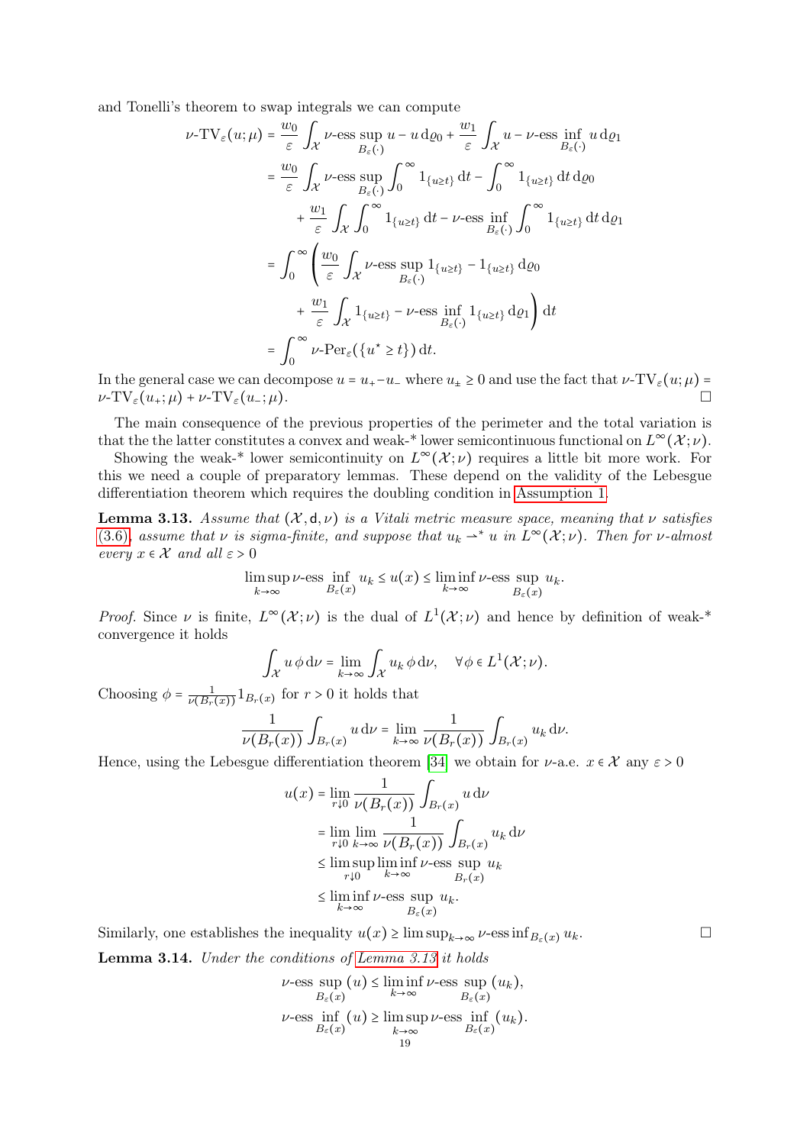and Tonelli's theorem to swap integrals we can compute

$$
\nu\text{-TV}_{\varepsilon}(u;\mu) = \frac{w_0}{\varepsilon} \int_{\mathcal{X}} \nu\text{-ess} \sup_{B_{\varepsilon}(\cdot)} u - u \, \text{d}\varrho_0 + \frac{w_1}{\varepsilon} \int_{\mathcal{X}} u - \nu\text{-ess} \inf_{B_{\varepsilon}(\cdot)} u \, \text{d}\varrho_1
$$
\n
$$
= \frac{w_0}{\varepsilon} \int_{\mathcal{X}} \nu\text{-ess} \sup_{B_{\varepsilon}(\cdot)} \int_0^\infty 1_{\{u \ge t\}} \, \text{d}t - \int_0^\infty 1_{\{u \ge t\}} \, \text{d}t \, \text{d}\varrho_0
$$
\n
$$
+ \frac{w_1}{\varepsilon} \int_{\mathcal{X}} \int_0^\infty 1_{\{u \ge t\}} \, \text{d}t - \nu\text{-ess} \inf_{B_{\varepsilon}(\cdot)} \int_0^\infty 1_{\{u \ge t\}} \, \text{d}t \, \text{d}\varrho_1
$$
\n
$$
= \int_0^\infty \left( \frac{w_0}{\varepsilon} \int_{\mathcal{X}} \nu\text{-ess} \sup_{B_{\varepsilon}(\cdot)} 1_{\{u \ge t\}} - 1_{\{u \ge t\}} \, \text{d}\varrho_0
$$
\n
$$
+ \frac{w_1}{\varepsilon} \int_{\mathcal{X}} 1_{\{u \ge t\}} - \nu\text{-ess} \inf_{B_{\varepsilon}(\cdot)} 1_{\{u \ge t\}} \, \text{d}\varrho_1 \right) \, \text{d}t
$$
\n
$$
= \int_0^\infty \nu\text{-Per}_{\varepsilon}(\{u^\star \ge t\}) \, \text{d}t.
$$

In the general case we can decompose  $u = u_+ - u_-$  where  $u_+ \ge 0$  and use the fact that  $v$ -TV<sub> $\epsilon$ </sub> $(u; \mu)$  =  $\nu$ -TV<sub> $\varepsilon$ </sub> $(u_+;\mu)$  +  $\nu$ -TV $_{\varepsilon}$  $(u_-;\mu)$ .

The main consequence of the previous properties of the perimeter and the total variation is that the the latter constitutes a convex and weak-\* lower semicontinuous functional on  $L^{\infty}(\mathcal{X};\nu)$ .

Showing the weak-\* lower semicontinuity on  $L^{\infty}(\mathcal{X}; \nu)$  requires a little bit more work. For this we need a couple of preparatory lemmas. These depend on the validity of the Lebesgue differentiation theorem which requires the doubling condition in [Assumption 1.](#page-13-1)

<span id="page-18-0"></span>**Lemma 3.13.** Assume that  $(X, d, \nu)$  is a Vitali metric measure space, meaning that  $\nu$  satisfies [\(3.6\)](#page-13-2), assume that  $\nu$  is sigma-finite, and suppose that  $u_k \rightharpoonup^* u$  in  $L^{\infty}(\mathcal{X}; \nu)$ . Then for  $\nu$ -almost every  $x \in \mathcal{X}$  and all  $\varepsilon > 0$ 

$$
\limsup_{k \to \infty} \nu\text{-ess} \inf_{B_{\varepsilon}(x)} u_k \le u(x) \le \liminf_{k \to \infty} \nu\text{-ess} \sup_{B_{\varepsilon}(x)} u_k.
$$

*Proof.* Since  $\nu$  is finite,  $L^{\infty}(\mathcal{X};\nu)$  is the dual of  $L^{1}(\mathcal{X};\nu)$  and hence by definition of weak-\* convergence it holds

$$
\int_{\mathcal{X}} u \phi \, \mathrm{d} \nu = \lim_{k \to \infty} \int_{\mathcal{X}} u_k \phi \, \mathrm{d} \nu, \quad \forall \phi \in L^1(\mathcal{X}; \nu).
$$

Choosing  $\phi = \frac{1}{\nu(B_r(x))} 1_{B_r(x)}$  for  $r > 0$  it holds that

$$
\frac{1}{\nu(B_r(x))}\int_{B_r(x)} u\,\mathrm{d}\nu = \lim_{k\to\infty}\frac{1}{\nu(B_r(x))}\int_{B_r(x)} u_k\,\mathrm{d}\nu.
$$

Hence, using the Lebesgue differentiation theorem [\[34\]](#page-33-14) we obtain for  $\nu$ -a.e.  $x \in \mathcal{X}$  any  $\varepsilon > 0$ 

$$
u(x) = \lim_{r \downarrow 0} \frac{1}{\nu(B_r(x))} \int_{B_r(x)} u \,d\nu
$$
  
\n
$$
= \lim_{r \downarrow 0} \lim_{k \to \infty} \frac{1}{\nu(B_r(x))} \int_{B_r(x)} u_k \,d\nu
$$
  
\n
$$
\leq \limsup_{r \downarrow 0} \liminf_{k \to \infty} \nu
$$
-ess sup  $u_k$   
\n
$$
\leq \liminf_{k \to \infty} \nu
$$
-ess sup  $u_k$ .  
\n
$$
B_r(x)
$$

Similarly, one establishes the inequality  $u(x) \ge \limsup_{k\to\infty} \nu$ -ess  $\inf_{B_{\varepsilon}(x)} u_k$ .

<span id="page-18-1"></span>Lemma 3.14. Under the conditions of [Lemma 3.13](#page-18-0) it holds

$$
\nu\text{-ess} \sup_{B_{\varepsilon}(x)} (u) \le \liminf_{k \to \infty} \nu\text{-ess} \sup_{B_{\varepsilon}(x)} (u_k),
$$
  

$$
\nu\text{-ess} \inf_{B_{\varepsilon}(x)} (u) \ge \limsup_{k \to \infty} \nu\text{-ess} \inf_{B_{\varepsilon}(x)} (u_k).
$$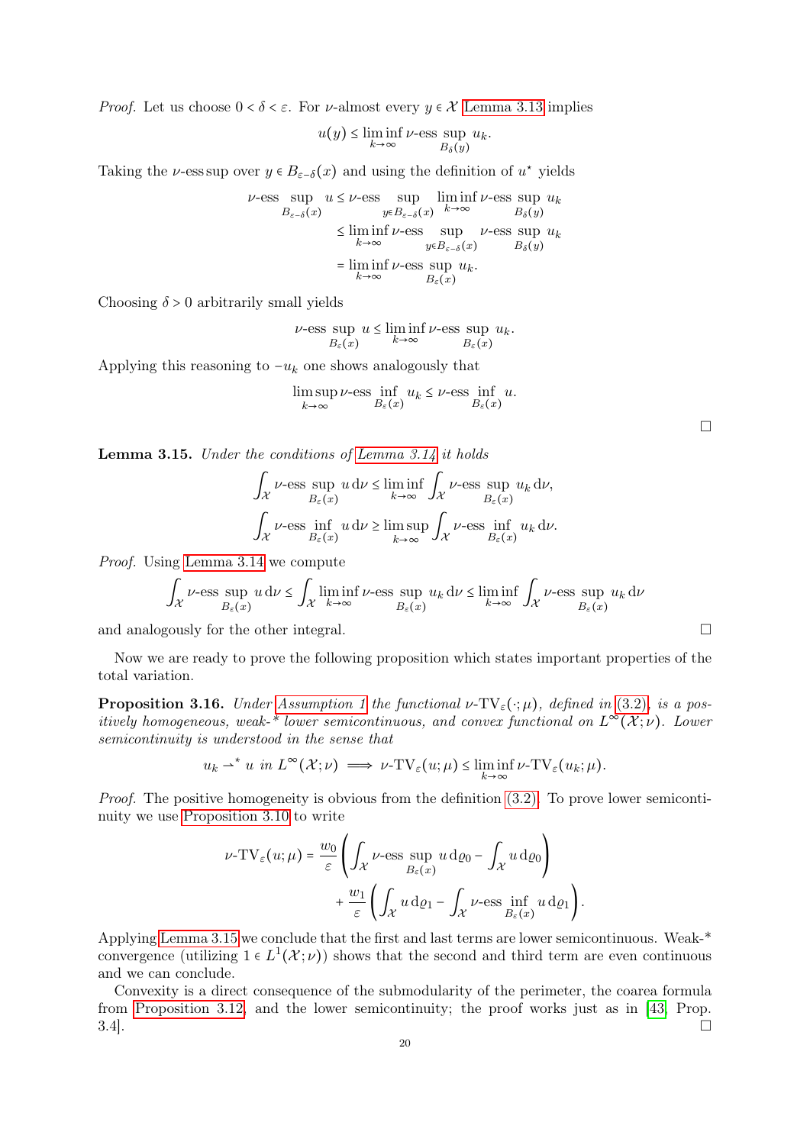*Proof.* Let us choose  $0 < \delta < \varepsilon$ . For *v*-almost every  $\gamma \in \mathcal{X}$  [Lemma 3.13](#page-18-0) implies

$$
u(y) \le \liminf_{k \to \infty} \nu\text{-ess} \sup_{B_\delta(y)} u_k.
$$

Taking the  $\nu$ -ess sup over  $y \in B_{\varepsilon-\delta}(x)$  and using the definition of  $u^*$  yields

$$
\nu\text{-ess} \sup_{B_{\varepsilon-\delta}(x)} u \leq \nu\text{-ess} \sup_{y\in B_{\varepsilon-\delta}(x)} \liminf_{k\to\infty} \nu\text{-ess} \sup_{B_{\delta}(y)} u_k
$$
  

$$
\leq \liminf_{k\to\infty} \nu\text{-ess} \sup_{y\in B_{\varepsilon-\delta}(x)} \nu\text{-ess} \sup_{B_{\delta}(y)} u_k
$$
  

$$
= \liminf_{k\to\infty} \nu\text{-ess} \sup_{B_{\varepsilon}(x)} u_k.
$$

Choosing  $\delta > 0$  arbitrarily small yields

$$
\nu\text{-ess}\sup_{B_{\varepsilon}(x)} u \le \liminf_{k\to\infty} \nu\text{-ess}\sup_{B_{\varepsilon}(x)} u_k.
$$

Applying this reasoning to  $-u_k$  one shows analogously that

$$
\limsup_{k \to \infty} \nu\text{-ess} \inf_{B_{\varepsilon}(x)} u_k \le \nu\text{-ess} \inf_{B_{\varepsilon}(x)} u.
$$

| __ |  |
|----|--|
|    |  |
|    |  |

<span id="page-19-0"></span>Lemma 3.15. Under the conditions of [Lemma 3.14](#page-18-1) it holds

$$
\int_{\mathcal{X}} \nu\text{-ess} \sup_{B_{\varepsilon}(x)} u \, d\nu \le \liminf_{k \to \infty} \int_{\mathcal{X}} \nu\text{-ess} \sup_{B_{\varepsilon}(x)} u_k \, d\nu,
$$

$$
\int_{\mathcal{X}} \nu\text{-ess} \inf_{B_{\varepsilon}(x)} u \, d\nu \ge \limsup_{k \to \infty} \int_{\mathcal{X}} \nu\text{-ess} \inf_{B_{\varepsilon}(x)} u_k \, d\nu.
$$

Proof. Using [Lemma 3.14](#page-18-1) we compute

$$
\int_{\mathcal{X}}\nu\text{-ess}\sup_{B_\varepsilon(x)}u\,\mathrm{d}\nu\leq \int_{\mathcal{X}}\liminf_{k\to\infty}\nu\text{-ess}\sup_{B_\varepsilon(x)}u_k\,\mathrm{d}\nu\leq \liminf_{k\to\infty}\int_{\mathcal{X}}\nu\text{-ess}\sup_{B_\varepsilon(x)}u_k\,\mathrm{d}\nu
$$

and analogously for the other integral.

Now we are ready to prove the following proposition which states important properties of the total variation.

<span id="page-19-1"></span>**Proposition 3.16.** Under [Assumption 1](#page-13-1) the functional  $\nu$ -TV<sub> $\varepsilon$ </sub>( $\cdot$ ;  $\mu$ ), defined in [\(3.2\)](#page-12-4), is a positively homogeneous, weak-\* lower semicontinuous, and convex functional on  $L^{\infty}(\mathcal{X};\nu)$ . Lower semicontinuity is understood in the sense that

$$
u_k \rightharpoonup^* u \text{ in } L^{\infty}(\mathcal{X}; \nu) \implies \nu \text{-TV}_{\varepsilon}(u; \mu) \leq \liminf_{k \to \infty} \nu \text{-TV}_{\varepsilon}(u_k; \mu).
$$

Proof. The positive homogeneity is obvious from the definition [\(3.2\).](#page-12-4) To prove lower semicontinuity we use [Proposition 3.10](#page-15-2) to write

$$
\nu\text{-TV}_{\varepsilon}(u;\mu) = \frac{w_0}{\varepsilon} \left( \int_{\mathcal{X}} \nu\text{-ess} \sup_{B_{\varepsilon}(x)} u \, \mathrm{d}\varrho_0 - \int_{\mathcal{X}} u \, \mathrm{d}\varrho_0 \right) + \frac{w_1}{\varepsilon} \left( \int_{\mathcal{X}} u \, \mathrm{d}\varrho_1 - \int_{\mathcal{X}} \nu\text{-ess} \inf_{B_{\varepsilon}(x)} u \, \mathrm{d}\varrho_1 \right).
$$

Applying [Lemma 3.15](#page-19-0) we conclude that the first and last terms are lower semicontinuous. Weak-\* convergence (utilizing  $1 \in L^1(\mathcal{X}; \nu)$ ) shows that the second and third term are even continuous and we can conclude.

Convexity is a direct consequence of the submodularity of the perimeter, the coarea formula from [Proposition 3.12,](#page-17-2) and the lower semicontinuity; the proof works just as in [\[43,](#page-33-11) Prop.  $3.4$ ].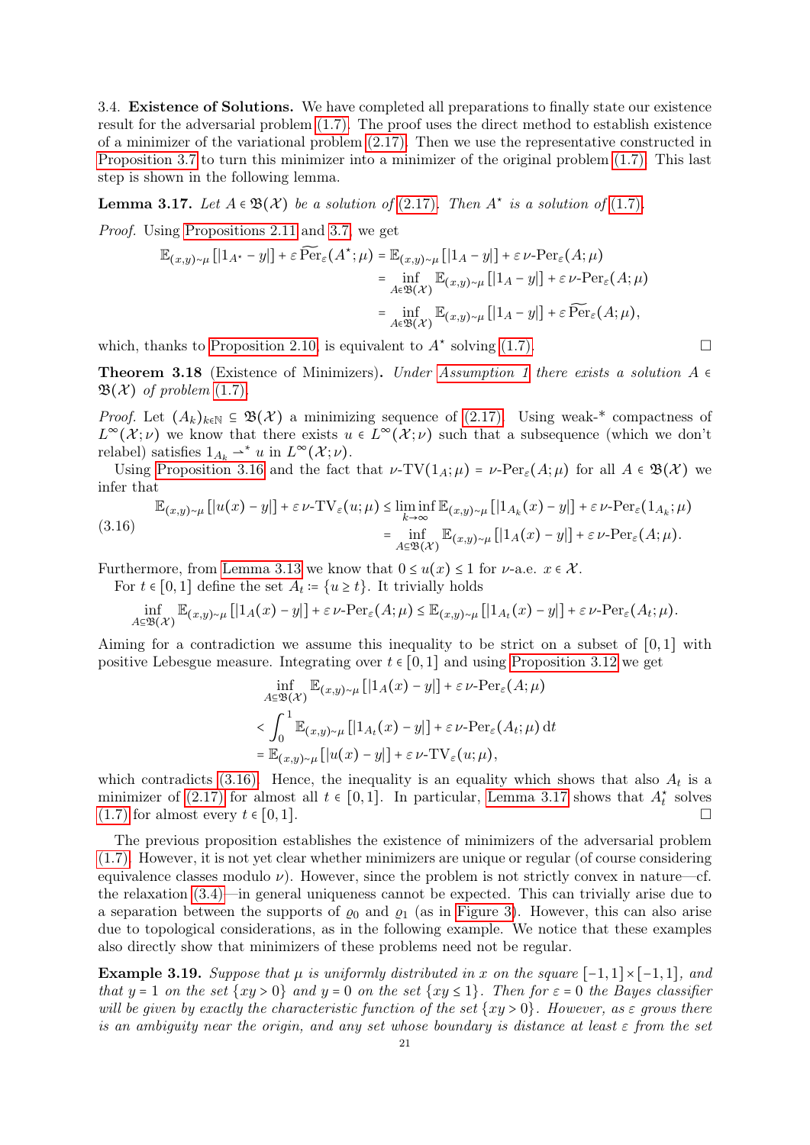<span id="page-20-0"></span>3.4. Existence of Solutions. We have completed all preparations to finally state our existence result for the adversarial problem [\(1.7\).](#page-4-1) The proof uses the direct method to establish existence of a minimizer of the variational problem [\(2.17\).](#page-10-2) Then we use the representative constructed in [Proposition 3.7](#page-14-0) to turn this minimizer into a minimizer of the original problem [\(1.7\).](#page-4-1) This last step is shown in the following lemma.

<span id="page-20-2"></span>**Lemma 3.17.** Let  $A \in \mathfrak{B}(\mathcal{X})$  be a solution of [\(2.17\)](#page-10-2). Then  $A^*$  is a solution of [\(1.7\)](#page-4-1).

Proof. Using [Propositions 2.11](#page-10-4) and [3.7,](#page-14-0) we get

$$
\mathbb{E}_{(x,y)\sim\mu}[[1_{A^*}-y]] + \varepsilon \widetilde{\text{Per}}_{\varepsilon}(A^*;\mu) = \mathbb{E}_{(x,y)\sim\mu}[[1_A-y]] + \varepsilon \nu \text{-Per}_{\varepsilon}(A;\mu)
$$
\n
$$
= \inf_{A\in\mathfrak{B}(\mathcal{X})} \mathbb{E}_{(x,y)\sim\mu}[[1_A-y]] + \varepsilon \nu \text{-Per}_{\varepsilon}(A;\mu)
$$
\n
$$
= \inf_{A\in\mathfrak{B}(\mathcal{X})} \mathbb{E}_{(x,y)\sim\mu}[[1_A-y]] + \varepsilon \widetilde{\text{Per}}_{\varepsilon}(A;\mu),
$$

which, thanks to [Proposition 2.10,](#page-10-3) is equivalent to  $A^*$  solving [\(1.7\).](#page-4-1)

**Theorem 3.18** (Existence of Minimizers). Under [Assumption 1](#page-13-1) there exists a solution  $A \in$  $\mathfrak{B}(\mathcal{X})$  of problem [\(1.7\)](#page-4-1).

*Proof.* Let  $(A_k)_{k\in\mathbb{N}} \subseteq \mathfrak{B}(\mathcal{X})$  a minimizing sequence of [\(2.17\).](#page-10-2) Using weak-\* compactness of  $L^{\infty}(\mathcal{X};\nu)$  we know that there exists  $u \in L^{\infty}(\mathcal{X};\nu)$  such that a subsequence (which we don't relabel) satisfies  $1_{A_k} \rightarrow^* u$  in  $L^{\infty}(\mathcal{X}; \nu)$ .

Using [Proposition 3.16](#page-19-1) and the fact that  $\nu$ -TV( $1_A$ ; $\mu$ ) =  $\nu$ -Per<sub> $\epsilon$ </sub>( $A$ ; $\mu$ ) for all  $A \in \mathfrak{B}(\mathcal{X})$  we infer that

<span id="page-20-1"></span>
$$
\mathbb{E}_{(x,y)\sim\mu} [|u(x)-y|] + \varepsilon \nu - TV_{\varepsilon}(u;\mu) \le \liminf_{k \to \infty} \mathbb{E}_{(x,y)\sim\mu} [|1_{A_k}(x)-y|] + \varepsilon \nu - Per_{\varepsilon}(1_{A_k};\mu)
$$
  
= 
$$
\inf_{A \subseteq \mathfrak{B}(\mathcal{X})} \mathbb{E}_{(x,y)\sim\mu} [|1_A(x)-y|] + \varepsilon \nu - Per_{\varepsilon}(A;\mu).
$$

Furthermore, from [Lemma 3.13](#page-18-0) we know that  $0 \le u(x) \le 1$  for  $\nu$ -a.e.  $x \in \mathcal{X}$ .

For  $t \in [0,1]$  define the set  $A_t := \{u \ge t\}$ . It trivially holds

$$
\inf_{A\subseteq\mathfrak{B}(\mathcal{X})}\mathbb{E}_{(x,y)\sim\mu}[[1_A(x)-y]]+\varepsilon\nu\text{-Per}_{\varepsilon}(A;\mu)\leq \mathbb{E}_{(x,y)\sim\mu}[[1_{A_t}(x)-y]]+\varepsilon\nu\text{-Per}_{\varepsilon}(A_t;\mu).
$$

Aiming for a contradiction we assume this inequality to be strict on a subset of  $[0,1]$  with positive Lebesgue measure. Integrating over  $t \in [0,1]$  and using [Proposition 3.12](#page-17-2) we get

$$
\inf_{A \subseteq \mathfrak{B}(\mathcal{X})} \mathbb{E}_{(x,y) \sim \mu} [[1_A(x) - y]] + \varepsilon \nu \text{-Per}_{\varepsilon}(A; \mu)
$$
\n
$$
< \int_0^1 \mathbb{E}_{(x,y) \sim \mu} [[1_{A_t}(x) - y]] + \varepsilon \nu \text{-Per}_{\varepsilon}(A_t; \mu) dt
$$
\n
$$
= \mathbb{E}_{(x,y) \sim \mu} [[u(x) - y]] + \varepsilon \nu \text{-TV}_{\varepsilon}(u; \mu),
$$

which contradicts [\(3.16\).](#page-20-1) Hence, the inequality is an equality which shows that also  $A_t$  is a minimizer of [\(2.17\)](#page-10-2) for almost all  $t \in [0,1]$ . In particular, [Lemma 3.17](#page-20-2) shows that  $A_t^*$  solves  $(1.7)$  for almost every  $t \in [0,1]$ .

The previous proposition establishes the existence of minimizers of the adversarial problem [\(1.7\).](#page-4-1) However, it is not yet clear whether minimizers are unique or regular (of course considering equivalence classes modulo  $\nu$ ). However, since the problem is not strictly convex in nature—cf. the relaxation [\(3.4\)—](#page-12-3)in general uniqueness cannot be expected. This can trivially arise due to a separation between the supports of  $\varrho_0$  and  $\varrho_1$  (as in [Figure 3\)](#page-23-0). However, this can also arise due to topological considerations, as in the following example. We notice that these examples also directly show that minimizers of these problems need not be regular.

<span id="page-20-3"></span>Example 3.19. Suppose that  $\mu$  is uniformly distributed in x on the square  $[-1,1] \times [-1,1]$ , and that  $y = 1$  on the set  $\{xy > 0\}$  and  $y = 0$  on the set  $\{xy \le 1\}$ . Then for  $\varepsilon = 0$  the Bayes classifier will be given by exactly the characteristic function of the set  $\{xy > 0\}$ . However, as  $\varepsilon$  grows there is an ambiguity near the origin, and any set whose boundary is distance at least  $\varepsilon$  from the set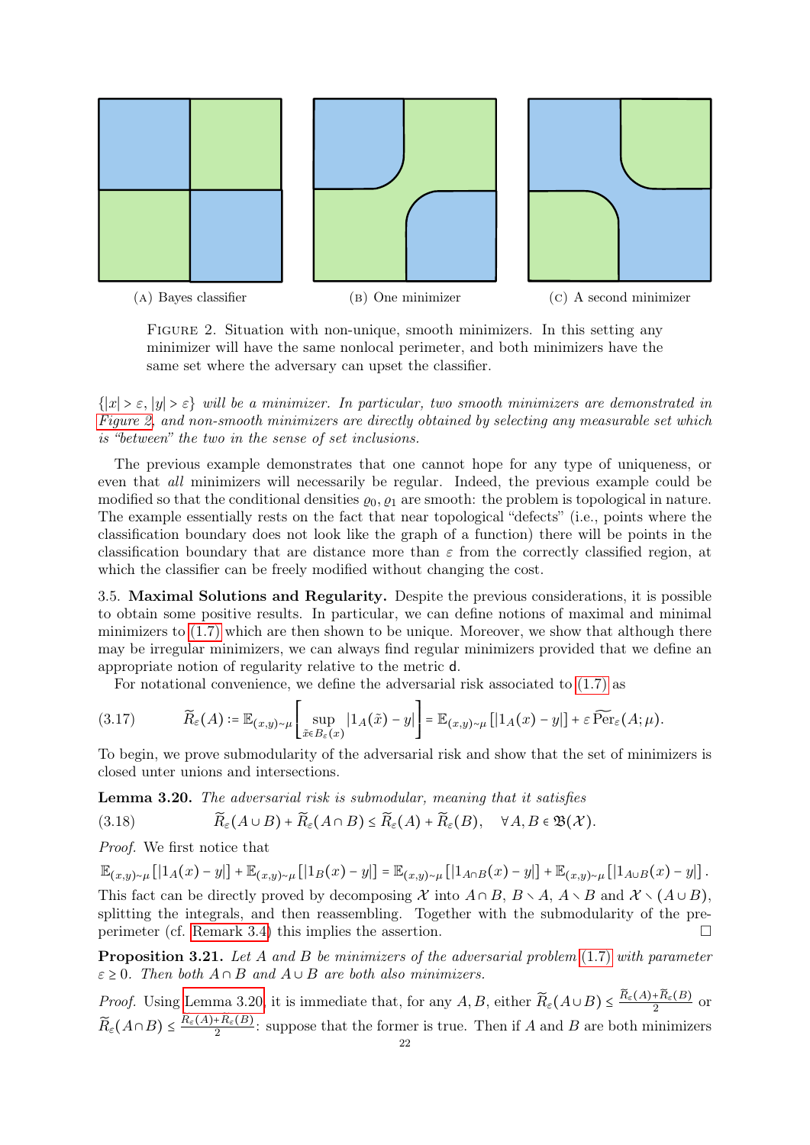<span id="page-21-1"></span>

FIGURE 2. Situation with non-unique, smooth minimizers. In this setting any minimizer will have the same nonlocal perimeter, and both minimizers have the same set where the adversary can upset the classifier.

 $\{|x| > \varepsilon, |y| > \varepsilon\}$  will be a minimizer. In particular, two smooth minimizers are demonstrated in [Figure 2,](#page-21-1) and non-smooth minimizers are directly obtained by selecting any measurable set which is "between" the two in the sense of set inclusions.

The previous example demonstrates that one cannot hope for any type of uniqueness, or even that all minimizers will necessarily be regular. Indeed, the previous example could be modified so that the conditional densities  $\varrho_0$ ,  $\varrho_1$  are smooth: the problem is topological in nature. The example essentially rests on the fact that near topological "defects" (i.e., points where the classification boundary does not look like the graph of a function) there will be points in the classification boundary that are distance more than  $\varepsilon$  from the correctly classified region, at which the classifier can be freely modified without changing the cost.

<span id="page-21-0"></span>3.5. Maximal Solutions and Regularity. Despite the previous considerations, it is possible to obtain some positive results. In particular, we can define notions of maximal and minimal minimizers to [\(1.7\)](#page-4-1) which are then shown to be unique. Moreover, we show that although there may be irregular minimizers, we can always find regular minimizers provided that we define an appropriate notion of regularity relative to the metric d.

For notational convenience, we define the adversarial risk associated to [\(1.7\)](#page-4-1) as

<span id="page-21-4"></span>
$$
(3.17) \qquad \widetilde{R}_{\varepsilon}(A) \coloneqq \mathbb{E}_{(x,y)\sim\mu} \left[ \sup_{\tilde{x}\in B_{\varepsilon}(x)} |1_A(\tilde{x}) - y| \right] = \mathbb{E}_{(x,y)\sim\mu} \left[ |1_A(x) - y| \right] + \varepsilon \widetilde{\operatorname{Per}}_{\varepsilon}(A;\mu).
$$

To begin, we prove submodularity of the adversarial risk and show that the set of minimizers is closed unter unions and intersections.

<span id="page-21-2"></span>Lemma 3.20. The adversarial risk is submodular, meaning that it satisfies

$$
(3.18) \qquad \qquad \widetilde{R}_{\varepsilon}(A\cup B) + \widetilde{R}_{\varepsilon}(A\cap B) \leq \widetilde{R}_{\varepsilon}(A) + \widetilde{R}_{\varepsilon}(B), \quad \forall A, B \in \mathfrak{B}(\mathcal{X}).
$$

Proof. We first notice that

 $\mathbb{E}_{(x,y)\sim\mu}[[1_A(x)-y]]+\mathbb{E}_{(x,y)\sim\mu}[[1_B(x)-y]]=\mathbb{E}_{(x,y)\sim\mu}[[1_{A\cap B}(x)-y]]+\mathbb{E}_{(x,y)\sim\mu}[[1_{A\cup B}(x)-y]]$ . This fact can be directly proved by decomposing X into  $A \cap B$ ,  $B \setminus A$ ,  $A \setminus B$  and  $X \setminus (A \cup B)$ , splitting the integrals, and then reassembling. Together with the submodularity of the preperimeter (cf. [Remark 3.4\)](#page-12-5) this implies the assertion.

<span id="page-21-3"></span>**Proposition 3.21.** Let A and B be minimizers of the adversarial problem  $(1.7)$  with parameter  $\varepsilon \geq 0$ . Then both  $A \cap B$  and  $A \cup B$  are both also minimizers.

*Proof.* Using [Lemma 3.20,](#page-21-2) it is immediate that, for any  $A, B$ , either  $\widetilde{R}_{\varepsilon}(A \cup B) \leq \frac{\widetilde{R}_{\varepsilon}(A) + \widetilde{R}_{\varepsilon}(B)}{2}$  $\frac{+R_{\varepsilon}(B)}{2}$  or  $\widetilde{R}_{\varepsilon}(A \cap B) \leq \frac{\widetilde{R}_{\varepsilon}(A) + \widetilde{R}_{\varepsilon}(B)}{2}$  $\frac{2+A_{\varepsilon}(B)}{2}$ : suppose that the former is true. Then if A and B are both minimizers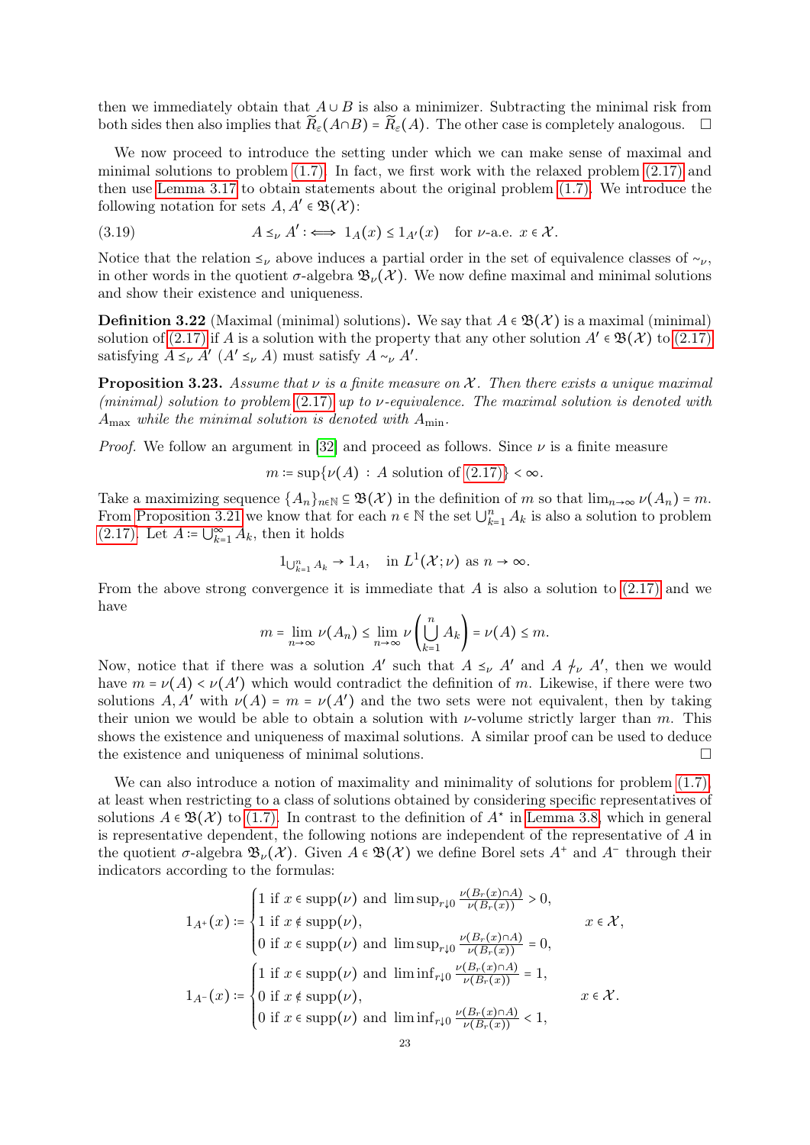then we immediately obtain that  $A \cup B$  is also a minimizer. Subtracting the minimal risk from both sides then also implies that  $R_{\varepsilon}(A \cap B) = R_{\varepsilon}(A)$ . The other case is completely analogous.  $\square$ 

We now proceed to introduce the setting under which we can make sense of maximal and minimal solutions to problem [\(1.7\).](#page-4-1) In fact, we first work with the relaxed problem [\(2.17\)](#page-10-2) and then use [Lemma 3.17](#page-20-2) to obtain statements about the original problem [\(1.7\).](#page-4-1) We introduce the following notation for sets  $A, A' \in \mathfrak{B}(\mathcal{X})$ :

(3.19) 
$$
A \leq_{\nu} A' : \iff 1_A(x) \leq 1_{A'}(x) \text{ for } \nu\text{-a.e. } x \in \mathcal{X}.
$$

Notice that the relation  $\leq_{\nu}$  above induces a partial order in the set of equivalence classes of  $\sim_{\nu}$ , in other words in the quotient  $\sigma$ -algebra  $\mathfrak{B}_{\nu}(\mathcal{X})$ . We now define maximal and minimal solutions and show their existence and uniqueness.

**Definition 3.22** (Maximal (minimal) solutions). We say that  $A \in \mathcal{B}(\mathcal{X})$  is a maximal (minimal) solution of [\(2.17\)](#page-10-2) if A is a solution with the property that any other solution  $A' \in \mathfrak{B}(\mathcal{X})$  to (2.17) satisfying  $A \leq_{\nu} A' (A' \leq_{\nu} A)$  must satisfy  $A \sim_{\nu} A'$ .

<span id="page-22-0"></span>**Proposition 3.23.** Assume that  $\nu$  is a finite measure on X. Then there exists a unique maximal (minimal) solution to problem  $(2.17)$  up to  $\nu$ -equivalence. The maximal solution is denoted with  $A_{\text{max}}$  while the minimal solution is denoted with  $A_{\text{min}}$ .

*Proof.* We follow an argument in [\[32\]](#page-33-12) and proceed as follows. Since  $\nu$  is a finite measure

$$
m \coloneqq \sup \{ \nu(A) : A \text{ solution of } (2.17) \} < \infty.
$$

Take a maximizing sequence  $\{A_n\}_{n\in\mathbb{N}}\subseteq \mathfrak{B}(\mathcal{X})$  in the definition of m so that  $\lim_{n\to\infty}\nu(A_n)=m$ . From [Proposition 3.21](#page-21-3) we know that for each  $n \in \mathbb{N}$  the set  $\bigcup_{k=1}^{n} A_k$  is also a solution to problem [\(2.17\).](#page-10-2) Let  $A \coloneqq \bigcup_{k=1}^{\infty} A_k$ , then it holds

$$
1_{\bigcup_{k=1}^{n} A_k} \to 1_A, \quad \text{in } L^1(\mathcal{X}; \nu) \text{ as } n \to \infty.
$$

From the above strong convergence it is immediate that  $A$  is also a solution to  $(2.17)$  and we have

$$
m = \lim_{n \to \infty} \nu(A_n) \le \lim_{n \to \infty} \nu\left(\bigcup_{k=1}^n A_k\right) = \nu(A) \le m.
$$

Now, notice that if there was a solution A' such that  $A \leq_{\nu} A'$  and  $A \neq_{\nu} A'$ , then we would have  $m = \nu(A) < \nu(A')$  which would contradict the definition of m. Likewise, if there were two solutions  $A, A'$  with  $\nu(A) = m = \nu(A')$  and the two sets were not equivalent, then by taking their union we would be able to obtain a solution with  $\nu$ -volume strictly larger than m. This shows the existence and uniqueness of maximal solutions. A similar proof can be used to deduce the existence and uniqueness of minimal solutions.

We can also introduce a notion of maximality and minimality of solutions for problem  $(1.7)$ , at least when restricting to a class of solutions obtained by considering specific representatives of solutions  $A \in \mathfrak{B}(\mathcal{X})$  to [\(1.7\).](#page-4-1) In contrast to the definition of  $A^*$  in [Lemma 3.8,](#page-14-1) which in general is representative dependent, the following notions are independent of the representative of A in the quotient  $\sigma$ -algebra  $\mathfrak{B}_{\nu}(\mathcal{X})$ . Given  $A \in \mathfrak{B}(\mathcal{X})$  we define Borel sets  $A^+$  and  $A^-$  through their indicators according to the formulas:

$$
1_{A^+}(x) \coloneqq \begin{cases} 1 \text{ if } x \in \text{supp}(\nu) \text{ and } \limsup_{r \downarrow 0} \frac{\nu(B_r(x) \cap A)}{\nu(B_r(x))} > 0, \\ 1 \text{ if } x \notin \text{supp}(\nu), \\ 0 \text{ if } x \in \text{supp}(\nu) \text{ and } \limsup_{r \downarrow 0} \frac{\nu(B_r(x) \cap A)}{\nu(B_r(x))} = 0, \end{cases} x \in \mathcal{X},
$$
  

$$
1_{A^-}(x) \coloneqq \begin{cases} 1 \text{ if } x \in \text{supp}(\nu) \text{ and } \liminf_{r \downarrow 0} \frac{\nu(B_r(x) \cap A)}{\nu(B_r(x))} = 1, \\ 0 \text{ if } x \notin \text{supp}(\nu), \\ 0 \text{ if } x \in \text{supp}(\nu) \text{ and } \liminf_{r \downarrow 0} \frac{\nu(B_r(x) \cap A)}{\nu(B_r(x))} < 1, \end{cases} x \in \mathcal{X}.
$$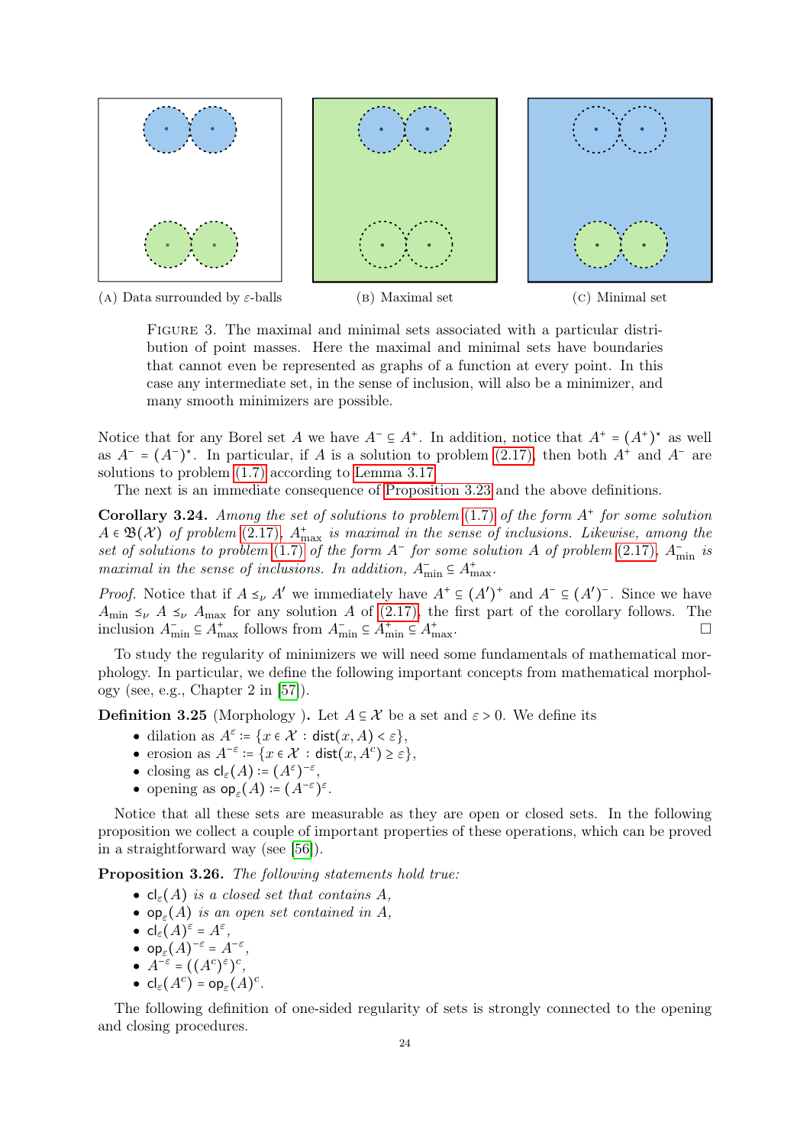<span id="page-23-0"></span>

Figure 3. The maximal and minimal sets associated with a particular distribution of point masses. Here the maximal and minimal sets have boundaries that cannot even be represented as graphs of a function at every point. In this case any intermediate set, in the sense of inclusion, will also be a minimizer, and many smooth minimizers are possible.

Notice that for any Borel set A we have  $A^- \subseteq A^+$ . In addition, notice that  $A^+ = (A^+)^*$  as well as  $A^- = (A^-)^*$ . In particular, if A is a solution to problem [\(2.17\),](#page-10-2) then both  $A^+$  and  $A^-$  are solutions to problem [\(1.7\)](#page-4-1) according to [Lemma 3.17.](#page-20-2)

The next is an immediate consequence of [Proposition 3.23](#page-22-0) and the above definitions.

<span id="page-23-2"></span>Corollary 3.24. Among the set of solutions to problem  $(1.7)$  of the form  $A^+$  for some solution  $A \in \mathfrak{B}(\mathcal{X})$  of problem [\(2.17\)](#page-10-2),  $A_{\text{max}}^+$  is maximal in the sense of inclusions. Likewise, among the set of solutions to problem [\(1.7\)](#page-4-1) of the form  $A^-$  for some solution A of problem [\(2.17\)](#page-10-2),  $A^-_{min}$  is maximal in the sense of inclusions. In addition,  $A_{\min}^- \subseteq A_{\max}^+$ .

*Proof.* Notice that if  $A \leq_{\nu} A'$  we immediately have  $A^+ \subseteq (A')^+$  and  $A^- \subseteq (A')^-$ . Since we have  $A_{\text{min}} \leq_{\nu} A \leq_{\nu} A_{\text{max}}$  for any solution A of [\(2.17\),](#page-10-2) the first part of the corollary follows. The inclusion  $A_{\min}^- \subseteq A_{\max}^+$  follows from  $A_{\min}^- \subseteq A_{\min}^+ \subseteq A_{\min}^+$  $+\text{max}$ .

To study the regularity of minimizers we will need some fundamentals of mathematical morphology. In particular, we define the following important concepts from mathematical morphology (see, e.g., Chapter 2 in [\[57\]](#page-34-8)).

**Definition 3.25** (Morphology). Let  $A \subseteq \mathcal{X}$  be a set and  $\varepsilon > 0$ . We define its

- dilation as  $A^{\varepsilon}$  := { $x \in \mathcal{X}$  : dist $(x, A) < \varepsilon$ },
- erosion as  $A^{-\varepsilon} = \{x \in \mathcal{X} : \text{dist}(x, A^c) \geq \varepsilon\},\$
- closing as  ${\sf cl}_{\varepsilon}(A)\coloneqq (A^{\varepsilon})^{-\varepsilon},$
- opening as  $op_{\varepsilon}(A) = (A^{-\varepsilon})^{\varepsilon}$ .

Notice that all these sets are measurable as they are open or closed sets. In the following proposition we collect a couple of important properties of these operations, which can be proved in a straightforward way (see [\[56\]](#page-34-9)).

<span id="page-23-1"></span>Proposition 3.26. The following statements hold true:

- $cl_{\varepsilon}(A)$  is a closed set that contains A,
- $op_{\varepsilon}(A)$  is an open set contained in A,
- ${\sf cl}_{\varepsilon}(A)^{\varepsilon} = A^{\varepsilon},$
- $op_{\varepsilon}(A)^{-\varepsilon} = A^{-\varepsilon},$
- $A^{-\varepsilon} = ((A^c)^{\varepsilon})^c$ ,
- $cl_{\varepsilon}(A^c) = op_{\varepsilon}(A)^c$ .

The following definition of one-sided regularity of sets is strongly connected to the opening and closing procedures.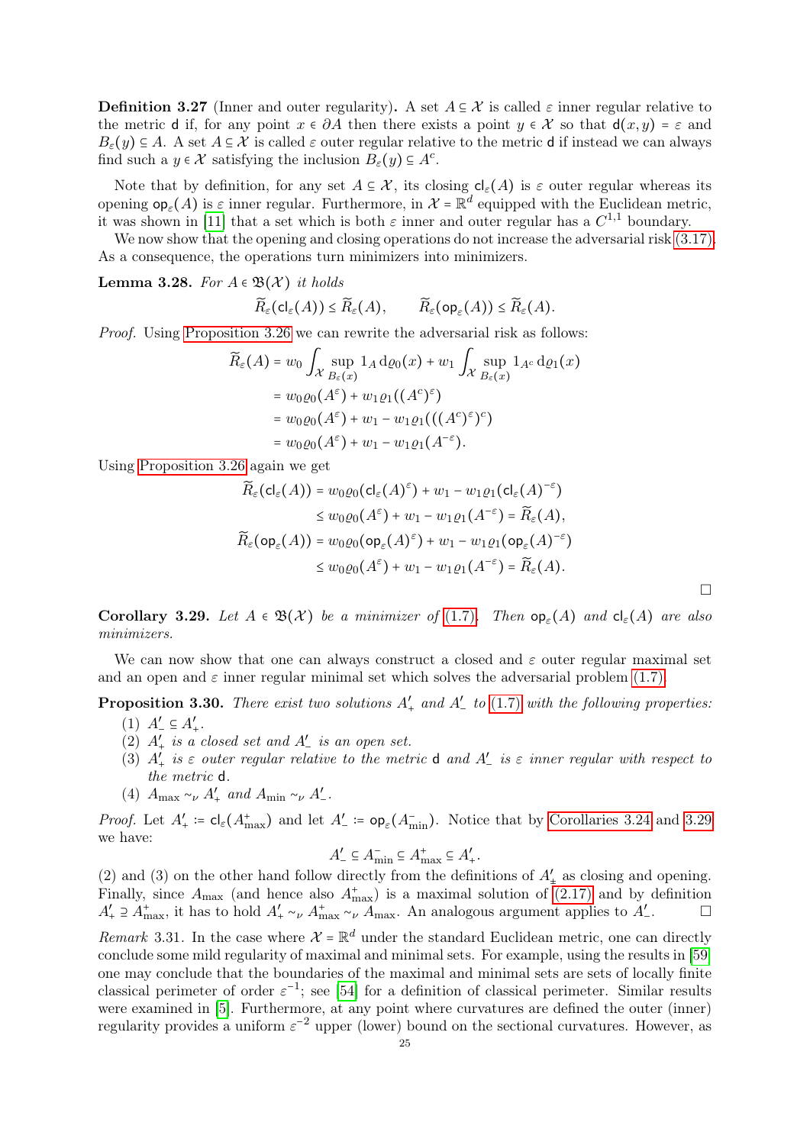**Definition 3.27** (Inner and outer regularity). A set  $A \subseteq \mathcal{X}$  is called  $\varepsilon$  inner regular relative to the metric d if, for any point  $x \in \partial A$  then there exists a point  $y \in \mathcal{X}$  so that  $d(x, y) = \varepsilon$  and  $B_{\varepsilon}(y) \subseteq A$ . A set  $A \subseteq \mathcal{X}$  is called  $\varepsilon$  outer regular relative to the metric d if instead we can always find such a  $y \in \mathcal{X}$  satisfying the inclusion  $B_{\varepsilon}(y) \subseteq A^c$ .

Note that by definition, for any set  $A \subseteq \mathcal{X}$ , its closing  $cl_{\varepsilon}(A)$  is  $\varepsilon$  outer regular whereas its opening  $op_{\varepsilon}(A)$  is  $\varepsilon$  inner regular. Furthermore, in  $\mathcal{X} = \mathbb{R}^d$  equipped with the Euclidean metric, it was shown in [\[11\]](#page-32-13) that a set which is both  $\varepsilon$  inner and outer regular has a  $C^{1,1}$  boundary.

We now show that the opening and closing operations do not increase the adversarial risk  $(3.17)$ . As a consequence, the operations turn minimizers into minimizers.

<span id="page-24-1"></span>Lemma 3.28. For  $A \in \mathfrak{B}(\mathcal{X})$  it holds

$$
\widetilde{R}_{\varepsilon}(\mathsf{cl}_{\varepsilon}(A)) \leq \widetilde{R}_{\varepsilon}(A), \qquad \widetilde{R}_{\varepsilon}(\mathsf{op}_{\varepsilon}(A)) \leq \widetilde{R}_{\varepsilon}(A).
$$

Proof. Using [Proposition 3.26](#page-23-1) we can rewrite the adversarial risk as follows:

$$
\widetilde{R}_{\varepsilon}(A) = w_0 \int_{\mathcal{X}} \sup_{B_{\varepsilon}(x)} 1_A \, \mathrm{d}\varrho_0(x) + w_1 \int_{\mathcal{X}} \sup_{B_{\varepsilon}(x)} 1_{A^c} \, \mathrm{d}\varrho_1(x)
$$
\n
$$
= w_0 \varrho_0(A^{\varepsilon}) + w_1 \varrho_1((A^c)^{\varepsilon})
$$
\n
$$
= w_0 \varrho_0(A^{\varepsilon}) + w_1 - w_1 \varrho_1(((A^c)^{\varepsilon})^c)
$$
\n
$$
= w_0 \varrho_0(A^{\varepsilon}) + w_1 - w_1 \varrho_1(A^{-\varepsilon}).
$$

Using [Proposition 3.26](#page-23-1) again we get

$$
\widetilde{R}_{\varepsilon}(\mathsf{cl}_{\varepsilon}(A)) = w_0 \varrho_0(\mathsf{cl}_{\varepsilon}(A)^{\varepsilon}) + w_1 - w_1 \varrho_1(\mathsf{cl}_{\varepsilon}(A)^{-\varepsilon})
$$
\n
$$
\leq w_0 \varrho_0(A^{\varepsilon}) + w_1 - w_1 \varrho_1(A^{-\varepsilon}) = \widetilde{R}_{\varepsilon}(A),
$$
\n
$$
\widetilde{R}_{\varepsilon}(\mathsf{op}_{\varepsilon}(A)) = w_0 \varrho_0(\mathsf{op}_{\varepsilon}(A)^{\varepsilon}) + w_1 - w_1 \varrho_1(\mathsf{op}_{\varepsilon}(A)^{-\varepsilon})
$$
\n
$$
\leq w_0 \varrho_0(A^{\varepsilon}) + w_1 - w_1 \varrho_1(A^{-\varepsilon}) = \widetilde{R}_{\varepsilon}(A).
$$

<span id="page-24-0"></span>Corollary 3.29. Let  $A \in \mathfrak{B}(\mathcal{X})$  be a minimizer of [\(1.7\)](#page-4-1). Then  $\mathsf{op}_{\varepsilon}(A)$  and  $\mathsf{cl}_{\varepsilon}(A)$  are also minimizers.

We can now show that one can always construct a closed and  $\varepsilon$  outer regular maximal set and an open and  $\varepsilon$  inner regular minimal set which solves the adversarial problem [\(1.7\).](#page-4-1)

**Proposition 3.30.** There exist two solutions  $A'_+$  and  $A'_-$  to [\(1.7\)](#page-4-1) with the following properties.

- $(1) A'_{-} \subseteq A'_{+}$ .
- (2)  $A'_+$  is a closed set and  $A'_-$  is an open set.
- (3)  $A'_{+}$  is  $\varepsilon$  outer regular relative to the metric **d** and  $A'_{-}$  is  $\varepsilon$  inner regular with respect to the metric d.
- (4)  $A_{\text{max}} \sim_{\nu} A'_{+}$  and  $A_{\text{min}} \sim_{\nu} A'_{-}$ .

*Proof.* Let  $A'_+ := cl_{\varepsilon}(A_{\max}^+)$  and let  $A'_{-} := op_{\varepsilon}(A_{\min}^-)$ . Notice that by [Corollaries 3.24](#page-23-2) and [3.29](#page-24-0) we have:

$$
A'_{-} \subseteq A_{\min}^{-} \subseteq A_{\max}^{+} \subseteq A'_{+}
$$

.

(2) and (3) on the other hand follow directly from the definitions of  $A'_{\pm}$  as closing and opening. Finally, since  $A_{\text{max}}$  (and hence also  $A_{\text{max}}^+$ ) is a maximal solution of [\(2.17\)](#page-10-2) and by definition  $A'_+ \supseteq A^+_{\text{max}}$ , it has to hold  $A'_+ \sim_{\nu} A^+_{\text{max}} \sim_{\nu} A_{\text{max}}$ . An analogous argument applies to  $A'_ \Box$ 

Remark 3.31. In the case where  $\mathcal{X} = \mathbb{R}^d$  under the standard Euclidean metric, one can directly conclude some mild regularity of maximal and minimal sets. For example, using the results in [\[59\]](#page-34-10) one may conclude that the boundaries of the maximal and minimal sets are sets of locally finite classical perimeter of order  $\varepsilon^{-1}$ ; see [\[54\]](#page-34-11) for a definition of classical perimeter. Similar results were examined in [\[5\]](#page-31-6). Furthermore, at any point where curvatures are defined the outer (inner) regularity provides a uniform  $\varepsilon^{-2}$  upper (lower) bound on the sectional curvatures. However, as

 $\Box$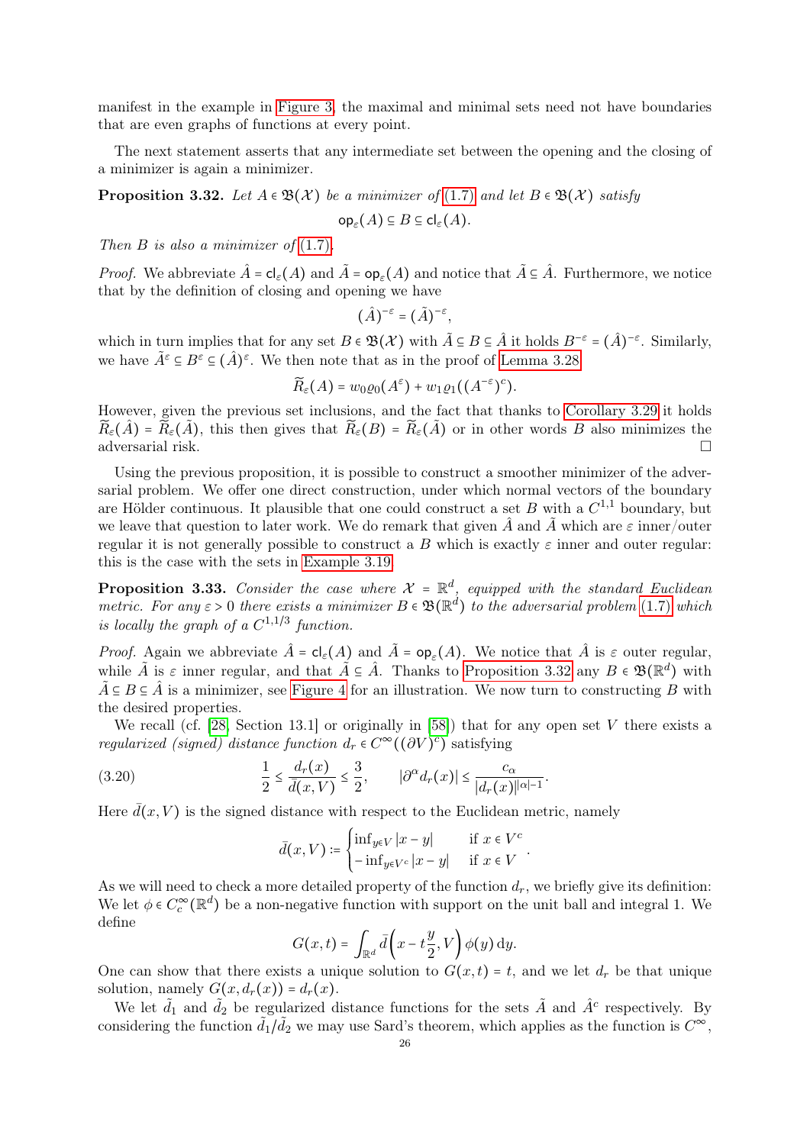manifest in the example in [Figure 3,](#page-23-0) the maximal and minimal sets need not have boundaries that are even graphs of functions at every point.

The next statement asserts that any intermediate set between the opening and the closing of a minimizer is again a minimizer.

<span id="page-25-0"></span>**Proposition 3.32.** Let  $A \in \mathcal{B}(\mathcal{X})$  be a minimizer of [\(1.7\)](#page-4-1) and let  $B \in \mathcal{B}(\mathcal{X})$  satisfy

$$
\mathrm{op}_{\varepsilon}(A) \subseteq B \subseteq \mathrm{cl}_{\varepsilon}(A).
$$

Then  $B$  is also a minimizer of  $(1.7)$ .

*Proof.* We abbreviate  $\hat{A} = cl_{\varepsilon}(A)$  and  $\tilde{A} = op_{\varepsilon}(A)$  and notice that  $\tilde{A} \subseteq \hat{A}$ . Furthermore, we notice that by the definition of closing and opening we have

$$
(\hat{A})^{-\varepsilon} = (\tilde{A})^{-\varepsilon},
$$

which in turn implies that for any set  $B \in \mathfrak{B}(\mathcal{X})$  with  $\tilde{A} \subseteq B \subseteq \hat{A}$  it holds  $B^{-\varepsilon} = (\hat{A})^{-\varepsilon}$ . Similarly, we have  $\tilde{A}^{\varepsilon} \subseteq B^{\varepsilon} \subseteq (\hat{A})^{\varepsilon}$ . We then note that as in the proof of [Lemma 3.28](#page-24-1)

$$
\widetilde{R}_{\varepsilon}(A) = w_0 \varrho_0(A^{\varepsilon}) + w_1 \varrho_1((A^{-\varepsilon})^c).
$$

However, given the previous set inclusions, and the fact that thanks to [Corollary 3.29](#page-24-0) it holds  $\widetilde{R}_{\varepsilon}(\hat{A}) = \widetilde{R}_{\varepsilon}(\tilde{A})$ , this then gives that  $\widetilde{R}_{\varepsilon}(B) = \widetilde{R}_{\varepsilon}(\tilde{A})$  or in other words B also minimizes the adversarial risk.

Using the previous proposition, it is possible to construct a smoother minimizer of the adversarial problem. We offer one direct construction, under which normal vectors of the boundary are Hölder continuous. It plausible that one could construct a set B with a  $C^{1,1}$  boundary, but we leave that question to later work. We do remark that given  $\hat{A}$  and  $\tilde{A}$  which are  $\varepsilon$  inner/outer regular it is not generally possible to construct a B which is exactly  $\varepsilon$  inner and outer regular: this is the case with the sets in [Example 3.19.](#page-20-3)

<span id="page-25-1"></span>**Proposition 3.33.** Consider the case where  $\mathcal{X} = \mathbb{R}^d$ , equipped with the standard Euclidean metric. For any  $\varepsilon > 0$  there exists a minimizer  $B \in \mathfrak{B}(\mathbb{R}^d)$  to the adversarial problem [\(1.7\)](#page-4-1) which is locally the graph of a  $C^{1,1/3}$  function.

*Proof.* Again we abbreviate  $\hat{A} = cl_{\varepsilon}(A)$  and  $\tilde{A} = op_{\varepsilon}(A)$ . We notice that  $\hat{A}$  is  $\varepsilon$  outer regular, while  $\tilde{A}$  is  $\varepsilon$  inner regular, and that  $\tilde{A} \subseteq \hat{A}$ . Thanks to [Proposition 3.32](#page-25-0) any  $B \in \mathfrak{B}(\mathbb{R}^d)$  with  $\tilde{A} \subseteq B \subseteq \hat{A}$  is a minimizer, see [Figure 4](#page-26-0) for an illustration. We now turn to constructing B with the desired properties.

We recall (cf. [\[28,](#page-33-15) Section 13.1] or originally in [\[58\]](#page-34-12)) that for any open set V there exists a regularized (signed) distance function  $d_r \in C^{\infty}((\partial V)^c)$  satisfying

(3.20) 
$$
\frac{1}{2} \leq \frac{d_r(x)}{\bar{d}(x,V)} \leq \frac{3}{2}, \qquad |\partial^{\alpha} d_r(x)| \leq \frac{c_{\alpha}}{|d_r(x)|^{|\alpha|-1}}.
$$

Here  $\bar{d}(x, V)$  is the signed distance with respect to the Euclidean metric, namely

<span id="page-25-2"></span>
$$
\bar{d}(x,V) \coloneqq \begin{cases} \inf_{y \in V} |x - y| & \text{if } x \in V^c \\ -\inf_{y \in V^c} |x - y| & \text{if } x \in V \end{cases}.
$$

As we will need to check a more detailed property of the function  $d_r$ , we briefly give its definition: We let  $\phi \in C_c^{\infty}(\mathbb{R}^d)$  be a non-negative function with support on the unit ball and integral 1. We define

$$
G(x,t) = \int_{\mathbb{R}^d} \bar{d}\left(x - t\frac{y}{2}, V\right) \phi(y) \, dy.
$$

One can show that there exists a unique solution to  $G(x,t) = t$ , and we let  $d_r$  be that unique solution, namely  $G(x, d_r(x)) = d_r(x)$ .

We let  $\tilde{d}_1$  and  $\tilde{d}_2$  be regularized distance functions for the sets  $\tilde{A}$  and  $\hat{A}^c$  respectively. By considering the function  $d_1/d_2$  we may use Sard's theorem, which applies as the function is  $C^{\infty}$ ,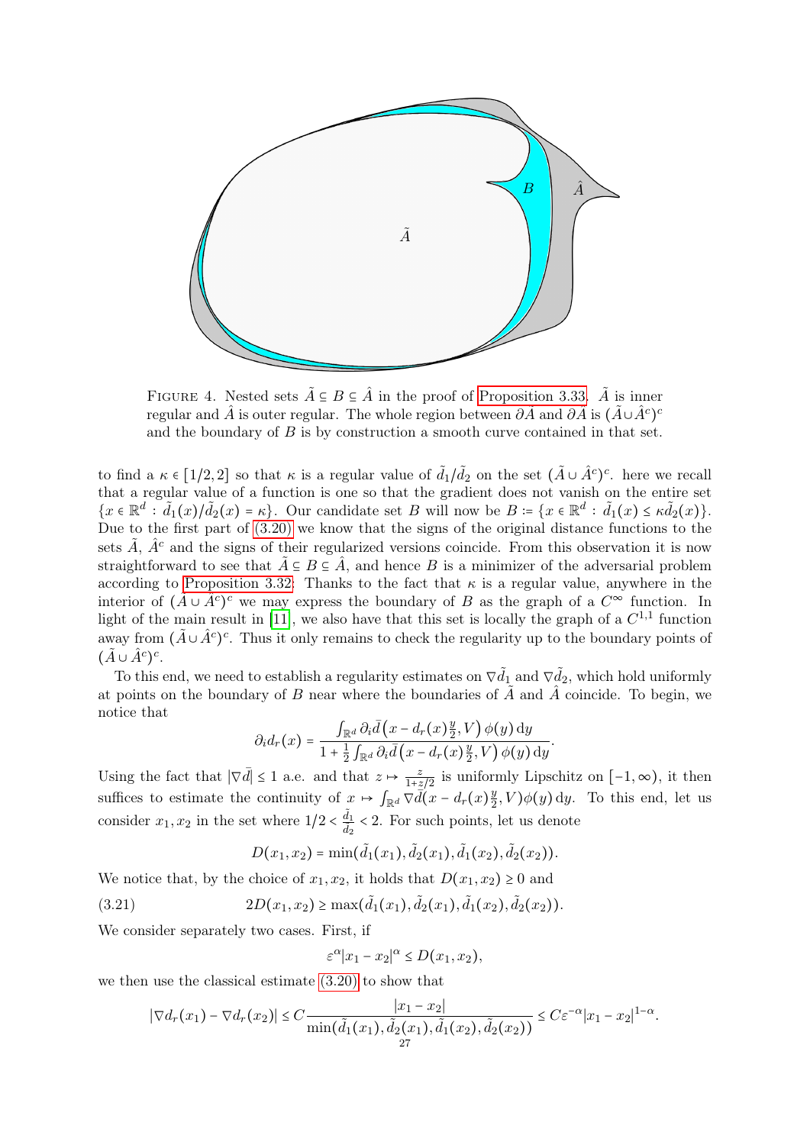<span id="page-26-0"></span>

FIGURE 4. Nested sets  $\tilde{A} \subseteq B \subseteq \hat{A}$  in the proof of [Proposition 3.33.](#page-25-1)  $\tilde{A}$  is inner regular and  $\hat{A}$  is outer regular. The whole region between  $\partial \tilde{A}$  and  $\partial \hat{A}$  is  $(\tilde{A} \cup \hat{A}^c)^c$ and the boundary of  $B$  is by construction a smooth curve contained in that set.

to find a  $\kappa \in [1/2, 2]$  so that  $\kappa$  is a regular value of  $\tilde{d}_1/\tilde{d}_2$  on the set  $(\tilde{A} \cup \hat{A}^c)^c$ . here we recall that a regular value of a function is one so that the gradient does not vanish on the entire set  $\{x \in \mathbb{R}^d : \tilde{d}_1(x)/\tilde{d}_2(x) = \kappa\}.$  Our candidate set B will now be  $B = \{x \in \mathbb{R}^d : \tilde{d}_1(x) \leq \kappa \tilde{d}_2(x)\}.$ Due to the first part of [\(3.20\)](#page-25-2) we know that the signs of the original distance functions to the sets  $\tilde{A}$ ,  $\hat{A}^c$  and the signs of their regularized versions coincide. From this observation it is now straightforward to see that  $\tilde{A} \subseteq B \subseteq \tilde{A}$ , and hence B is a minimizer of the adversarial problem according to [Proposition 3.32:](#page-25-0) Thanks to the fact that  $\kappa$  is a regular value, anywhere in the interior of  $(\tilde{A} \cup \tilde{A}^c)^c$  we may express the boundary of B as the graph of a  $C^{\infty}$  function. In light of the main result in [\[11\]](#page-32-13), we also have that this set is locally the graph of a  $C^{1,1}$  function away from  $(\tilde{A} \cup \hat{A}^c)^c$ . Thus it only remains to check the regularity up to the boundary points of  $(\tilde{A} \cup \hat{A}^c)^c$ .

To this end, we need to establish a regularity estimates on  $\nabla \tilde{d}_1$  and  $\nabla \tilde{d}_2$ , which hold uniformly at points on the boundary of B near where the boundaries of  $\tilde{A}$  and  $\tilde{A}$  coincide. To begin, we notice that

$$
\partial_i d_r(x) = \frac{\int_{\mathbb{R}^d} \partial_i \bar{d} (x - d_r(x) \frac{y}{2}, V) \phi(y) dy}{1 + \frac{1}{2} \int_{\mathbb{R}^d} \partial_i \bar{d} (x - d_r(x) \frac{y}{2}, V) \phi(y) dy}.
$$

Using the fact that  $|\nabla \bar{d}| \leq 1$  a.e. and that  $z \mapsto \frac{z}{1+z/2}$  is uniformly Lipschitz on  $[-1, \infty)$ , it then suffices to estimate the continuity of  $x \mapsto \int_{\mathbb{R}^d} \nabla d(x - d_r(x))^{\frac{1}{2}}$  $\frac{y}{2}$ ,  $V$ ) $\phi$ (y) dy. To this end, let us consider  $x_1, x_2$  in the set where  $1/2 < \frac{\tilde{d}_1}{\tilde{d}_2} < 2$ . For such points, let us denote

<span id="page-26-1"></span>
$$
D(x_1,x_2)=\min(\tilde{d}_1(x_1),\tilde{d}_2(x_1),\tilde{d}_1(x_2),\tilde{d}_2(x_2)).
$$

We notice that, by the choice of  $x_1, x_2$ , it holds that  $D(x_1, x_2) \geq 0$  and

(3.21) 
$$
2D(x_1,x_2) \ge \max(\tilde{d}_1(x_1),\tilde{d}_2(x_1),\tilde{d}_1(x_2),\tilde{d}_2(x_2)).
$$

We consider separately two cases. First, if

$$
\varepsilon^{\alpha}|x_1 - x_2|^{\alpha} \le D(x_1, x_2),
$$

we then use the classical estimate [\(3.20\)](#page-25-2) to show that

$$
|\nabla d_r(x_1) - \nabla d_r(x_2)| \leq C \frac{|x_1 - x_2|}{\min(\tilde{d}_1(x_1), \tilde{d}_2(x_1), \tilde{d}_1(x_2), \tilde{d}_2(x_2))} \leq C \varepsilon^{-\alpha} |x_1 - x_2|^{1-\alpha}.
$$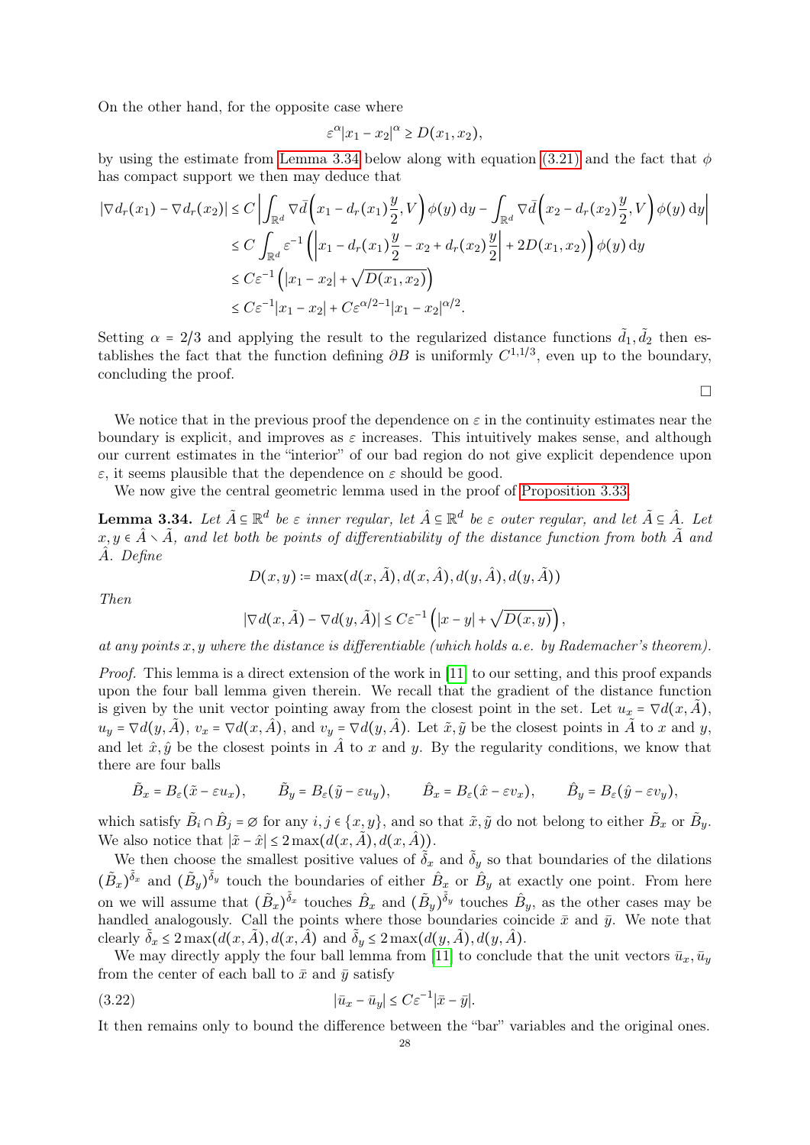On the other hand, for the opposite case where

$$
\varepsilon^{\alpha}|x_1 - x_2|^{\alpha} \ge D(x_1, x_2),
$$

by using the estimate from [Lemma 3.34](#page-27-0) below along with equation [\(3.21\)](#page-26-1) and the fact that  $\phi$ has compact support we then may deduce that

$$
|\nabla d_r(x_1) - \nabla d_r(x_2)| \le C \left| \int_{\mathbb{R}^d} \nabla \bar{d} \left( x_1 - d_r(x_1) \frac{y}{2}, V \right) \phi(y) dy - \int_{\mathbb{R}^d} \nabla \bar{d} \left( x_2 - d_r(x_2) \frac{y}{2}, V \right) \phi(y) dy \right|
$$
  
\n
$$
\le C \int_{\mathbb{R}^d} \varepsilon^{-1} \left( \left| x_1 - d_r(x_1) \frac{y}{2} - x_2 + d_r(x_2) \frac{y}{2} \right| + 2D(x_1, x_2) \right) \phi(y) dy
$$
  
\n
$$
\le C \varepsilon^{-1} \left( |x_1 - x_2| + \sqrt{D(x_1, x_2)} \right)
$$
  
\n
$$
\le C \varepsilon^{-1} |x_1 - x_2| + C \varepsilon^{\alpha/2 - 1} |x_1 - x_2|^{\alpha/2}.
$$

Setting  $\alpha = 2/3$  and applying the result to the regularized distance functions  $\tilde{d}_1, \tilde{d}_2$  then establishes the fact that the function defining  $\partial B$  is uniformly  $C^{1,1/3}$ , even up to the boundary, concluding the proof.

 $\Box$ 

We notice that in the previous proof the dependence on  $\varepsilon$  in the continuity estimates near the boundary is explicit, and improves as  $\varepsilon$  increases. This intuitively makes sense, and although our current estimates in the "interior" of our bad region do not give explicit dependence upon  $\varepsilon$ , it seems plausible that the dependence on  $\varepsilon$  should be good.

We now give the central geometric lemma used in the proof of [Proposition 3.33.](#page-25-1)

<span id="page-27-0"></span>**Lemma 3.34.** Let  $\tilde{A} \subseteq \mathbb{R}^d$  be  $\varepsilon$  inner regular, let  $\hat{A} \subseteq \mathbb{R}^d$  be  $\varepsilon$  outer regular, and let  $\tilde{A} \subseteq \hat{A}$ . Let  $x, y \in \hat{A} \setminus \tilde{A}$ , and let both be points of differentiability of the distance function from both  $\tilde{A}$  and Aˆ. Define

$$
D(x, y) \coloneqq \max(d(x, \tilde{A}), d(x, \hat{A}), d(y, \hat{A}), d(y, \tilde{A}))
$$

Then

$$
|\nabla d(x, \tilde{A}) - \nabla d(y, \tilde{A})| \leq C \varepsilon^{-1} \left( |x - y| + \sqrt{D(x, y)} \right),
$$

at any points  $x, y$  where the distance is differentiable (which holds a.e. by Rademacher's theorem).

Proof. This lemma is a direct extension of the work in [\[11\]](#page-32-13) to our setting, and this proof expands upon the four ball lemma given therein. We recall that the gradient of the distance function is given by the unit vector pointing away from the closest point in the set. Let  $u_x = \nabla d(x, A)$ ,  $u_y = \nabla d(y, \tilde{A}), v_x = \nabla d(x, \hat{A}), \text{ and } v_y = \nabla d(y, \hat{A}).$  Let  $\tilde{x}, \tilde{y}$  be the closest points in  $\tilde{A}$  to x and y, and let  $\hat{x}, \hat{y}$  be the closest points in  $\hat{A}$  to x and y. By the regularity conditions, we know that there are four balls

$$
\tilde{B}_x = B_\varepsilon(\tilde{x} - \varepsilon u_x), \qquad \tilde{B}_y = B_\varepsilon(\tilde{y} - \varepsilon u_y), \qquad \hat{B}_x = B_\varepsilon(\hat{x} - \varepsilon v_x), \qquad \hat{B}_y = B_\varepsilon(\hat{y} - \varepsilon v_y),
$$

which satisfy  $\tilde{B}_i \cap \hat{B}_j = \emptyset$  for any  $i, j \in \{x, y\}$ , and so that  $\tilde{x}, \tilde{y}$  do not belong to either  $\tilde{B}_x$  or  $\tilde{B}_y$ . We also notice that  $|\tilde{x} - \hat{x}| \leq 2 \max(d(x, \tilde{A}), d(x, \hat{A})).$ 

We then choose the smallest positive values of  $\tilde{\delta}_x$  and  $\tilde{\delta}_y$  so that boundaries of the dilations  $(\tilde{B}_x)^{\tilde{\delta}_x}$  and  $(\tilde{B}_y)^{\tilde{\delta}_y}$  touch the boundaries of either  $\hat{B}_x$  or  $\hat{B}_y$  at exactly one point. From here on we will assume that  $(\tilde{B}_x)^{\tilde{\delta}_x}$  touches  $\hat{B}_x$  and  $(\tilde{B}_y)^{\tilde{\delta}_y}$  touches  $\hat{B}_y$ , as the other cases may be handled analogously. Call the points where those boundaries coincide  $\bar{x}$  and  $\bar{y}$ . We note that clearly  $\tilde{\delta}_x \leq 2 \max(d(x, \tilde{A}), d(x, \hat{A})$  and  $\tilde{\delta}_y \leq 2 \max(d(y, \tilde{A}), d(y, \hat{A}).$ 

We may directly apply the four ball lemma from [\[11\]](#page-32-13) to conclude that the unit vectors  $\bar{u}_x, \bar{u}_y$ from the center of each ball to  $\bar{x}$  and  $\bar{y}$  satisfy

<span id="page-27-1"></span>
$$
(3.22)\t\t\t |\bar{u}_x - \bar{u}_y| \leq C\varepsilon^{-1}|\bar{x} - \bar{y}|.
$$

It then remains only to bound the difference between the "bar" variables and the original ones.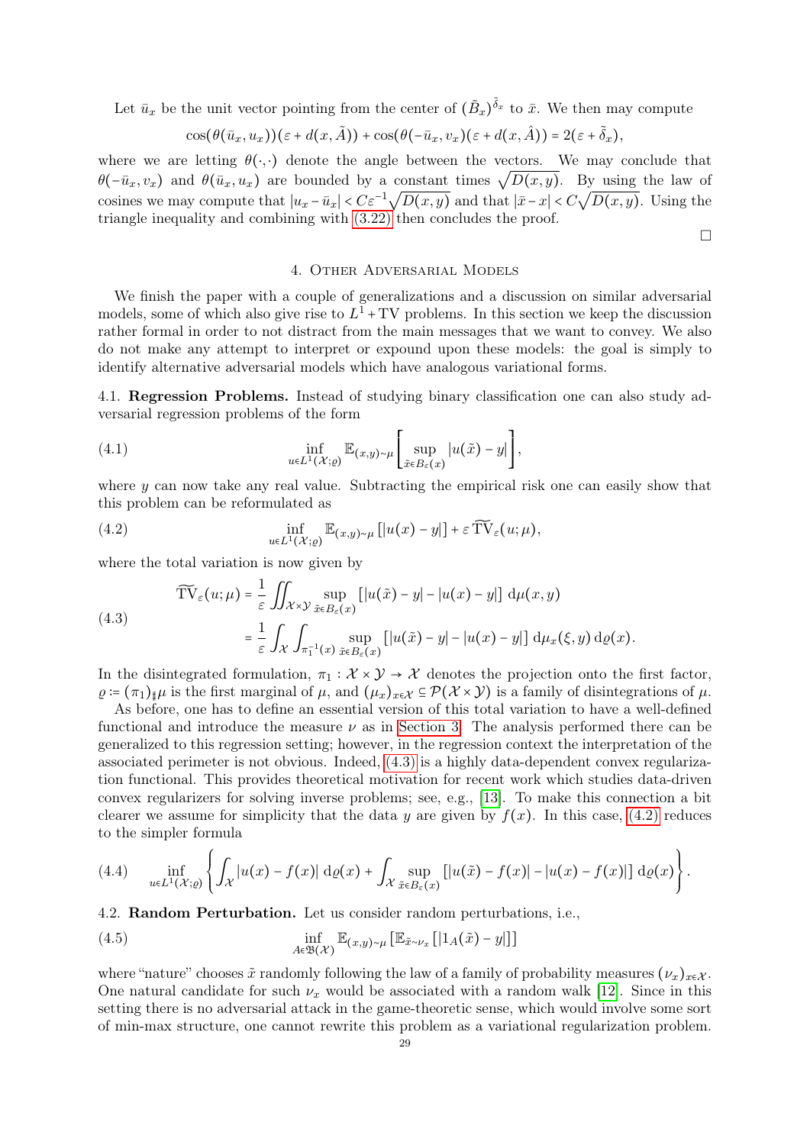Let  $\bar{u}_x$  be the unit vector pointing from the center of  $(\tilde{B}_x)^{\tilde{\delta}_x}$  to  $\bar{x}$ . We then may compute

$$
\cos(\theta(\bar{u}_x, u_x))(\varepsilon + d(x, \tilde{A})) + \cos(\theta(-\bar{u}_x, v_x)(\varepsilon + d(x, \hat{A})) = 2(\varepsilon + \tilde{\delta}_x),
$$

where we are letting  $\theta(\cdot, \cdot)$  denote the angle between the vectors. We may conclude that where we are letting  $\theta(\cdot, \cdot)$  denote the angle between the vectors. We may conclude that  $\theta(-\bar{u}_x, v_x)$  and  $\theta(\bar{u}_x, u_x)$  are bounded by a constant times  $\sqrt{D(x, y)}$ . By using the law of cosines we may compute that  $|u_x - \bar{u}_x| < C\varepsilon^{-1}\sqrt{D(x, y)}$  and that  $|\bar{x} - x| < C\sqrt{D(x, y)}$ . Using the triangle inequality and combining with [\(3.22\)](#page-27-1) then concludes the proof.

 $\Box$ 

#### 4. Other Adversarial Models

<span id="page-28-0"></span>We finish the paper with a couple of generalizations and a discussion on similar adversarial models, some of which also give rise to  $L^1$  + TV problems. In this section we keep the discussion rather formal in order to not distract from the main messages that we want to convey. We also do not make any attempt to interpret or expound upon these models: the goal is simply to identify alternative adversarial models which have analogous variational forms.

<span id="page-28-1"></span>4.1. Regression Problems. Instead of studying binary classification one can also study adversarial regression problems of the form

(4.1) 
$$
\inf_{u \in L^{1}(\mathcal{X};\varrho)} \mathbb{E}_{(x,y)\sim\mu} \left[ \sup_{\tilde{x} \in B_{\varepsilon}(x)} |u(\tilde{x}) - y| \right],
$$

where  $y$  can now take any real value. Subtracting the empirical risk one can easily show that this problem can be reformulated as

<span id="page-28-4"></span>(4.2) 
$$
\inf_{u \in L^{1}(\mathcal{X};\varrho)} \mathbb{E}_{(x,y)\sim\mu} [|u(x)-y|] + \varepsilon \widetilde{\mathrm{TV}}_{\varepsilon}(u;\mu),
$$

where the total variation is now given by

<span id="page-28-3"></span>(4.3)  

$$
\widetilde{\text{TV}}_{\varepsilon}(u;\mu) = \frac{1}{\varepsilon} \iint_{\mathcal{X}\times\mathcal{Y}} \sup_{\tilde{x}\in B_{\varepsilon}(x)} \left[ |u(\tilde{x}) - y| - |u(x) - y| \right] d\mu(x,y)
$$

$$
= \frac{1}{\varepsilon} \int_{\mathcal{X}} \int_{\pi_1^{-1}(x)} \sup_{\tilde{x}\in B_{\varepsilon}(x)} \left[ |u(\tilde{x}) - y| - |u(x) - y| \right] d\mu_x(\xi, y) d\varrho(x).
$$

In the disintegrated formulation,  $\pi_1 : \mathcal{X} \times \mathcal{Y} \to \mathcal{X}$  denotes the projection onto the first factor,  $\rho := (\pi_1)_\sharp \mu$  is the first marginal of  $\mu$ , and  $(\mu_x)_{x \in \mathcal{X}} \subseteq \mathcal{P}(\mathcal{X} \times \mathcal{Y})$  is a family of disintegrations of  $\mu$ .

As before, one has to define an essential version of this total variation to have a well-defined functional and introduce the measure  $\nu$  as in [Section 3.](#page-11-0) The analysis performed there can be generalized to this regression setting; however, in the regression context the interpretation of the associated perimeter is not obvious. Indeed, [\(4.3\)](#page-28-3) is a highly data-dependent convex regularization functional. This provides theoretical motivation for recent work which studies data-driven convex regularizers for solving inverse problems; see, e.g., [\[13\]](#page-32-12). To make this connection a bit clearer we assume for simplicity that the data y are given by  $f(x)$ . In this case, [\(4.2\)](#page-28-4) reduces to the simpler formula

$$
(4.4) \quad \inf_{u\in L^1(\mathcal{X};\varrho)}\left\{\int_{\mathcal{X}}\left|u(x)-f(x)\right|\,\mathrm{d}\varrho(x)+\int_{\mathcal{X}}\sup_{\tilde{x}\in B_{\varepsilon}(x)}\left[\left|u(\tilde{x})-f(x)\right|-\left|u(x)-f(x)\right|\right]\,\mathrm{d}\varrho(x)\right\}.
$$

<span id="page-28-2"></span>4.2. Random Perturbation. Let us consider random perturbations, i.e.,

<span id="page-28-5"></span>(4.5) 
$$
\inf_{A \in \mathfrak{B}(\mathcal{X})} \mathbb{E}_{(x,y)\sim\mu} \left[ \mathbb{E}_{\tilde{x}\sim\nu_x} \left[ |1_A(\tilde{x}) - y| \right] \right]
$$

where "nature" chooses  $\tilde{x}$  randomly following the law of a family of probability measures  $(\nu_x)_{x \in \mathcal{X}}$ . One natural candidate for such  $\nu_x$  would be associated with a random walk [\[12\]](#page-32-17). Since in this setting there is no adversarial attack in the game-theoretic sense, which would involve some sort of min-max structure, one cannot rewrite this problem as a variational regularization problem.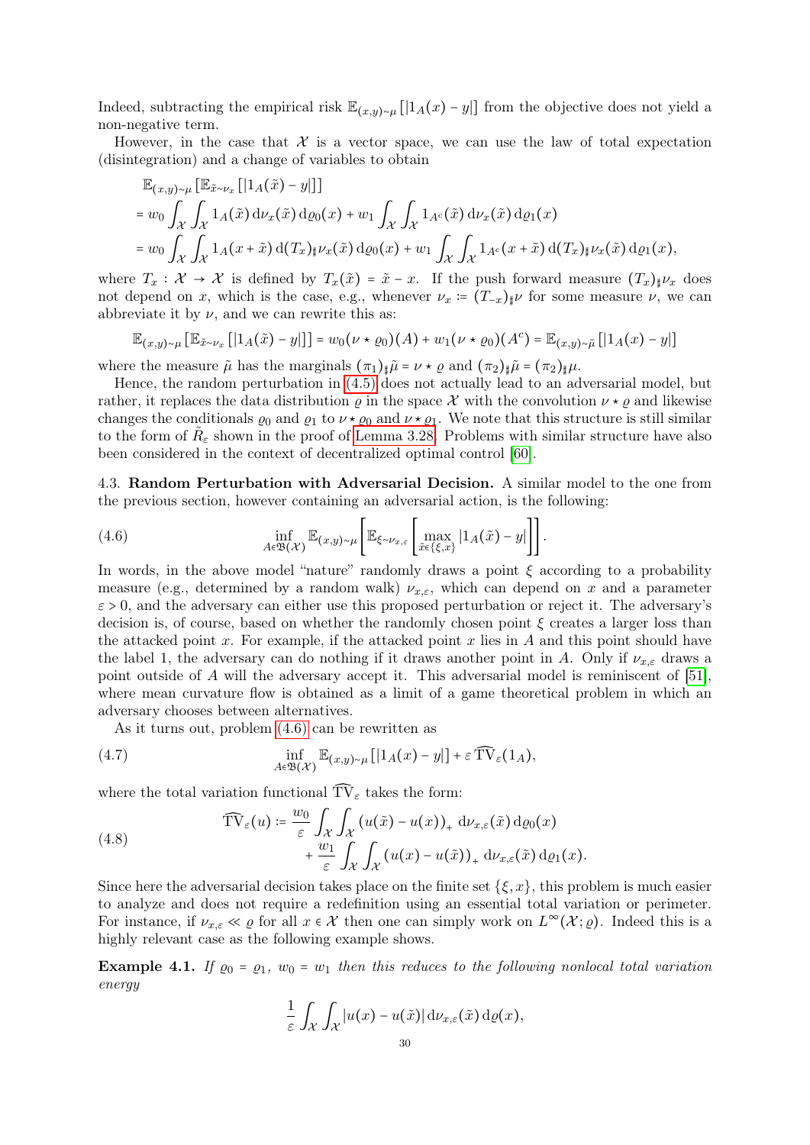Indeed, subtracting the empirical risk  $\mathbb{E}_{(x,y)\sim\mu}[[1_A(x)-y]]$  from the objective does not yield a non-negative term.

However, in the case that  $X$  is a vector space, we can use the law of total expectation (disintegration) and a change of variables to obtain

$$
\mathbb{E}_{(x,y)\sim\mu} \left[ \mathbb{E}_{\tilde{x}\sim\nu_x} \left[ \left| 1_A(\tilde{x}) - y \right| \right] \right]
$$
\n
$$
= w_0 \int_{\mathcal{X}} \int_{\mathcal{X}} 1_A(\tilde{x}) \, \mathrm{d}\nu_x(\tilde{x}) \, \mathrm{d}\varrho_0(x) + w_1 \int_{\mathcal{X}} \int_{\mathcal{X}} 1_{A^c}(\tilde{x}) \, \mathrm{d}\nu_x(\tilde{x}) \, \mathrm{d}\varrho_1(x)
$$
\n
$$
= w_0 \int_{\mathcal{X}} \int_{\mathcal{X}} 1_A(x + \tilde{x}) \, \mathrm{d}(T_x)_{\sharp} \nu_x(\tilde{x}) \, \mathrm{d}\varrho_0(x) + w_1 \int_{\mathcal{X}} \int_{\mathcal{X}} 1_{A^c}(x + \tilde{x}) \, \mathrm{d}(T_x)_{\sharp} \nu_x(\tilde{x}) \, \mathrm{d}\varrho_1(x),
$$

where  $T_x: \mathcal{X} \to \mathcal{X}$  is defined by  $T_x(\tilde{x}) = \tilde{x} - x$ . If the push forward measure  $(T_x)_\sharp \nu_x$  does not depend on x, which is the case, e.g., whenever  $\nu_x := (T_{-x})_{\sharp} \nu$  for some measure  $\nu$ , we can abbreviate it by  $\nu$ , and we can rewrite this as:

$$
\mathbb{E}_{(x,y)\sim\mu} \left[\mathbb{E}_{\tilde{x}\sim\nu_x} \left[ \left| 1_A(\tilde{x}) - y \right| \right] \right] = w_0(\nu \star \varrho_0)(A) + w_1(\nu \star \varrho_0)(A^c) = \mathbb{E}_{(x,y)\sim\tilde{\mu}} \left[ \left| 1_A(x) - y \right| \right]
$$

where the measure  $\tilde{\mu}$  has the marginals  $(\pi_1)_{\sharp} \tilde{\mu} = \nu \star \varrho$  and  $(\pi_2)_{\sharp} \tilde{\mu} = (\pi_2)_{\sharp} \mu$ .

Hence, the random perturbation in [\(4.5\)](#page-28-5) does not actually lead to an adversarial model, but rather, it replaces the data distribution  $\rho$  in the space X with the convolution  $\nu \star \rho$  and likewise changes the conditionals  $\varrho_0$  and  $\varrho_1$  to  $\nu \star \varrho_0$  and  $\nu \star \varrho_1$ . We note that this structure is still similar to the form of  $\tilde{R}_{\varepsilon}$  shown in the proof of [Lemma 3.28.](#page-24-1) Problems with similar structure have also been considered in the context of decentralized optimal control [\[60\]](#page-34-13).

<span id="page-29-0"></span>4.3. Random Perturbation with Adversarial Decision. A similar model to the one from the previous section, however containing an adversarial action, is the following:

<span id="page-29-1"></span>(4.6) 
$$
\inf_{A \in \mathfrak{B}(\mathcal{X})} \mathbb{E}_{(x,y) \sim \mu} \bigg[ \mathbb{E}_{\xi \sim \nu_{x,\varepsilon}} \bigg[ \max_{\tilde{x} \in \{\xi,x\}} |1_A(\tilde{x}) - y| \bigg] \bigg].
$$

In words, in the above model "nature" randomly draws a point  $\xi$  according to a probability measure (e.g., determined by a random walk)  $\nu_{x,\varepsilon}$ , which can depend on x and a parameter  $\varepsilon > 0$ , and the adversary can either use this proposed perturbation or reject it. The adversary's decision is, of course, based on whether the randomly chosen point  $\xi$  creates a larger loss than the attacked point x. For example, if the attacked point x lies in  $A$  and this point should have the label 1, the adversary can do nothing if it draws another point in A. Only if  $\nu_{x,\varepsilon}$  draws a point outside of A will the adversary accept it. This adversarial model is reminiscent of [\[51\]](#page-34-7), where mean curvature flow is obtained as a limit of a game theoretical problem in which an adversary chooses between alternatives.

As it turns out, problem [\(4.6\)](#page-29-1) can be rewritten as

(4.7) 
$$
\inf_{A \in \mathfrak{B}(\mathcal{X})} \mathbb{E}_{(x,y)\sim \mu} [1_A(x) - y] + \varepsilon \widehat{\text{TV}}_{\varepsilon}(1_A),
$$

where the total variation functional  $\widehat{\text{TV}}_\varepsilon$  takes the form:

(4.8) 
$$
\widehat{\text{TV}}_{\varepsilon}(u) \coloneqq \frac{w_0}{\varepsilon} \int_{\mathcal{X}} \int_{\mathcal{X}} (u(\tilde{x}) - u(x))_{+} \, \mathrm{d} \nu_{x,\varepsilon}(\tilde{x}) \, \mathrm{d} \varrho_0(x) + \frac{w_1}{\varepsilon} \int_{\mathcal{X}} \int_{\mathcal{X}} (u(x) - u(\tilde{x}))_{+} \, \mathrm{d} \nu_{x,\varepsilon}(\tilde{x}) \, \mathrm{d} \varrho_1(x).
$$

Since here the adversarial decision takes place on the finite set  $\{\xi, x\}$ , this problem is much easier to analyze and does not require a redefinition using an essential total variation or perimeter. For instance, if  $\nu_{x,\varepsilon} \ll \varrho$  for all  $x \in \mathcal{X}$  then one can simply work on  $L^{\infty}(\mathcal{X}; \varrho)$ . Indeed this is a highly relevant case as the following example shows.

**Example 4.1.** If  $\varrho_0 = \varrho_1$ ,  $w_0 = w_1$  then this reduces to the following nonlocal total variation energy

$$
\frac{1}{\varepsilon} \int_{\mathcal{X}} \int_{\mathcal{X}} |u(x) - u(\tilde{x})| \, \mathrm{d}\nu_{x,\varepsilon}(\tilde{x}) \, \mathrm{d}\varrho(x),
$$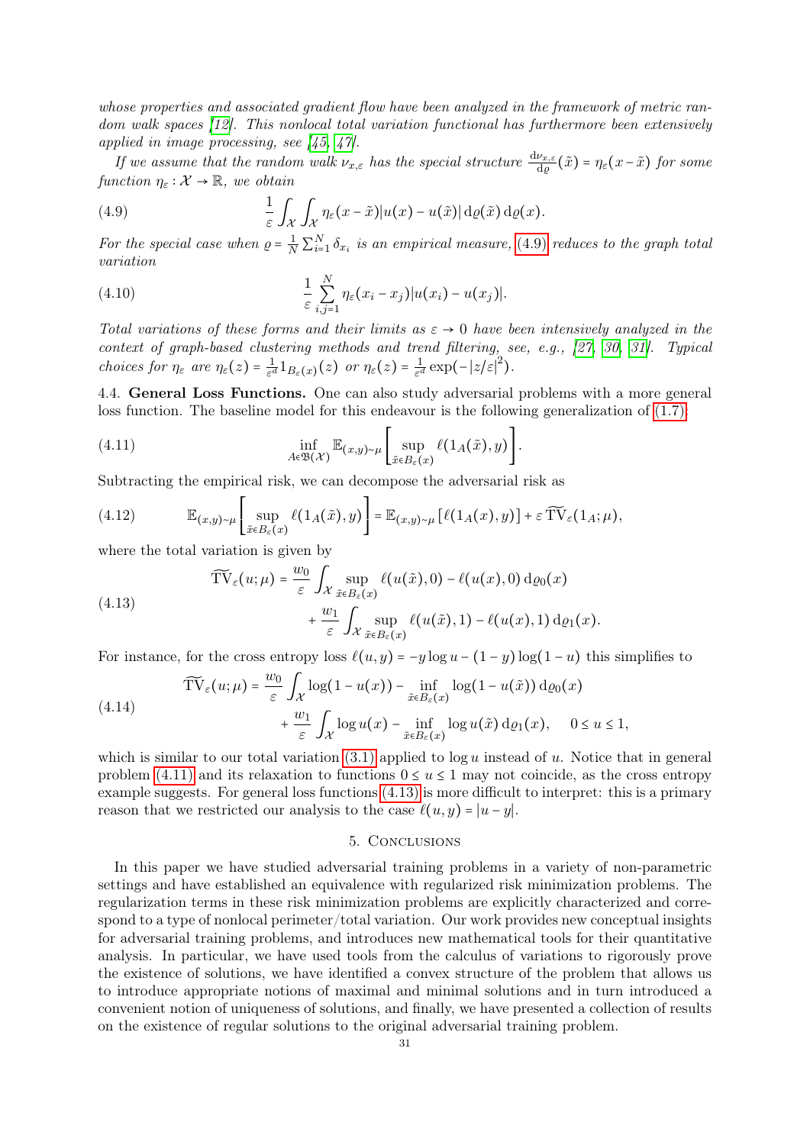whose properties and associated gradient flow have been analyzed in the framework of metric ran-dom walk spaces [\[12\]](#page-32-17). This nonlocal total variation functional has furthermore been extensively applied in image processing, see [\[45,](#page-33-16) [47\]](#page-34-14).

If we assume that the random walk  $\nu_{x,\varepsilon}$  has the special structure  $\frac{d\nu_{x,\varepsilon}}{dq}(\tilde{x}) = \eta_{\varepsilon}(x-\tilde{x})$  for some function  $\eta_{\varepsilon} : \mathcal{X} \to \mathbb{R}$ , we obtain

<span id="page-30-2"></span>(4.9) 
$$
\frac{1}{\varepsilon} \int_{\mathcal{X}} \int_{\mathcal{X}} \eta_{\varepsilon}(x-\tilde{x}) |u(x) - u(\tilde{x})| d\rho(\tilde{x}) d\rho(x).
$$

For the special case when  $\rho = \frac{1}{N} \sum_{i=1}^{N} \delta_{x_i}$  is an empirical measure, [\(4.9\)](#page-30-2) reduces to the graph total variation

(4.10) 
$$
\frac{1}{\varepsilon}\sum_{i,j=1}^N \eta_{\varepsilon}(x_i-x_j)|u(x_i)-u(x_j)|.
$$

Total variations of these forms and their limits as  $\varepsilon \to 0$  have been intensively analyzed in the context of graph-based clustering methods and trend filtering, see, e.g., [\[27,](#page-33-7) [30,](#page-33-17) [31\]](#page-33-18). Typical choices for  $\eta_{\varepsilon}$  are  $\eta_{\varepsilon}(z) = \frac{1}{\varepsilon^{d}}$  $\frac{1}{\varepsilon^d}1_{B_\varepsilon(x)}(z)$  or  $\eta_\varepsilon(z) = \frac{1}{\varepsilon^d}$  $\frac{1}{\varepsilon^d} \exp(-|z/\varepsilon|^2).$ 

<span id="page-30-0"></span>4.4. General Loss Functions. One can also study adversarial problems with a more general loss function. The baseline model for this endeavour is the following generalization of  $(1.7)$ :

<span id="page-30-3"></span>(4.11) 
$$
\inf_{A \in \mathfrak{B}(\mathcal{X})} \mathbb{E}_{(x,y) \sim \mu} \left[ \sup_{\tilde{x} \in B_{\varepsilon}(x)} \ell(1_A(\tilde{x}), y) \right].
$$

Subtracting the empirical risk, we can decompose the adversarial risk as

(4.12) 
$$
\mathbb{E}_{(x,y)\sim\mu} \left[ \sup_{\tilde{x}\in B_{\varepsilon}(x)} \ell(1_A(\tilde{x}), y) \right] = \mathbb{E}_{(x,y)\sim\mu} \left[ \ell(1_A(x), y) \right] + \varepsilon \widetilde{\text{TV}}_{\varepsilon}(1_A; \mu),
$$

where the total variation is given by

<span id="page-30-4"></span>(4.13) 
$$
\widetilde{\text{TV}}_{\varepsilon}(u;\mu) = \frac{w_0}{\varepsilon} \int_{\mathcal{X}} \sup_{\tilde{x} \in B_{\varepsilon}(x)} \ell(u(\tilde{x}),0) - \ell(u(x),0) \,d\varrho_0(x) + \frac{w_1}{\varepsilon} \int_{\mathcal{X}} \sup_{\tilde{x} \in B_{\varepsilon}(x)} \ell(u(\tilde{x}),1) - \ell(u(x),1) \,d\varrho_1(x).
$$

For instance, for the cross entropy loss  $\ell(u, y) = -y \log u - (1 - y) \log(1 - u)$  this simplifies to

(4.14) 
$$
\widetilde{\text{TV}}_{\varepsilon}(u;\mu) = \frac{w_0}{\varepsilon} \int_{\mathcal{X}} \log(1 - u(x)) - \inf_{\tilde{x} \in B_{\varepsilon}(x)} \log(1 - u(\tilde{x})) \, \text{d}\varrho_0(x) + \frac{w_1}{\varepsilon} \int_{\mathcal{X}} \log u(x) - \inf_{\tilde{x} \in B_{\varepsilon}(x)} \log u(\tilde{x}) \, \text{d}\varrho_1(x), \quad 0 \le u \le 1,
$$

which is similar to our total variation  $(3.1)$  applied to  $\log u$  instead of u. Notice that in general problem [\(4.11\)](#page-30-3) and its relaxation to functions  $0 \le u \le 1$  may not coincide, as the cross entropy example suggests. For general loss functions [\(4.13\)](#page-30-4) is more difficult to interpret: this is a primary reason that we restricted our analysis to the case  $\ell(u, y) = |u - y|$ .

# 5. Conclusions

<span id="page-30-1"></span>In this paper we have studied adversarial training problems in a variety of non-parametric settings and have established an equivalence with regularized risk minimization problems. The regularization terms in these risk minimization problems are explicitly characterized and correspond to a type of nonlocal perimeter/total variation. Our work provides new conceptual insights for adversarial training problems, and introduces new mathematical tools for their quantitative analysis. In particular, we have used tools from the calculus of variations to rigorously prove the existence of solutions, we have identified a convex structure of the problem that allows us to introduce appropriate notions of maximal and minimal solutions and in turn introduced a convenient notion of uniqueness of solutions, and finally, we have presented a collection of results on the existence of regular solutions to the original adversarial training problem.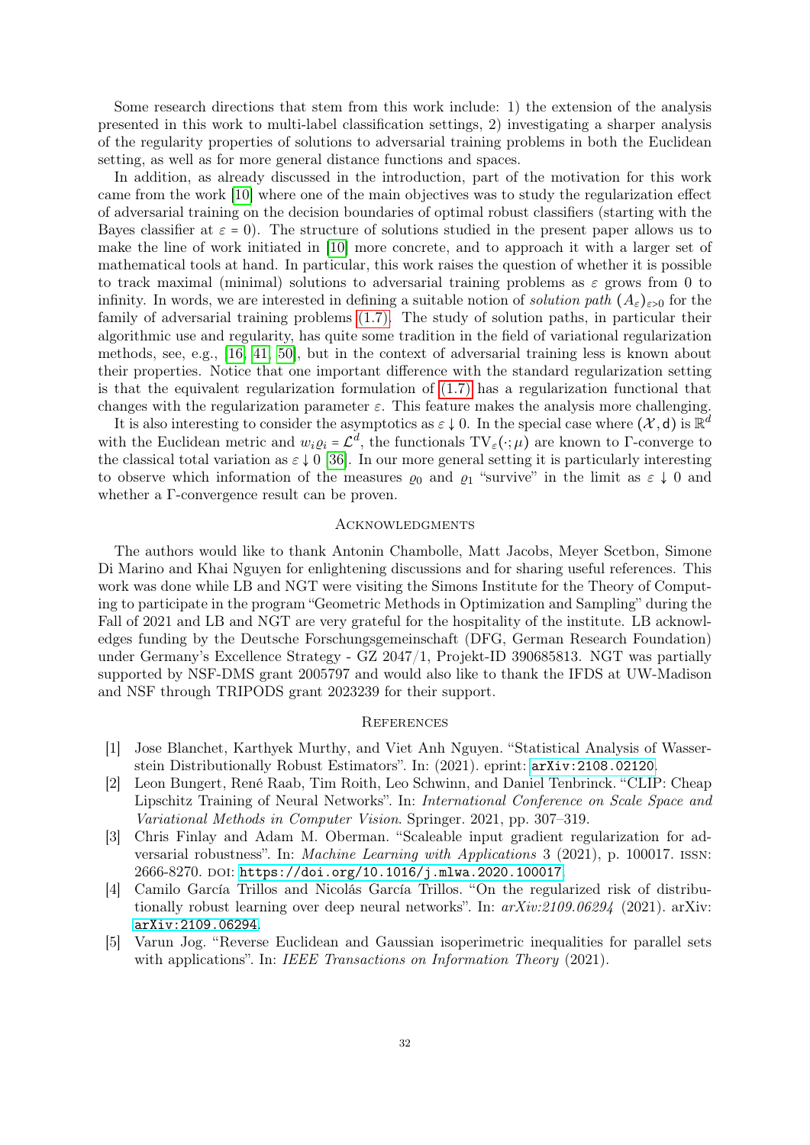Some research directions that stem from this work include: 1) the extension of the analysis presented in this work to multi-label classification settings, 2) investigating a sharper analysis of the regularity properties of solutions to adversarial training problems in both the Euclidean setting, as well as for more general distance functions and spaces.

In addition, as already discussed in the introduction, part of the motivation for this work came from the work [\[10\]](#page-32-11) where one of the main objectives was to study the regularization effect of adversarial training on the decision boundaries of optimal robust classifiers (starting with the Bayes classifier at  $\varepsilon = 0$ ). The structure of solutions studied in the present paper allows us to make the line of work initiated in [\[10\]](#page-32-11) more concrete, and to approach it with a larger set of mathematical tools at hand. In particular, this work raises the question of whether it is possible to track maximal (minimal) solutions to adversarial training problems as  $\varepsilon$  grows from 0 to infinity. In words, we are interested in defining a suitable notion of *solution path*  $(A_{\varepsilon})_{\varepsilon>0}$  for the family of adversarial training problems [\(1.7\).](#page-4-1) The study of solution paths, in particular their algorithmic use and regularity, has quite some tradition in the field of variational regularization methods, see, e.g., [\[16,](#page-32-18) [41,](#page-33-19) [50\]](#page-34-15), but in the context of adversarial training less is known about their properties. Notice that one important difference with the standard regularization setting is that the equivalent regularization formulation of [\(1.7\)](#page-4-1) has a regularization functional that changes with the regularization parameter  $\varepsilon$ . This feature makes the analysis more challenging.

It is also interesting to consider the asymptotics as  $\varepsilon \downarrow 0$ . In the special case where  $(\mathcal{X}, d)$  is  $\mathbb{R}^d$ with the Euclidean metric and  $w_i \varrho_i = \mathcal{L}^d$ , the functionals  $TV_{\varepsilon}(\cdot; \mu)$  are known to  $\Gamma$ -converge to the classical total variation as  $\varepsilon \downarrow 0$  [\[36\]](#page-33-20). In our more general setting it is particularly interesting to observe which information of the measures  $\varrho_0$  and  $\varrho_1$  "survive" in the limit as  $\varepsilon \downarrow 0$  and whether a Γ-convergence result can be proven.

## <span id="page-31-0"></span>**ACKNOWLEDGMENTS**

The authors would like to thank Antonin Chambolle, Matt Jacobs, Meyer Scetbon, Simone Di Marino and Khai Nguyen for enlightening discussions and for sharing useful references. This work was done while LB and NGT were visiting the Simons Institute for the Theory of Computing to participate in the program "Geometric Methods in Optimization and Sampling" during the Fall of 2021 and LB and NGT are very grateful for the hospitality of the institute. LB acknowledges funding by the Deutsche Forschungsgemeinschaft (DFG, German Research Foundation) under Germany's Excellence Strategy - GZ 2047/1, Projekt-ID 390685813. NGT was partially supported by NSF-DMS grant 2005797 and would also like to thank the IFDS at UW-Madison and NSF through TRIPODS grant 2023239 for their support.

#### <span id="page-31-1"></span>**REFERENCES**

- <span id="page-31-2"></span>[1] Jose Blanchet, Karthyek Murthy, and Viet Anh Nguyen. "Statistical Analysis of Wasserstein Distributionally Robust Estimators". In: (2021). eprint: <arXiv:2108.02120>.
- <span id="page-31-3"></span>[2] Leon Bungert, René Raab, Tim Roith, Leo Schwinn, and Daniel Tenbrinck. "CLIP: Cheap Lipschitz Training of Neural Networks". In: International Conference on Scale Space and Variational Methods in Computer Vision. Springer. 2021, pp. 307–319.
- <span id="page-31-4"></span>[3] Chris Finlay and Adam M. Oberman. "Scaleable input gradient regularization for adversarial robustness". In: Machine Learning with Applications 3 (2021), p. 100017. issn: 2666-8270. DOI: [https://doi.org/10.1016/j.mlwa.2020.100017](https://doi.org/https://doi.org/10.1016/j.mlwa.2020.100017).
- <span id="page-31-5"></span>[4] Camilo García Trillos and Nicolás García Trillos. "On the regularized risk of distributionally robust learning over deep neural networks". In:  $arXiv:2109.06294$  (2021). arXiv: [arXiv:2109.06294](https://arxiv.org/abs/arXiv:2109.06294).
- <span id="page-31-6"></span>[5] Varun Jog. "Reverse Euclidean and Gaussian isoperimetric inequalities for parallel sets with applications". In: IEEE Transactions on Information Theory (2021).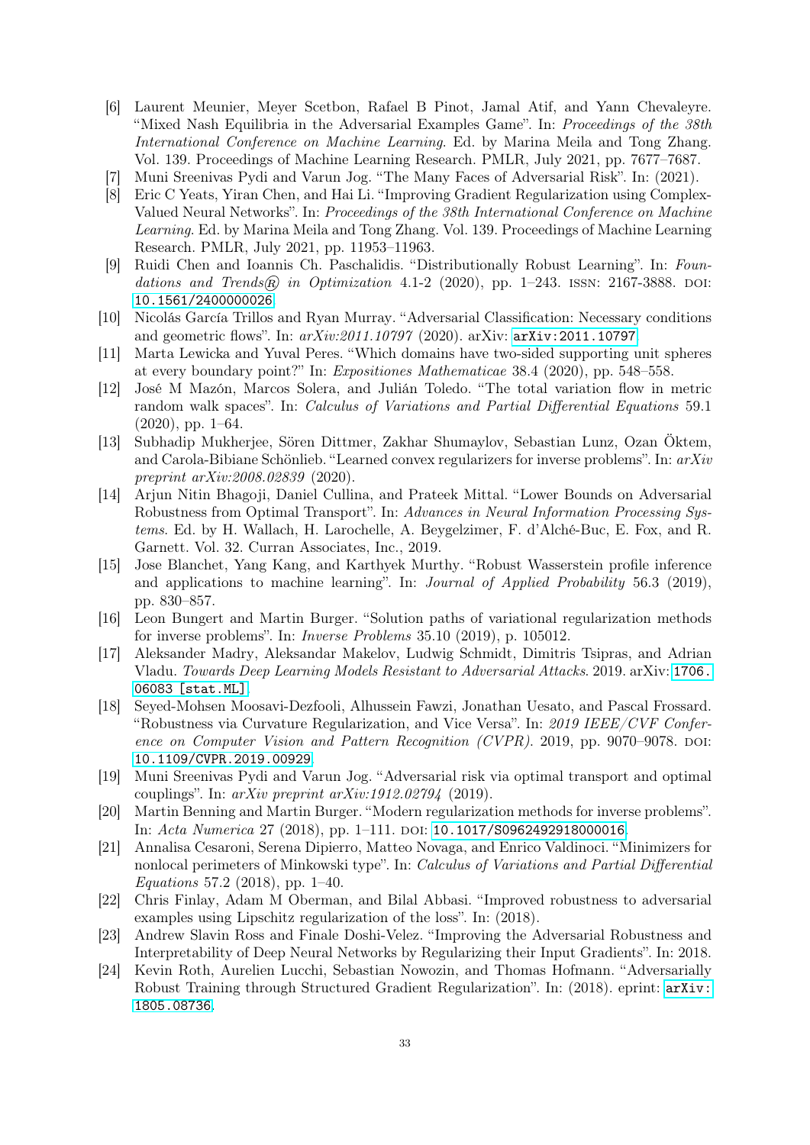- <span id="page-32-2"></span>[6] Laurent Meunier, Meyer Scetbon, Rafael B Pinot, Jamal Atif, and Yann Chevaleyre. "Mixed Nash Equilibria in the Adversarial Examples Game". In: Proceedings of the 38th International Conference on Machine Learning. Ed. by Marina Meila and Tong Zhang. Vol. 139. Proceedings of Machine Learning Research. PMLR, July 2021, pp. 7677–7687.
- <span id="page-32-3"></span>[7] Muni Sreenivas Pydi and Varun Jog. "The Many Faces of Adversarial Risk". In: (2021).
- <span id="page-32-6"></span>[8] Eric C Yeats, Yiran Chen, and Hai Li. "Improving Gradient Regularization using Complex-Valued Neural Networks". In: Proceedings of the 38th International Conference on Machine Learning. Ed. by Marina Meila and Tong Zhang. Vol. 139. Proceedings of Machine Learning Research. PMLR, July 2021, pp. 11953–11963.
- <span id="page-32-0"></span>[9] Ruidi Chen and Ioannis Ch. Paschalidis. "Distributionally Robust Learning". In: Foundations and Trends $\widehat{R}$  in Optimization 4.1-2 (2020), pp. 1–243. ISSN: 2167-3888. DOI: [10.1561/2400000026](https://doi.org/10.1561/2400000026).
- <span id="page-32-11"></span>[10] Nicolás García Trillos and Ryan Murray. "Adversarial Classification: Necessary conditions and geometric flows". In: arXiv:2011.10797 (2020). arXiv: [arXiv:2011.10797](https://arxiv.org/abs/arXiv:2011.10797).
- <span id="page-32-13"></span>[11] Marta Lewicka and Yuval Peres. "Which domains have two-sided supporting unit spheres at every boundary point?" In: Expositiones Mathematicae 38.4 (2020), pp. 548–558.
- <span id="page-32-17"></span>[12] José M Mazón, Marcos Solera, and Julián Toledo. "The total variation flow in metric random walk spaces". In: Calculus of Variations and Partial Differential Equations 59.1 (2020), pp. 1–64.
- <span id="page-32-12"></span>[13] Subhadip Mukherjee, Sören Dittmer, Zakhar Shumaylov, Sebastian Lunz, Ozan Öktem, and Carola-Bibiane Schönlieb. "Learned convex regularizers for inverse problems". In: arXiv preprint arXiv:2008.02839 (2020).
- <span id="page-32-15"></span>[14] Arjun Nitin Bhagoji, Daniel Cullina, and Prateek Mittal. "Lower Bounds on Adversarial Robustness from Optimal Transport". In: Advances in Neural Information Processing Systems. Ed. by H. Wallach, H. Larochelle, A. Beygelzimer, F. d'Alché-Buc, E. Fox, and R. Garnett. Vol. 32. Curran Associates, Inc., 2019.
- <span id="page-32-5"></span>[15] Jose Blanchet, Yang Kang, and Karthyek Murthy. "Robust Wasserstein profile inference and applications to machine learning". In: Journal of Applied Probability 56.3 (2019), pp. 830–857.
- <span id="page-32-18"></span>[16] Leon Bungert and Martin Burger. "Solution paths of variational regularization methods for inverse problems". In: Inverse Problems 35.10 (2019), p. 105012.
- <span id="page-32-1"></span>[17] Aleksander Madry, Aleksandar Makelov, Ludwig Schmidt, Dimitris Tsipras, and Adrian Vladu. Towards Deep Learning Models Resistant to Adversarial Attacks. 2019. arXiv: [1706.](https://arxiv.org/abs/1706.06083) [06083 \[stat.ML\]](https://arxiv.org/abs/1706.06083).
- <span id="page-32-7"></span>[18] Seyed-Mohsen Moosavi-Dezfooli, Alhussein Fawzi, Jonathan Uesato, and Pascal Frossard. "Robustness via Curvature Regularization, and Vice Versa". In: 2019 IEEE/CVF Conference on Computer Vision and Pattern Recognition (CVPR). 2019, pp. 9070–9078. DOI: [10.1109/CVPR.2019.00929](https://doi.org/10.1109/CVPR.2019.00929).
- <span id="page-32-14"></span>[19] Muni Sreenivas Pydi and Varun Jog. "Adversarial risk via optimal transport and optimal couplings". In:  $arXiv$  preprint  $arXiv:1912.02794$  (2019).
- <span id="page-32-4"></span>[20] Martin Benning and Martin Burger. "Modern regularization methods for inverse problems". In: Acta Numerica 27 (2018), pp. 1-111. DOI: [10.1017/S0962492918000016](https://doi.org/10.1017/S0962492918000016).
- <span id="page-32-16"></span>[21] Annalisa Cesaroni, Serena Dipierro, Matteo Novaga, and Enrico Valdinoci. "Minimizers for nonlocal perimeters of Minkowski type". In: Calculus of Variations and Partial Differential Equations 57.2 (2018), pp. 1–40.
- <span id="page-32-8"></span>[22] Chris Finlay, Adam M Oberman, and Bilal Abbasi. "Improved robustness to adversarial examples using Lipschitz regularization of the loss". In: (2018).
- <span id="page-32-9"></span>[23] Andrew Slavin Ross and Finale Doshi-Velez. "Improving the Adversarial Robustness and Interpretability of Deep Neural Networks by Regularizing their Input Gradients". In: 2018.
- <span id="page-32-10"></span>[24] Kevin Roth, Aurelien Lucchi, Sebastian Nowozin, and Thomas Hofmann. "Adversarially Robust Training through Structured Gradient Regularization". In: (2018). eprint: [arXiv:](arXiv:1805.08736) [1805.08736](arXiv:1805.08736).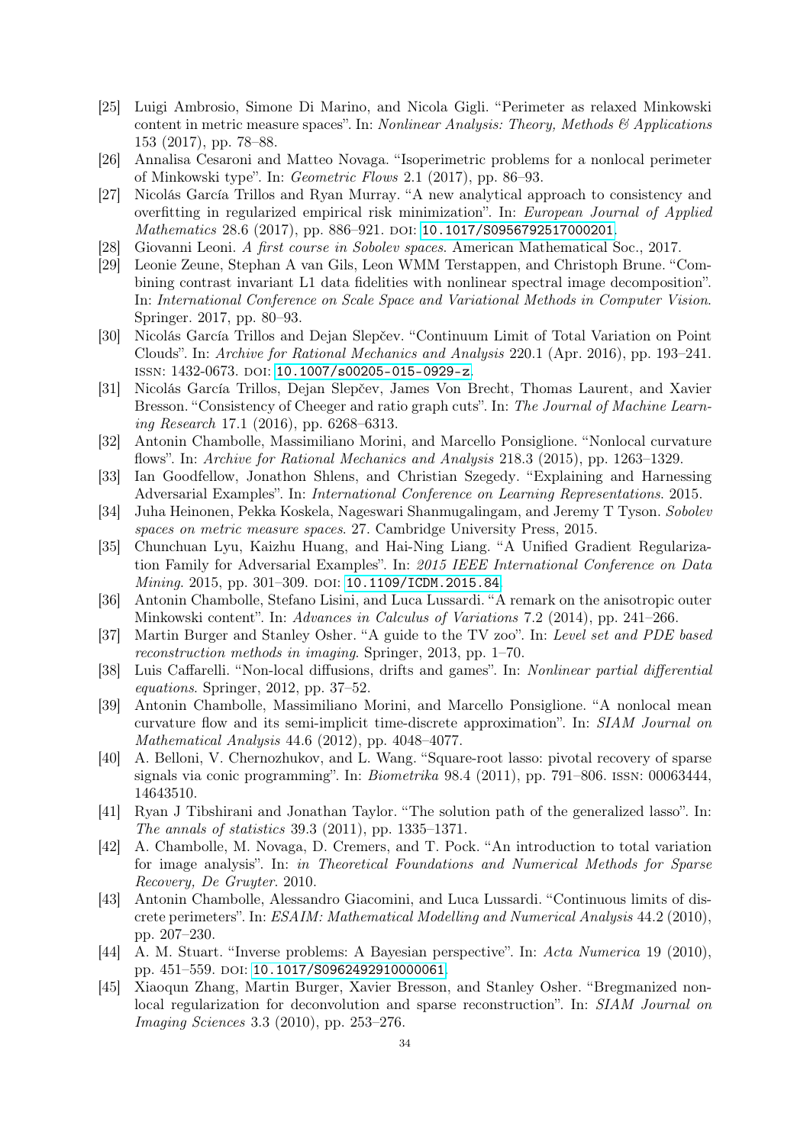- <span id="page-33-10"></span>[25] Luigi Ambrosio, Simone Di Marino, and Nicola Gigli. "Perimeter as relaxed Minkowski content in metric measure spaces". In: Nonlinear Analysis: Theory, Methods  $\mathcal{B}$  Applications 153 (2017), pp. 78–88.
- <span id="page-33-9"></span>[26] Annalisa Cesaroni and Matteo Novaga. "Isoperimetric problems for a nonlocal perimeter of Minkowski type". In: Geometric Flows 2.1 (2017), pp. 86–93.
- <span id="page-33-7"></span>[27] Nicolás García Trillos and Ryan Murray. "A new analytical approach to consistency and overfitting in regularized empirical risk minimization". In: European Journal of Applied Mathematics 28.6 (2017), pp. 886-921. DOI: [10.1017/S0956792517000201](https://doi.org/10.1017/S0956792517000201).
- <span id="page-33-15"></span>[28] Giovanni Leoni. A first course in Sobolev spaces. American Mathematical Soc., 2017.
- <span id="page-33-6"></span>[29] Leonie Zeune, Stephan A van Gils, Leon WMM Terstappen, and Christoph Brune. "Combining contrast invariant L1 data fidelities with nonlinear spectral image decomposition". In: International Conference on Scale Space and Variational Methods in Computer Vision. Springer. 2017, pp. 80–93.
- <span id="page-33-17"></span>[30] Nicolás García Trillos and Dejan Slepčev. "Continuum Limit of Total Variation on Point Clouds". In: Archive for Rational Mechanics and Analysis 220.1 (Apr. 2016), pp. 193–241. issn: 1432-0673. doi: [10.1007/s00205-015-0929-z](https://doi.org/10.1007/s00205-015-0929-z).
- <span id="page-33-18"></span>[31] Nicolás García Trillos, Dejan Slepčev, James Von Brecht, Thomas Laurent, and Xavier Bresson. "Consistency of Cheeger and ratio graph cuts". In: The Journal of Machine Learning Research 17.1 (2016), pp. 6268–6313.
- <span id="page-33-12"></span>[32] Antonin Chambolle, Massimiliano Morini, and Marcello Ponsiglione. "Nonlocal curvature flows". In: Archive for Rational Mechanics and Analysis 218.3 (2015), pp. 1263–1329.
- <span id="page-33-0"></span>[33] Ian Goodfellow, Jonathon Shlens, and Christian Szegedy. "Explaining and Harnessing Adversarial Examples". In: International Conference on Learning Representations. 2015.
- <span id="page-33-14"></span>[34] Juha Heinonen, Pekka Koskela, Nageswari Shanmugalingam, and Jeremy T Tyson. Sobolev spaces on metric measure spaces. 27. Cambridge University Press, 2015.
- <span id="page-33-5"></span>[35] Chunchuan Lyu, Kaizhu Huang, and Hai-Ning Liang. "A Unified Gradient Regularization Family for Adversarial Examples". In: 2015 IEEE International Conference on Data Mining. 2015, pp. 301-309. DOI: [10.1109/ICDM.2015.84](https://doi.org/10.1109/ICDM.2015.84).
- <span id="page-33-20"></span>[36] Antonin Chambolle, Stefano Lisini, and Luca Lussardi. "A remark on the anisotropic outer Minkowski content". In: Advances in Calculus of Variations 7.2 (2014), pp. 241–266.
- <span id="page-33-2"></span>[37] Martin Burger and Stanley Osher. "A guide to the TV zoo". In: Level set and PDE based reconstruction methods in imaging. Springer, 2013, pp. 1–70.
- <span id="page-33-8"></span>[38] Luis Caffarelli. "Non-local diffusions, drifts and games". In: Nonlinear partial differential equations. Springer, 2012, pp. 37–52.
- <span id="page-33-13"></span>[39] Antonin Chambolle, Massimiliano Morini, and Marcello Ponsiglione. "A nonlocal mean curvature flow and its semi-implicit time-discrete approximation". In: SIAM Journal on Mathematical Analysis 44.6 (2012), pp. 4048–4077.
- <span id="page-33-4"></span>[40] A. Belloni, V. Chernozhukov, and L. Wang. "Square-root lasso: pivotal recovery of sparse signals via conic programming". In: Biometrika 98.4 (2011), pp. 791–806. issn: 00063444, 14643510.
- <span id="page-33-19"></span>[41] Ryan J Tibshirani and Jonathan Taylor. "The solution path of the generalized lasso". In: The annals of statistics 39.3 (2011), pp. 1335–1371.
- <span id="page-33-3"></span>[42] A. Chambolle, M. Novaga, D. Cremers, and T. Pock. "An introduction to total variation for image analysis". In: in Theoretical Foundations and Numerical Methods for Sparse Recovery, De Gruyter. 2010.
- <span id="page-33-11"></span>[43] Antonin Chambolle, Alessandro Giacomini, and Luca Lussardi. "Continuous limits of discrete perimeters". In: ESAIM: Mathematical Modelling and Numerical Analysis 44.2 (2010), pp. 207–230.
- <span id="page-33-1"></span>[44] A. M. Stuart. "Inverse problems: A Bayesian perspective". In: Acta Numerica 19 (2010), pp. 451-559. doi: [10.1017/S0962492910000061](https://doi.org/10.1017/S0962492910000061).
- <span id="page-33-16"></span>[45] Xiaoqun Zhang, Martin Burger, Xavier Bresson, and Stanley Osher. "Bregmanized nonlocal regularization for deconvolution and sparse reconstruction". In: SIAM Journal on Imaging Sciences 3.3 (2010), pp. 253–276.